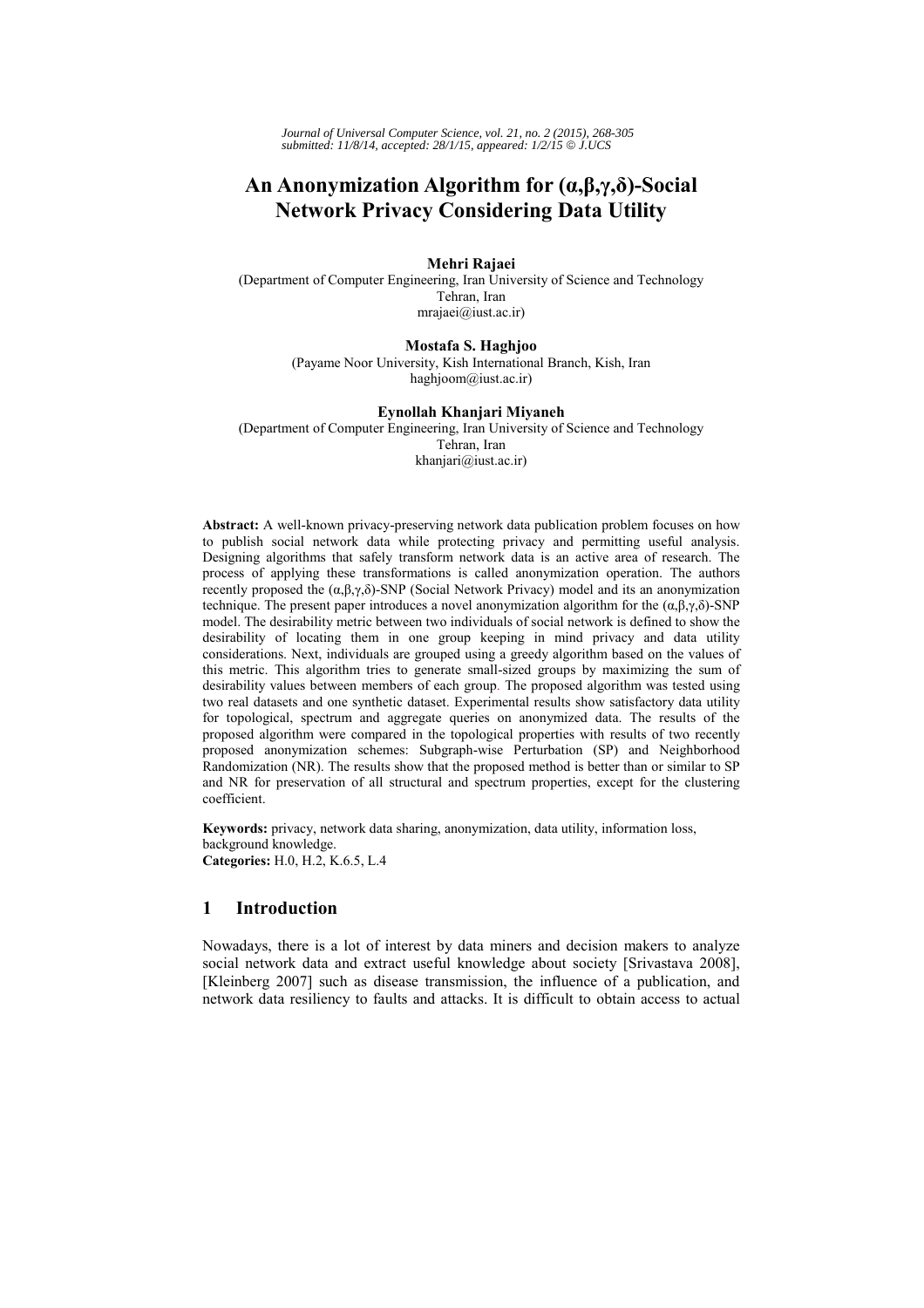*Journal of Universal Computer Science, vol. 21, no. 2 (2015), 268-305 submitted: 11/8/14, accepted: 28/1/15, appeared: 1/2/15* © *J.UCS*

# **An Anonymization Algorithm for (α,β,γ,δ)-Social Network Privacy Considering Data Utility**

### **Mehri Rajaei**

(Department of Computer Engineering, Iran University of Science and Technology Tehran, Iran mrajaei@iust.ac.ir)

### **Mostafa S. Haghjoo**

(Payame Noor University, Kish International Branch, Kish, Iran haghjoom@iust.ac.ir)

#### **Eynollah Khanjari Miyaneh**

(Department of Computer Engineering, Iran University of Science and Technology Tehran, Iran khanjari@iust.ac.ir)

**Abstract:** A well-known privacy-preserving network data publication problem focuses on how to publish social network data while protecting privacy and permitting useful analysis. Designing algorithms that safely transform network data is an active area of research. The process of applying these transformations is called anonymization operation. The authors recently proposed the  $(α, β, γ, δ)$ -SNP (Social Network Privacy) model and its an anonymization technique. The present paper introduces a novel anonymization algorithm for the  $(α,β,γ,δ)$ -SNP model. The desirability metric between two individuals of social network is defined to show the desirability of locating them in one group keeping in mind privacy and data utility considerations. Next, individuals are grouped using a greedy algorithm based on the values of this metric. This algorithm tries to generate small-sized groups by maximizing the sum of desirability values between members of each group. The proposed algorithm was tested using two real datasets and one synthetic dataset. Experimental results show satisfactory data utility for topological, spectrum and aggregate queries on anonymized data. The results of the proposed algorithm were compared in the topological properties with results of two recently proposed anonymization schemes: Subgraph-wise Perturbation (SP) and Neighborhood Randomization (NR). The results show that the proposed method is better than or similar to SP and NR for preservation of all structural and spectrum properties, except for the clustering coefficient.

**Keywords:** privacy, network data sharing, anonymization, data utility, information loss, background knowledge. **Categories:** H.0, H.2, K.6.5, L.4

# **1 Introduction**

Nowadays, there is a lot of interest by data miners and decision makers to analyze social network data and extract useful knowledge about society [Srivastava 2008], [Kleinberg 2007] such as disease transmission, the influence of a publication, and network data resiliency to faults and attacks. It is difficult to obtain access to actual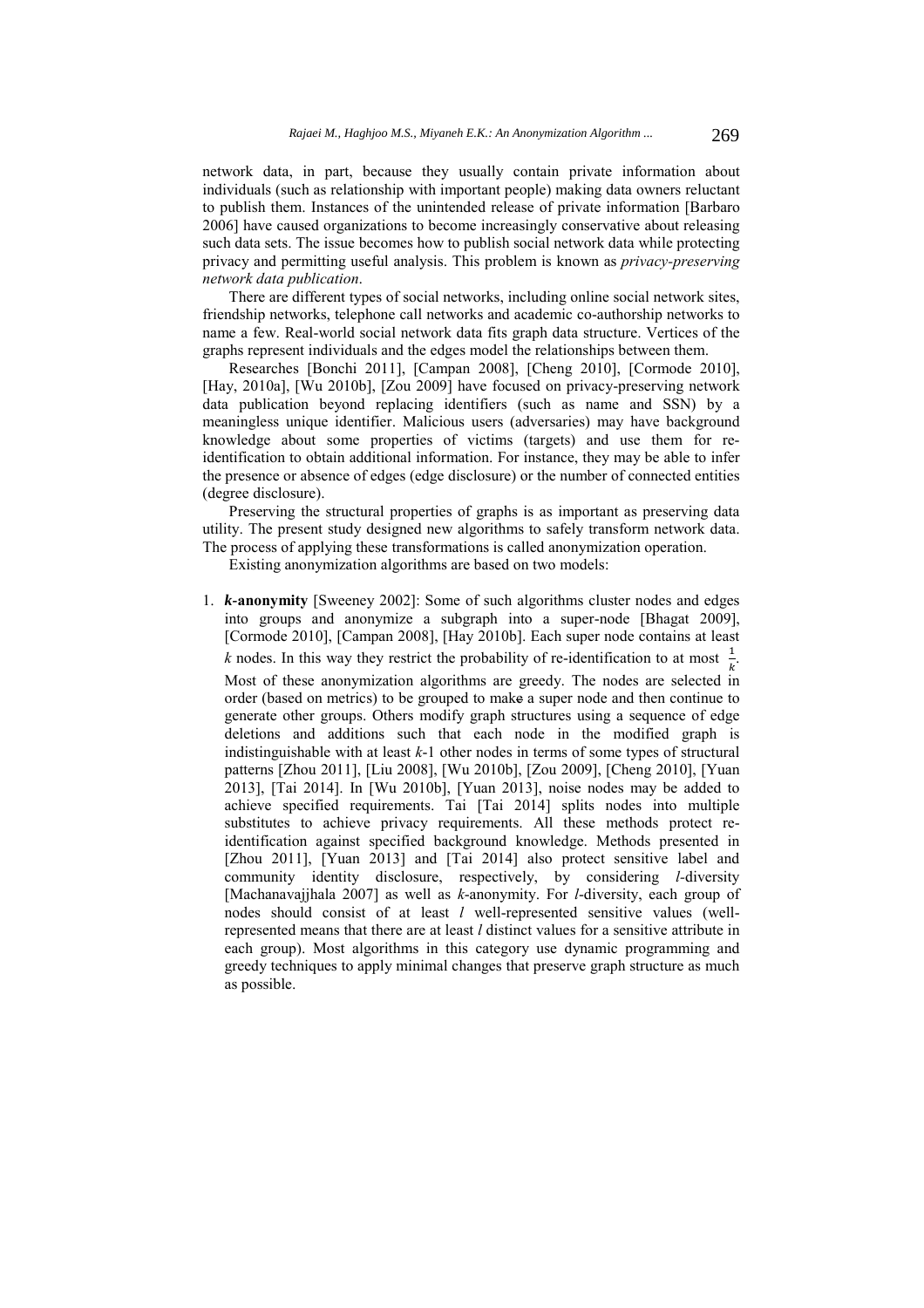network data, in part, because they usually contain private information about individuals (such as relationship with important people) making data owners reluctant to publish them. Instances of the unintended release of private information [Barbaro 2006] have caused organizations to become increasingly conservative about releasing such data sets. The issue becomes how to publish social network data while protecting privacy and permitting useful analysis. This problem is known as *privacy-preserving network data publication*.

There are different types of social networks, including online social network sites, friendship networks, telephone call networks and academic co-authorship networks to name a few. Real-world social network data fits graph data structure. Vertices of the graphs represent individuals and the edges model the relationships between them.

Researches [Bonchi 2011], [Campan 2008], [Cheng 2010], [Cormode 2010], [Hay, 2010a], [Wu 2010b], [Zou 2009] have focused on privacy-preserving network data publication beyond replacing identifiers (such as name and SSN) by a meaningless unique identifier. Malicious users (adversaries) may have background knowledge about some properties of victims (targets) and use them for reidentification to obtain additional information. For instance, they may be able to infer the presence or absence of edges (edge disclosure) or the number of connected entities (degree disclosure).

Preserving the structural properties of graphs is as important as preserving data utility. The present study designed new algorithms to safely transform network data. The process of applying these transformations is called anonymization operation.

Existing anonymization algorithms are based on two models:

1. *k-***anonymity** [Sweeney 2002]: Some of such algorithms cluster nodes and edges into groups and anonymize a subgraph into a super-node [Bhagat 2009], [Cormode 2010], [Campan 2008], [Hay 2010b]. Each super node contains at least *k* nodes. In this way they restrict the probability of re-identification to at most  $\frac{1}{k}$ .

Most of these anonymization algorithms are greedy. The nodes are selected in order (based on metrics) to be grouped to make a super node and then continue to generate other groups. Others modify graph structures using a sequence of edge deletions and additions such that each node in the modified graph is indistinguishable with at least *k*-1 other nodes in terms of some types of structural patterns [Zhou 2011], [Liu 2008], [Wu 2010b], [Zou 2009], [Cheng 2010], [Yuan 2013], [Tai 2014]. In [Wu 2010b], [Yuan 2013], noise nodes may be added to achieve specified requirements. Tai [Tai 2014] splits nodes into multiple substitutes to achieve privacy requirements. All these methods protect reidentification against specified background knowledge. Methods presented in [Zhou 2011], [Yuan 2013] and [Tai 2014] also protect sensitive label and community identity disclosure, respectively, by considering *l-*diversity [Machanavajjhala 2007] as well as *k*-anonymity. For *l*-diversity, each group of nodes should consist of at least *l* well-represented sensitive values (wellrepresented means that there are at least *l* distinct values for a sensitive attribute in each group). Most algorithms in this category use dynamic programming and greedy techniques to apply minimal changes that preserve graph structure as much as possible.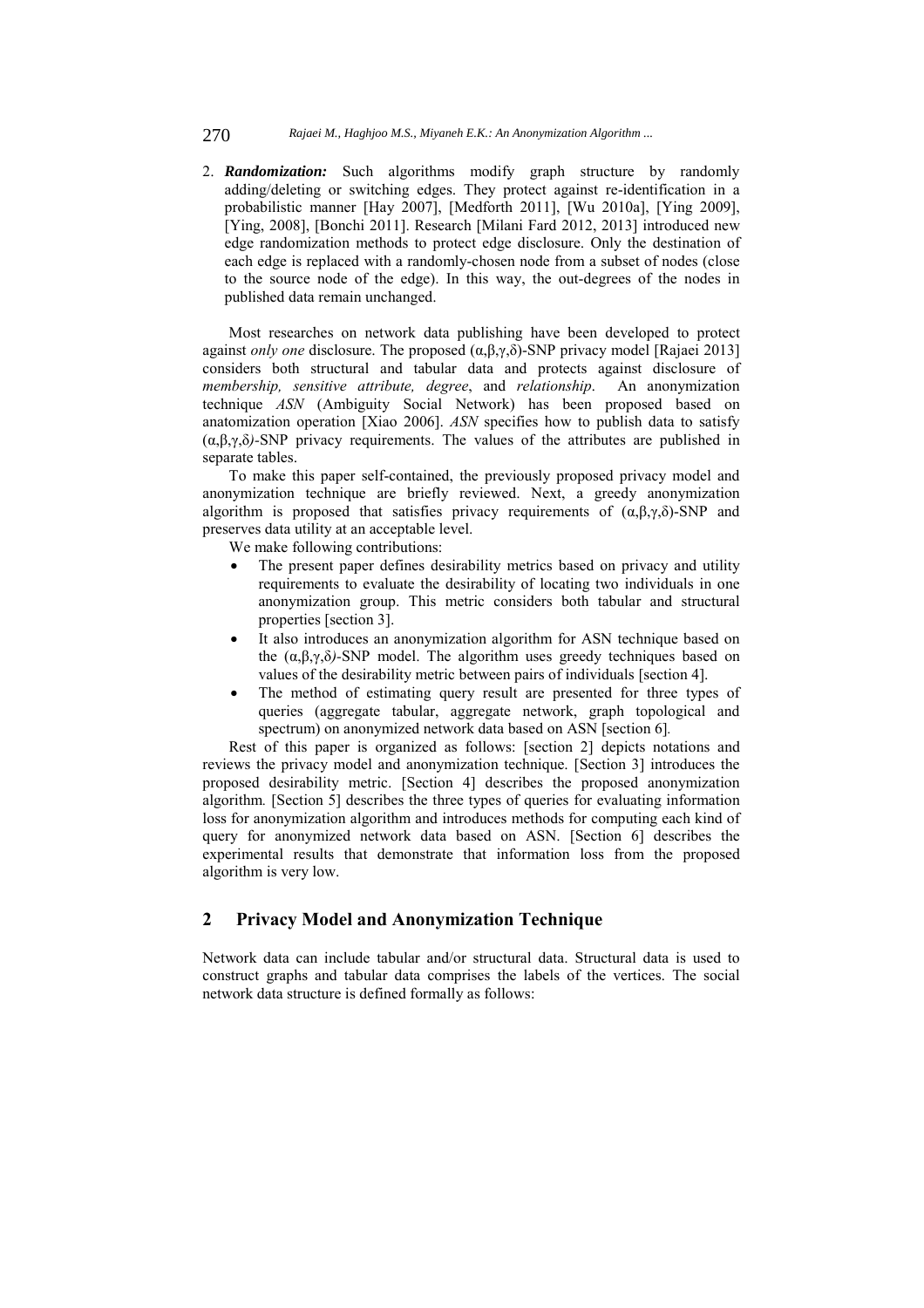#### 270 *Rajaei M., Haghjoo M.S., Miyaneh E.K.: An Anonymization Algorithm ...*

2. *Randomization:* Such algorithms modify graph structure by randomly adding/deleting or switching edges. They protect against re-identification in a probabilistic manner [Hay 2007], [Medforth 2011], [Wu 2010a], [Ying 2009], [Ying, 2008], [Bonchi 2011]. Research [Milani Fard 2012, 2013] introduced new edge randomization methods to protect edge disclosure. Only the destination of each edge is replaced with a randomly-chosen node from a subset of nodes (close to the source node of the edge). In this way, the out-degrees of the nodes in published data remain unchanged.

Most researches on network data publishing have been developed to protect against *only one* disclosure. The proposed (α,β,γ,δ)-SNP privacy model [Rajaei 2013] considers both structural and tabular data and protects against disclosure of *membership, sensitive attribute, degree*, and *relationship*. An anonymization technique *ASN* (Ambiguity Social Network) has been proposed based on anatomization operation [Xiao 2006]. *ASN* specifies how to publish data to satisfy (α,β,γ,δ*)-*SNP privacy requirements. The values of the attributes are published in separate tables.

To make this paper self-contained, the previously proposed privacy model and anonymization technique are briefly reviewed. Next, a greedy anonymization algorithm is proposed that satisfies privacy requirements of  $(\alpha, \beta, \gamma, \delta)$ -SNP and preserves data utility at an acceptable level.

We make following contributions:

- The present paper defines desirability metrics based on privacy and utility requirements to evaluate the desirability of locating two individuals in one anonymization group. This metric considers both tabular and structural properties [section 3].
- It also introduces an anonymization algorithm for ASN technique based on the  $(α, β, γ, δ)$ -SNP model. The algorithm uses greedy techniques based on values of the desirability metric between pairs of individuals [section 4].
- The method of estimating query result are presented for three types of queries (aggregate tabular, aggregate network, graph topological and spectrum) on anonymized network data based on ASN [section 6]*.*

Rest of this paper is organized as follows: [section 2] depicts notations and reviews the privacy model and anonymization technique. [Section 3] introduces the proposed desirability metric. [Section 4] describes the proposed anonymization algorithm*.* [Section 5] describes the three types of queries for evaluating information loss for anonymization algorithm and introduces methods for computing each kind of query for anonymized network data based on ASN. [Section 6] describes the experimental results that demonstrate that information loss from the proposed algorithm is very low.

# **2 Privacy Model and Anonymization Technique**

Network data can include tabular and/or structural data. Structural data is used to construct graphs and tabular data comprises the labels of the vertices. The social network data structure is defined formally as follows: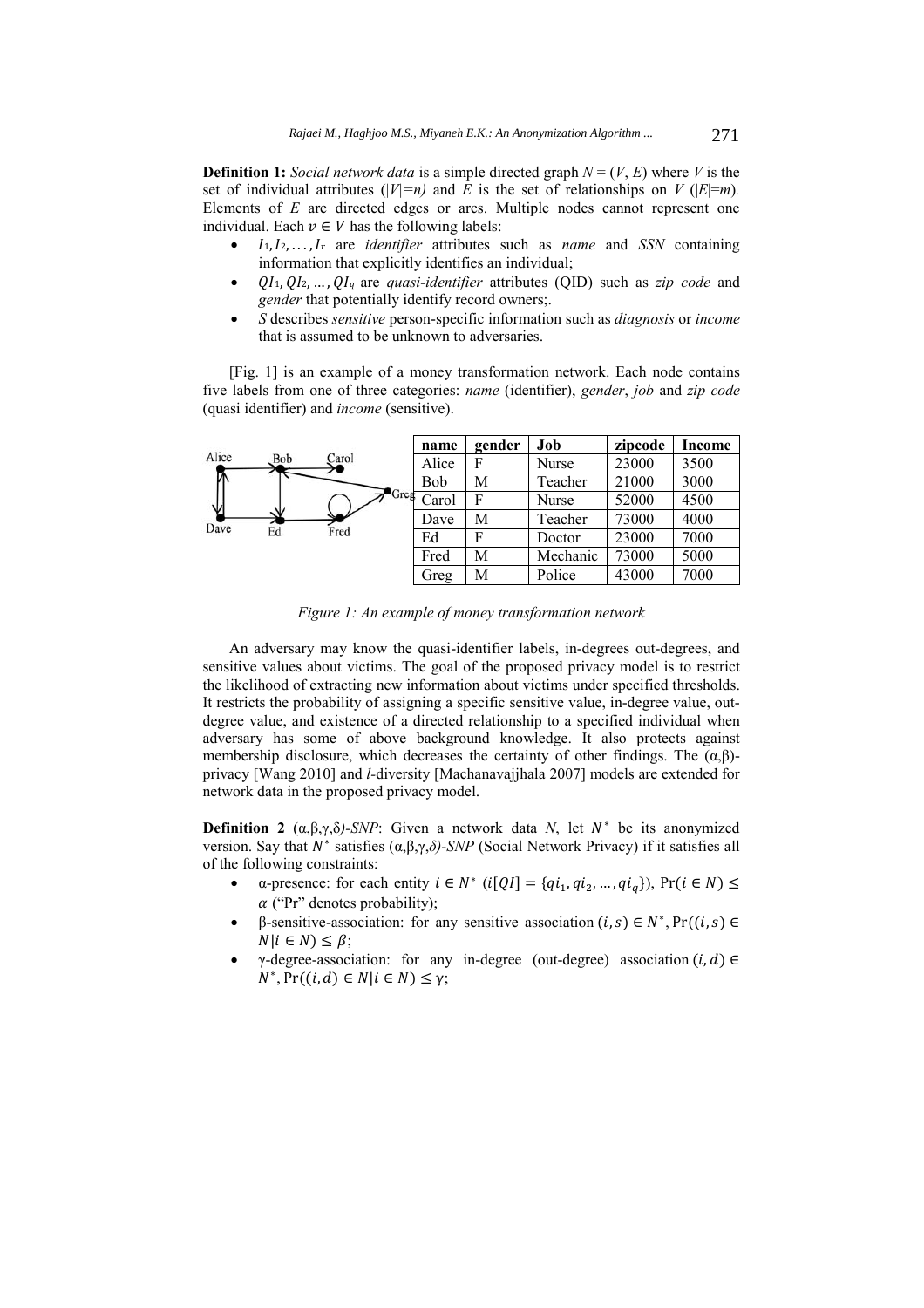**Definition 1:** *Social network data* is a simple directed graph  $N = (V, E)$  where *V* is the set of individual attributes ( $|V|=n$ ) and *E* is the set of relationships on *V* ( $|E|=m$ ). Elements of *E* are directed edges or arcs. Multiple nodes cannot represent one individual. Each  $v \in V$  has the following labels:

- $I_1, I_2, \ldots, I_r$  are *identifier* attributes such as *name* and *SSN* containing information that explicitly identifies an individual;
- *QI*<sub>1</sub>, *QI*<sub>2</sub>, ..., *QI*<sub>q</sub> are *quasi-identifier* attributes (QID) such as *zip code* and *gender* that potentially identify record owners;.
- *S* describes *sensitive* person-specific information such as *diagnosis* or *income*  that is assumed to be unknown to adversaries.

[Fig. 1] is an example of a money transformation network. Each node contains five labels from one of three categories: *name* (identifier), *gender*, *job* and *zip code* (quasi identifier) and *income* (sensitive).



*Figure 1: An example of money transformation network* 

An adversary may know the quasi-identifier labels, in-degrees out-degrees, and sensitive values about victims. The goal of the proposed privacy model is to restrict the likelihood of extracting new information about victims under specified thresholds. It restricts the probability of assigning a specific sensitive value, in-degree value, outdegree value, and existence of a directed relationship to a specified individual when adversary has some of above background knowledge. It also protects against membership disclosure, which decreases the certainty of other findings. The  $(\alpha, \beta)$ privacy [Wang 2010] and *l-*diversity [Machanavajjhala 2007] models are extended for network data in the proposed privacy model.

**Definition 2**  $(\alpha, \beta, \gamma, \delta)$ -SNP: Given a network data *N*, let  $N^*$  be its anonymized version. Say that  $N^*$  satisfies  $(\alpha, \beta, \gamma, \delta)$ -SNP (Social Network Privacy) if it satisfies all of the following constraints:

- a-presence: for each entity  $i \in N^*$  ( $i[QI] = \{qi_1, qi_2, ..., qi_q\}$ ),  $Pr(i \in N) \leq$  $\alpha$  ("Pr" denotes probability);
- β-sensitive-association: for any sensitive association  $(i, s) \in N^*$ , Pr( $(i, s) \in$  $N|i \in N$ )  $\leq \beta$ ;
- γ-degree-association: for any in-degree (out-degree) association  $(i, d) \in$  $N^*$ ,  $Pr((i, d) \in N | i \in N) \leq \gamma$ ;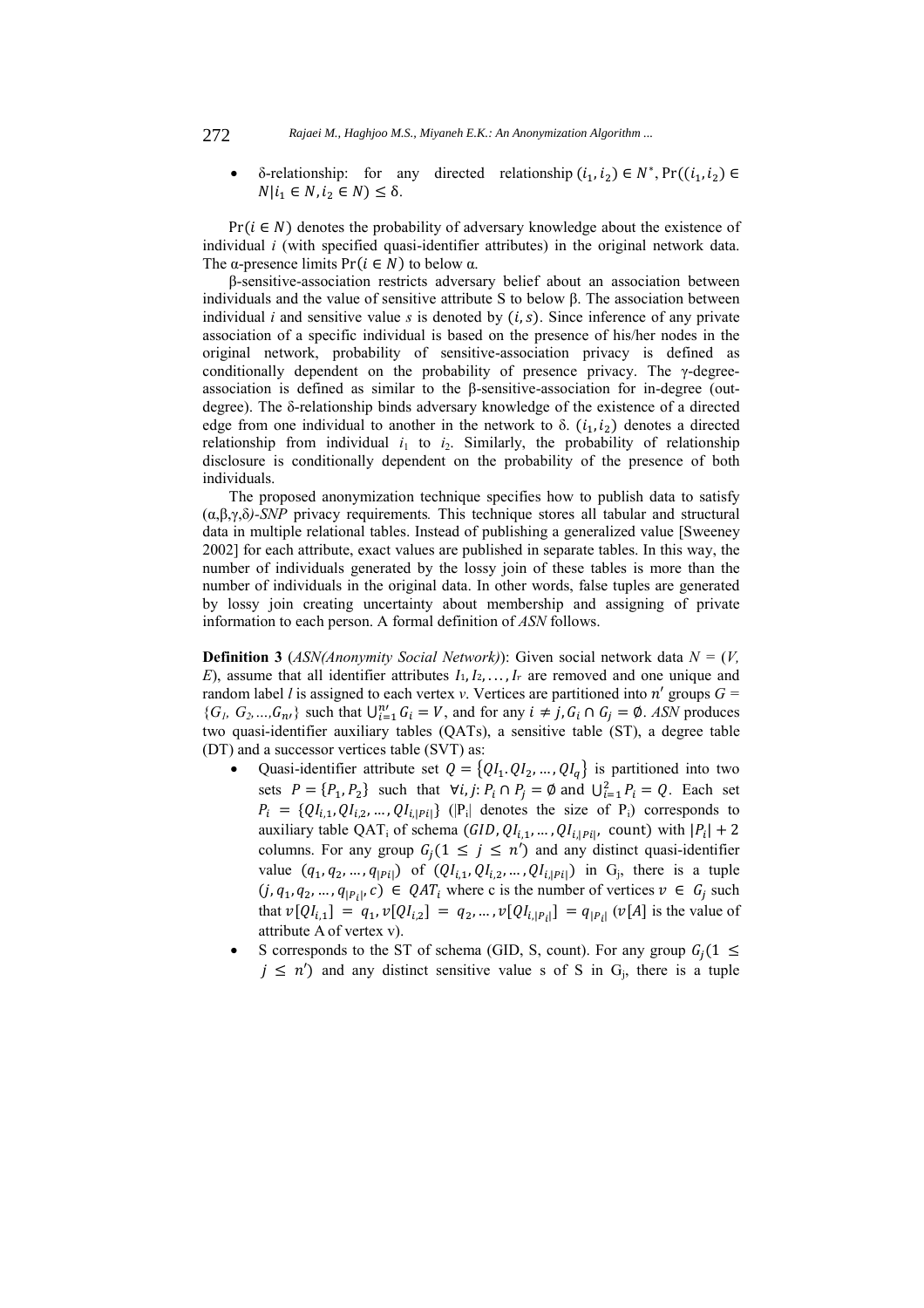δ-relationship: for any directed relationship  $(i_1, i_2)$  ∈  $N^*$ , Pr( $(i_1, i_2)$  ∈  $N|i_1 \in N, i_2 \in N \leq \delta$ .

 $Pr(i \in N)$  denotes the probability of adversary knowledge about the existence of individual *i* (with specified quasi-identifier attributes) in the original network data. The  $\alpha$ -presence limits Pr( $i \in N$ ) to below  $\alpha$ .

β-sensitive-association restricts adversary belief about an association between individuals and the value of sensitive attribute S to below β. The association between individual *i* and sensitive value *s* is denoted by  $(i, s)$ . Since inference of any private association of a specific individual is based on the presence of his/her nodes in the original network, probability of sensitive-association privacy is defined as conditionally dependent on the probability of presence privacy. The γ-degreeassociation is defined as similar to the β-sensitive-association for in-degree (outdegree). The δ-relationship binds adversary knowledge of the existence of a directed edge from one individual to another in the network to  $\delta$ .  $(i_1, i_2)$  denotes a directed relationship from individual  $i_1$  to  $i_2$ . Similarly, the probability of relationship disclosure is conditionally dependent on the probability of the presence of both individuals.

The proposed anonymization technique specifies how to publish data to satisfy (α,β,γ,δ*)-SNP* privacy requirements*.* This technique stores all tabular and structural data in multiple relational tables. Instead of publishing a generalized value [Sweeney 2002] for each attribute, exact values are published in separate tables. In this way, the number of individuals generated by the lossy join of these tables is more than the number of individuals in the original data. In other words, false tuples are generated by lossy join creating uncertainty about membership and assigning of private information to each person. A formal definition of *ASN* follows.

**Definition 3** (*ASN(Anonymity Social Network)*): Given social network data *N =* (*V,*   $E$ ), assume that all identifier attributes  $I_1, I_2, \ldots, I_r$  are removed and one unique and random label *l* is assigned to each vertex *v*. Vertices are partitioned into  $n'$  groups  $G =$  ${G_i, G_2,..., G_{n'}\}$  such that  $\bigcup_{i=1}^{n'} G_i = V$ , and for any  $i \neq j, G_i \cap G_j = \emptyset$ . *ASN* produces two quasi-identifier auxiliary tables (QATs), a sensitive table (ST), a degree table (DT) and a successor vertices table (SVT) as:

- Quasi-identifier attribute set  $Q = \{QI_1, QI_2, ..., QI_q\}$  is partitioned into two sets  $P = \{P_1, P_2\}$  such that  $\forall i, j: P_i \cap P_j = \emptyset$  and  $\bigcup_{i=1}^2 P_i = Q$ . Each set  $P_i = \{QI_{i,1}, QI_{i,2}, ..., QI_{i,|P_i|}\}\$  (|P<sub>i</sub>| denotes the size of P<sub>i</sub>) corresponds to auxiliary table QAT<sub>i</sub> of schema ( $GID, QI_{i,1}, ..., QI_{i,|Pi|}$ , count) with  $|P_i| + 2$ columns. For any group  $G_j(1 \le j \le n')$  and any distinct quasi-identifier value  $(q_1, q_2, ..., q_{|P_i|})$  of  $(QI_{i,1}, QI_{i,2}, ..., QI_{i,|P_i|})$  in G<sub>j</sub>, there is a tuple  $(j, q_1, q_2, ..., q_{|P_i|}, c) \in QAT_i$  where c is the number of vertices  $v \in G_i$  such that  $v[QI_{i,1}] = q_1, v[QI_{i,2}] = q_2, ..., v[QI_{i,|P_i|}] = q_{|P_i|} (v[A]$  is the value of attribute A of vertex v).
- S corresponds to the ST of schema (GID, S, count). For any group  $G_i(1 \leq$  $j \leq n'$ ) and any distinct sensitive value s of S in G<sub>i</sub>, there is a tuple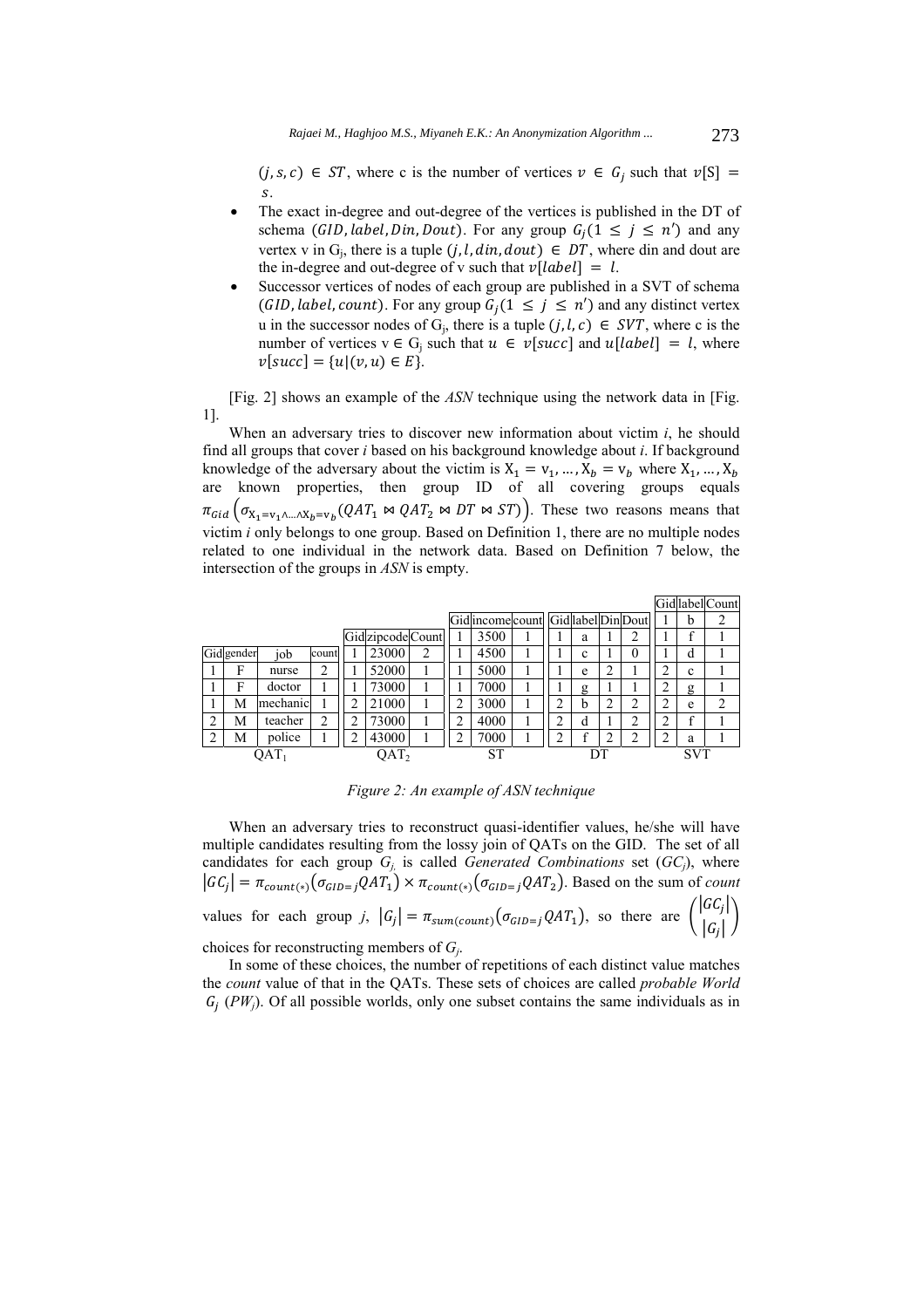$(j, s, c) \in ST$ , where c is the number of vertices  $v \in G_j$  such that  $v[S] =$  $S$ .

- The exact in-degree and out-degree of the vertices is published in the DT of schema (GID, label, Din, Dout). For any group  $G_i(1 \leq j \leq n')$  and any vertex v in  $G_i$ , there is a tuple  $(j, l, din, dout) \in DT$ , where din and dout are the in-degree and out-degree of v such that  $v[label] = l$ .
- Successor vertices of nodes of each group are published in a SVT of schema (GID, label, count). For any group  $G_i(1 \leq j \leq n')$  and any distinct vertex u in the successor nodes of G<sub>i</sub>, there is a tuple  $(j, l, c) \in SVT$ , where c is the number of vertices  $v \in G_i$  such that  $u \in v[succ]$  and  $u[label] = l$ , where  $v[succ] = \{u | (v, u) \in E\}.$

[Fig. 2] shows an example of the *ASN* technique using the network data in [Fig. 1].

When an adversary tries to discover new information about victim *i*, he should find all groups that cover *i* based on his background knowledge about *i*. If background knowledge of the adversary about the victim is  $X_1 = v_1, ..., X_b = v_b$  where  $X_1, ..., X_b$ are known properties, then group ID of all covering groups equals  $\pi_{Gid}(\sigma_{X_1=v_1\wedge...\wedge X_b=v_b}(QAT_1 \bowtie QAT_2 \bowtie DT \bowtie ST))$ . These two reasons means that victim *i* only belongs to one group. Based on Definition 1, there are no multiple nodes related to one individual in the network data. Based on Definition 7 below, the intersection of the groups in *ASN* is empty.

|         |            |          |       |   |                   |           |        |                                   |    |   |   |               |   |              | Gidlabel Count |
|---------|------------|----------|-------|---|-------------------|-----------|--------|-----------------------------------|----|---|---|---------------|---|--------------|----------------|
|         |            |          |       |   |                   |           |        | Gidincome count Gidlabel Din Dout |    |   |   |               |   | b            | 2              |
|         |            |          |       |   | Gid zipcode Count |           |        | 3500                              |    | a |   | ↑<br>$\angle$ |   | $\mathbf{f}$ |                |
|         | Gid gender | iob      | count |   | 23000             | 2         |        | 4500                              |    | c |   | 0             |   | d            |                |
|         | F          | nurse    | ∍     |   | 52000             |           |        | 5000                              |    | e | ◠ |               | ◠ | $\mathbf c$  |                |
|         | F          | doctor   |       |   | 73000             |           |        | 7000                              |    | g |   |               |   | g            |                |
|         | M          | mechanic |       | າ | 21000             |           | 2      | 3000                              | ∍  | b | ◠ | 2             | ◠ | e            | $\overline{c}$ |
| ↑<br>∠  | М          | teacher  | 2     |   | 73000             |           | ∍<br>∠ | 4000                              | ∍  | d |   | າ<br>∠        | ◠ | $\mathbf f$  |                |
|         | М          | police   |       | ◠ | 43000             |           | ◠      | 7000                              |    |   | ∽ | ◠<br>∠        | ◠ | a            |                |
| $OAT_1$ |            |          | OAT,  |   |                   | <b>ST</b> |        |                                   | DТ |   |   | <b>SVT</b>    |   |              |                |

*Figure 2: An example of ASN technique* 

When an adversary tries to reconstruct quasi-identifier values, he/she will have multiple candidates resulting from the lossy join of QATs on the GID. The set of all candidates for each group *Gj,* is called *Generated Combinations* set (*GCj*), where  $|GC_j| = \pi_{count(*)}(\sigma_{GID=j}QAT_1) \times \pi_{count(*)}(\sigma_{GID=j}QAT_2)$ . Based on the sum of *count* values for each group *j*,  $|G_j| = \pi_{sum(count)}(\sigma_{GID=j}QAT_1)$ , so there are  $\begin{pmatrix} |GC_j| \\ |G| \end{pmatrix}$  $\begin{pmatrix} 1 & 1 \\ 0 & 1 \end{pmatrix}$ choices for reconstructing members of *Gj*.

In some of these choices, the number of repetitions of each distinct value matches the *count* value of that in the QATs. These sets of choices are called *probable World*   $G_j$  (PW<sub>j</sub>). Of all possible worlds, only one subset contains the same individuals as in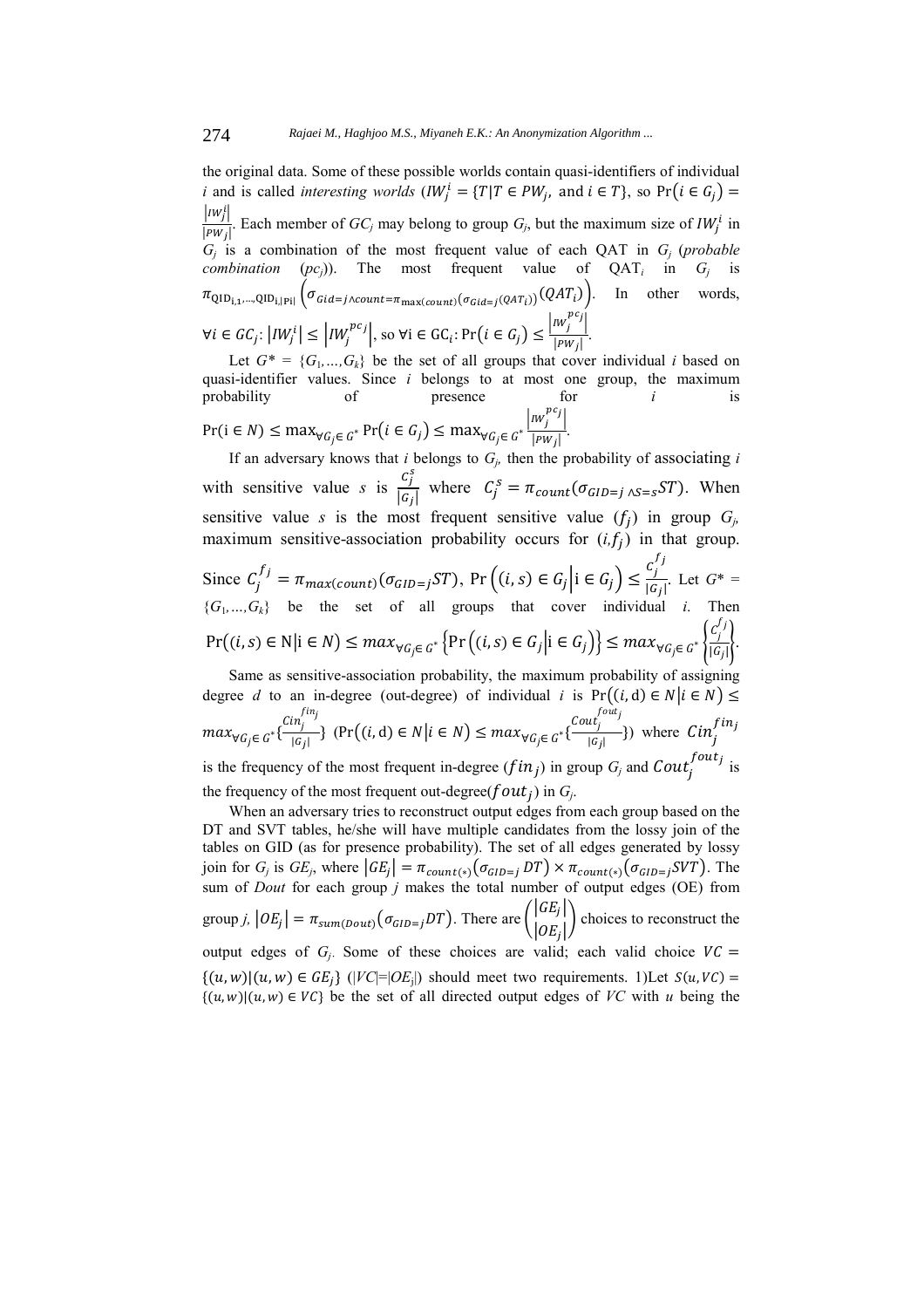the original data. Some of these possible worlds contain quasi-identifiers of individual *i* and is called *interesting worlds* ( $IW_j^i = \{T | T \in PW_j, \text{ and } i \in T\}$ , so  $Pr(i \in G_j) =$  $|IW_j|$ i  $|PW_i|$ . Each member of  $GC_j$  may belong to group  $G_j$ , but the maximum size of  $IW_j^i$  in  $G_i$  is a combination of the most frequent value of each QAT in  $G_i$  (*probable combination*  $(pc_i)$ ). The most frequent value of  $QAT_i$  in  $G_i$  is  $\pi_{\text{QID}_{i,1},\dots,\text{QID}_{i,|\text{Pi}|}}\left(\sigma_{Gid=j\wedge count=\pi_{\max(count)}(\sigma_{Gid=j}(QAT_i))}(QAT_i)\right)$ . In other words,  $\forall i \in \text{GC}_j$ :  $\left| I W_j^{i} \right| \leq \left| I W_j^{pc_j} \right|$ , so  $\forall i \in \text{GC}_i$ :  $\Pr\left(i \in \text{G}_j\right) \leq \frac{\left| I W_j^{pc_j} \right|}{\left| P W_j \right|}$ .

Let  $G^* = \{G_1, ..., G_k\}$  be the set of all groups that cover individual *i* based on quasi-identifier values. Since *i* belongs to at most one group, the maximum probability of presence for *i* is

 $Pr(i \in N) \leq \max_{\forall G_j \in G^*} Pr(i \in G_j) \leq \max_{\forall G_j \in G^*} \frac{|nw_j^{pc_j}|}{|pw_j|}.$ 

If an adversary knows that  $i$  belongs to  $G_j$ , then the probability of associating  $i$ with sensitive value *s* is  $\frac{c_1^s}{16}$  $\frac{\epsilon_j}{|G_j|}$  where  $C_j^s = \pi_{count}(\sigma_{GID=j} \, \gamma_{s=s} ST)$ . When sensitive value *s* is the most frequent sensitive value  $(f_i)$  in group  $G_i$ , maximum sensitive-association probability occurs for  $(i, f_i)$  in that group. Since  $C_j^{f_j} = \pi_{max(count)}(\sigma_{GID=j}ST)$ ,  $Pr((i, s) \in G_j | i \in G_j) \leq \frac{C_j^{f_j}}{|G_j|}$  $\frac{f}{|G_j|}$ . Let  $G^*$  =  ${G_1,...,G_k}$  be the set of all groups that cover individual *i*. Then  $Pr((i, s) \in N | i \in N) \le max_{\forall G_j \in G^*} \left\{ Pr((i, s) \in G_j | i \in G_j) \right\} \le max_{\forall G_j \in G^*} \left\{ \frac{c_j^{f_j}}{|G_j|} \right\}$  $\frac{g}{|G_j|}$ . Same as sensitive-association probability, the maximum probability of assigning degree *d* to an in-degree (out-degree) of individual *i* is  $Pr((i, d) \in N | i \in N)$  $max_{\forall G_j \in G^*} \{\frac{Cin_j^{fin_j}}{|G_j|}$  $\inf_{|G_j|}^{in_j}$  (Pr $((i, d) \in N | i \in N) \le max_{\forall G_j \in G^*} \{\frac{Cout_j^{four_j}}{|G_j|}\}$  $\frac{u(t_j)}{|G_j|}$  where  $Cin_j^{fin_j}$ 

is the frequency of the most frequent in-degree  $(fin_j)$  in group  $G_j$  and  $\textit{Cout}_j^{four_j}$  is the frequency of the most frequent out-degree( $f$  *out*  $_i$ ) in  $G_i$ .

When an adversary tries to reconstruct output edges from each group based on the DT and SVT tables, he/she will have multiple candidates from the lossy join of the tables on GID (as for presence probability). The set of all edges generated by lossy join for *G<sub>j</sub>* is *GE<sub>j</sub>*, where  $|GE_j| = \pi_{count(*)}(\sigma_{GID=j}DT) \times \pi_{count(*)}(\sigma_{GID=j}SVT)$ . The sum of *Dout* for each group *j* makes the total number of output edges (OE) from group *j,*  $|OE_j| = \pi_{sum(Dout)}(\sigma_{GID=j}DT)$ . There are  $\begin{pmatrix} |GE_j| \\ |GF_j| \end{pmatrix}$  $\begin{pmatrix} 1 & -1 \\ 0 & B_i \end{pmatrix}$  choices to reconstruct the output edges of  $G_i$ . Some of these choices are valid; each valid choice  $VC =$  $\{(u, w) | (u, w) \in GE_i\}$  (| $VC$ |=| $OE$ <sub>i</sub>|) should meet two requirements. 1) Let  $S(u, VC)$  =  $\{(u, w) | (u, w) \in VC\}$  be the set of all directed output edges of *VC* with *u* being the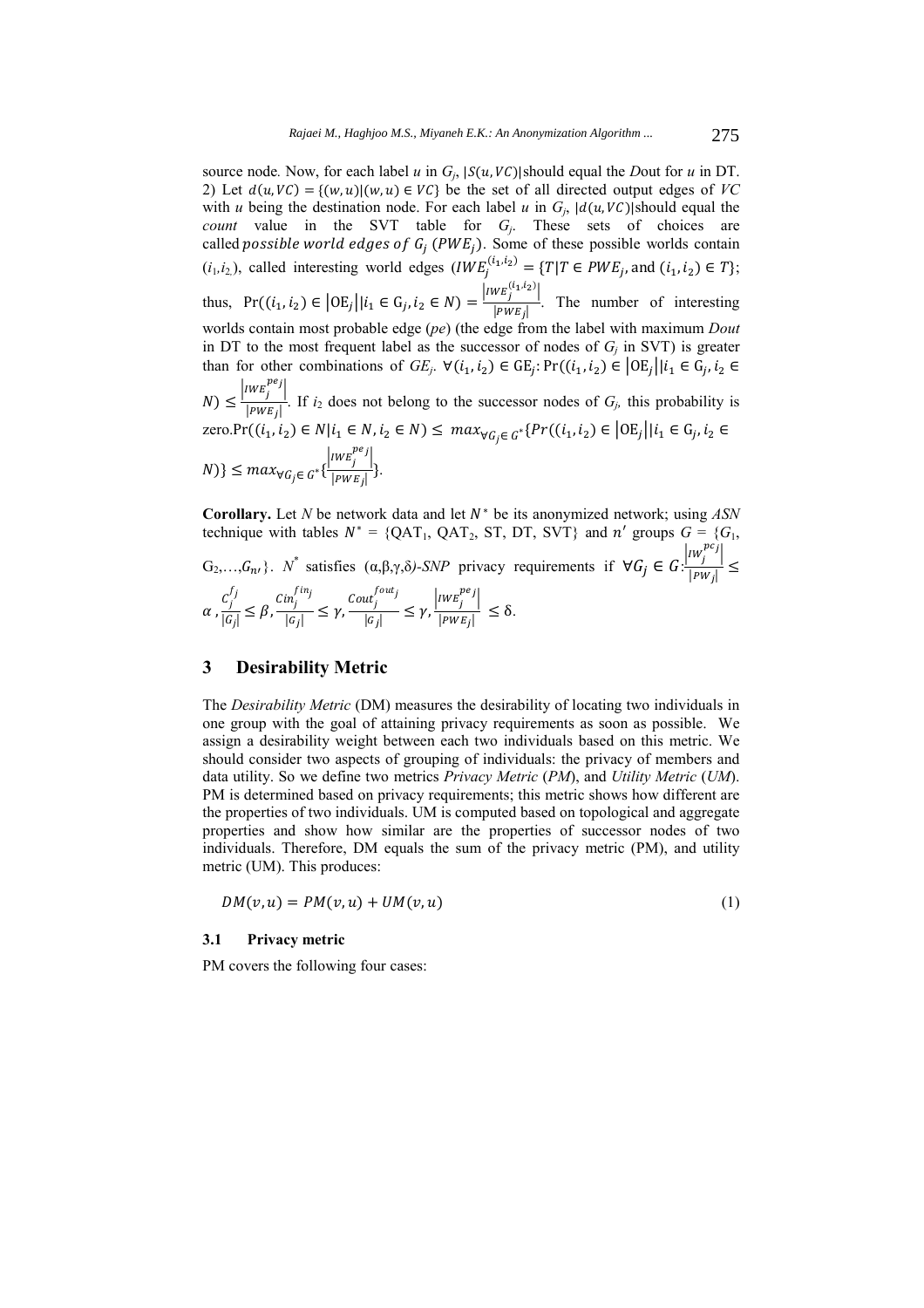source node. Now, for each label *u* in  $G_i$ ,  $|S(u, VC)|$ should equal the *D*out for *u* in DT. 2) Let  $d(u, VC) = \{(w, u) | (w, u) \in VC\}$  be the set of all directed output edges of *VC* with *u* being the destination node. For each label *u* in  $G_i$ ,  $|d(u, VC)|$ should equal the *count* value in the SVT table for *Gj*. These sets of choices are called *possible world edges of*  $G_j$  *(PWE<sub>j</sub>)*. Some of these possible worlds contain  $(i_1, i_2)$ , called interesting world edges  $(IWE_j^{(i_1, i_2)} = \{T | T \in PWE_j \text{ and } (i_1, i_2) \in T \}$ ; thus,  $Pr((i_1, i_2) \in |OE_j| | i_1 \in G_j, i_2 \in N) = \frac{|IWE_j^{(i_1, i_2)}|}{|PWE_j|}$ . The number of interesting worlds contain most probable edge (*pe*) (the edge from the label with maximum *Dout* in DT to the most frequent label as the successor of nodes of  $G_j$  in SVT) is greater than for other combinations of  $GE_j$ .  $\forall (i_1, i_2) \in \text{GE}_j$ :  $Pr((i_1, i_2) \in \text{OE}_j | i_1 \in \text{G}_j, i_2 \in \text{Set}_j)$  $(N) \leq \frac{|IWE_j|}{|PWE_j|}$ . If *i*<sub>2</sub> does not belong to the successor nodes of *G<sub>j</sub>*, this probability is  $zero.Pr((i_1, i_2) \in N | i_1 \in N, i_2 \in N) \leq max_{\forall G_i \in G^*} \{ Pr((i_1, i_2) \in | 0E_j | | i_1 \in G_j, i_2 \in N) \}$  ${N})\} \leq max_{\forall G_j \in G^*}\{\frac{|_{IWE_j^{pe_j}}|}{|_{PWE_j}|}\}.$ 

**Corollary.** Let *N* be network data and let  $N^*$  be its anonymized network; using  $ASN$ technique with tables  $N^* = \{QAT_1, QAT_2, ST, DT, SVT\}$  and  $n'$  groups  $G = \{G_1, G_2, G_3, G_4, G_5, G_6, G_7, G_8, G_7, G_8, G_9, G_{10}, G_{11}, G_{12}, G_{13}, G_{14}, G_{15}, G_{16}, G_{17}, G_{18}, G_{19}, G_{10}, G_{11}, G_{12}, G_{13}, G_{14}, G_{15}, G_{16}, G_{17}, G_{18}, G_{19}, G_{10}, G_{$ G<sub>2</sub>,...,G<sub>n</sub>,}. *N*<sup>\*</sup> satisfies (α,β,γ,δ)-SNP privacy requirements if ∀G<sub>j</sub> ∈ G:  $\frac{|iw_j^{pc_j}|}{|pw_j|}$  ≤  $\alpha$  ,  $\frac{c_j^{f_j}}{|c_j|}$  $\frac{c_j^{f_j}}{|G_j|} \leq \beta, \frac{Cin_j^{fin_j}}{|G_j|}$  $\frac{\inf_{j}^{fin_j}}{|\mathcal{G}_j|} \leq \gamma, \frac{\mathcal{C}out_j^{out_j}}{|\mathcal{G}_j|} \leq \gamma, \frac{|\mathcal{I}WE_j^{pe_j}|}{|\mathcal{I}WE_j|} \leq \delta.$ 

# **3 Desirability Metric**

The *Desirability Metric* (DM) measures the desirability of locating two individuals in one group with the goal of attaining privacy requirements as soon as possible. We assign a desirability weight between each two individuals based on this metric. We should consider two aspects of grouping of individuals: the privacy of members and data utility. So we define two metrics *Privacy Metric* (*PM*), and *Utility Metric* (*UM*). PM is determined based on privacy requirements; this metric shows how different are the properties of two individuals. UM is computed based on topological and aggregate properties and show how similar are the properties of successor nodes of two individuals. Therefore, DM equals the sum of the privacy metric (PM), and utility metric (UM). This produces:

$$
DM(v, u) = PM(v, u) + UM(v, u)
$$
\n<sup>(1)</sup>

#### **3.1 Privacy metric**

PM covers the following four cases: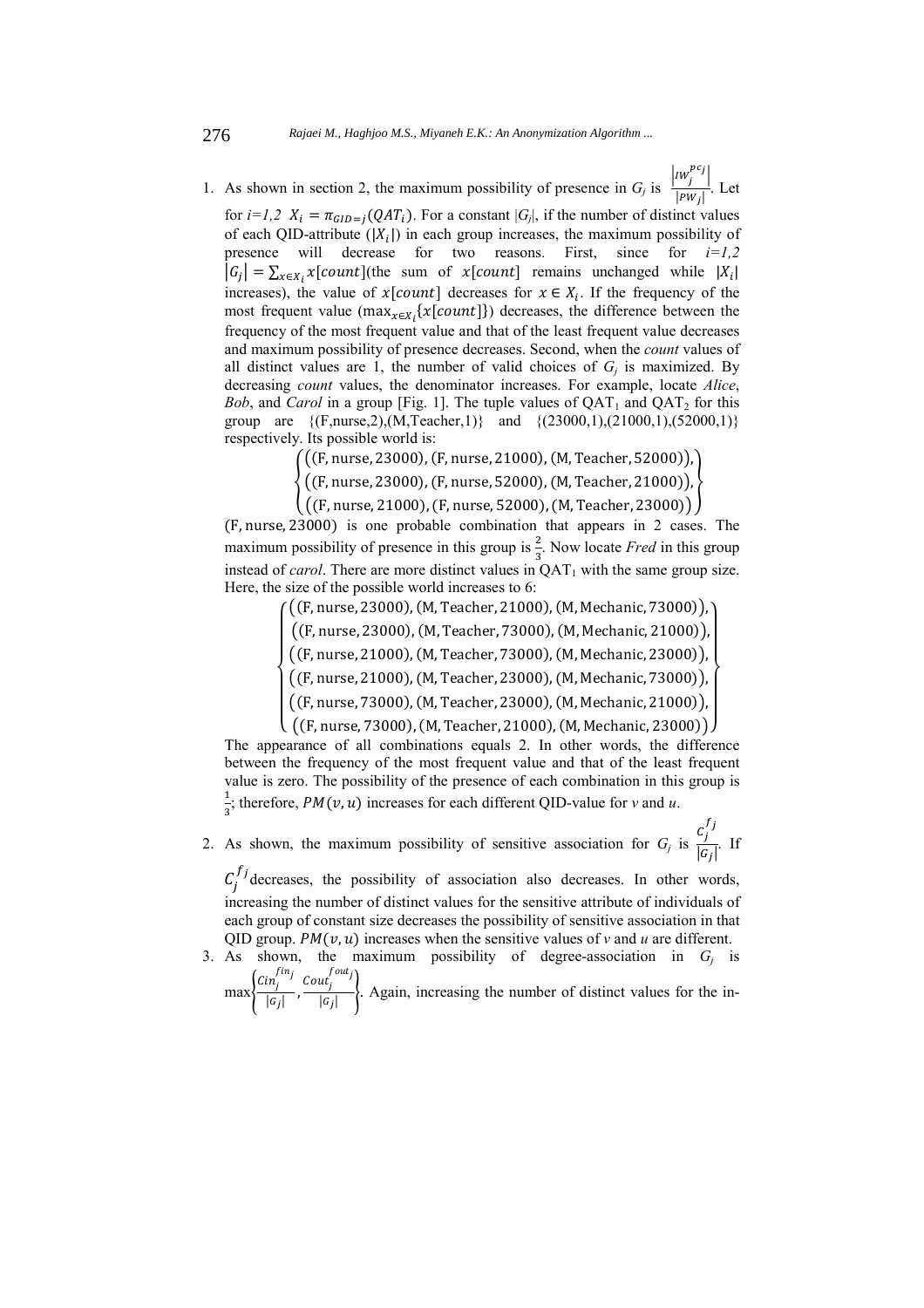1. As shown in section 2, the maximum possibility of presence in  $G_j$  is  $\frac{|IW_j^{pc_j}|}{|PW_j|}$ . Let

for  $i=1,2$   $X_i = \pi_{GID=j}(QAT_i)$ . For a constant  $|G_i|$ , if the number of distinct values of each QID-attribute  $(|X_i|)$  in each group increases, the maximum possibility of presence will decrease for two reasons. First, since for *i=1,2*  $|G_j| = \sum_{x \in X_i} x[count]$  (the sum of  $x[count]$  remains unchanged while  $|X_i|$ increases), the value of  $x[count]$  decreases for  $x \in X_i$ . If the frequency of the most frequent value ( $\max_{x \in X_i} \{x[count]\}$ ) decreases, the difference between the frequency of the most frequent value and that of the least frequent value decreases and maximum possibility of presence decreases. Second, when the *count* values of all distinct values are 1, the number of valid choices of  $G_i$  is maximized. By decreasing *count* values, the denominator increases. For example, locate *Alice*, *Bob*, and *Carol* in a group [Fig. 1]. The tuple values of  $QAT_1$  and  $QAT_2$  for this group are  $\{ (F, nurse, 2), (M, Teacher, 1) \}$  and  $\{ (23000,1), (21000,1), (52000,1) \}$ respectively. Its possible world is:

((F, nurse, 23000), (F, nurse, 21000), (M, Teacher, 52000)),

൞ ((F, nurse, 23000), (F, nurse, 52000), (M, Teacher, 21000)), \

 $((F, nurre, 21000), (F, nurse, 52000), (M, Teacher, 23000))$ 

(F, nurse, 23000) is one probable combination that appears in 2 cases. The maximum possibility of presence in this group is  $\frac{2}{3}$ . Now locate *Fred* in this group instead of *carol*. There are more distinct values in  $\overline{QAT_1}$  with the same group size. Here, the size of the possible world increases to 6:

> $\frac{1}{2}$  $\frac{1}{2}$  $\mathbf{I}$  $\frac{1}{2}$  $\bigg|$  ((F, nurse, 23000), (M, Teacher, 73000), (M, Mechanic, 21000)),  $((F, \text{nurse}, 23000), (M, \text{Teacher}, 21000), (M, \text{Mechanic}, 73000)),$ (F, nurse, 21000), (M, Teacher, 73000), (M, Mechanic, 23000)), ((F, nurse, 21000), (M, Teacher, 23000), (M, Mechanic, 73000)),  $\Bigl( \left( \mathsf{F}, \text{nurse}, 73000 \right)$ ,  $\bigl( \mathsf{M}, \text{Teacher}, 23000 \bigr)$ ,  $\bigl( \mathsf{M}, \text{Mechanic}, 21000 \bigr) \Bigr)$ ,  $\Bigl($  $\frac{1}{2}$  $\frac{1}{2}$  $\frac{1}{2}$  $\frac{1}{2}$  $\frac{1}{2}$

 $\binom{1}{r}$  ((F, nurse, 73000), (M, Teacher, 21000), (M, Mechanic, 23000)) The appearance of all combinations equals 2. In other words, the difference between the frequency of the most frequent value and that of the least frequent value is zero. The possibility of the presence of each combination in this group is  $\mathbf 1$  $\frac{1}{3}$ ; therefore, *PM*(*v*, *u*) increases for each different QID-value for *v* and *u*.

2. As shown, the maximum possibility of sensitive association for  $G_j$  is  $\frac{c_j^{f_j}}{G}$  $\frac{f}{|G_j|}$ . If

 $C_j^{f_j}$  decreases, the possibility of association also decreases. In other words, increasing the number of distinct values for the sensitive attribute of individuals of each group of constant size decreases the possibility of sensitive association in that QID group.  $PM(v, u)$  increases when the sensitive values of *v* and *u* are different.

3. As shown, the maximum possibility of degree-association in  $G_i$  is  $\max\left\{\frac{Cin_j^{fin_j}}{m_j}\right\}$ 

 $\frac{\sin_j^{fin_j}}{|G_j|}$ ,  $\frac{Cout_j^{four_j}}{|G_j|}$  $\frac{f(x)}{|G_i|}$ . Again, increasing the number of distinct values for the in-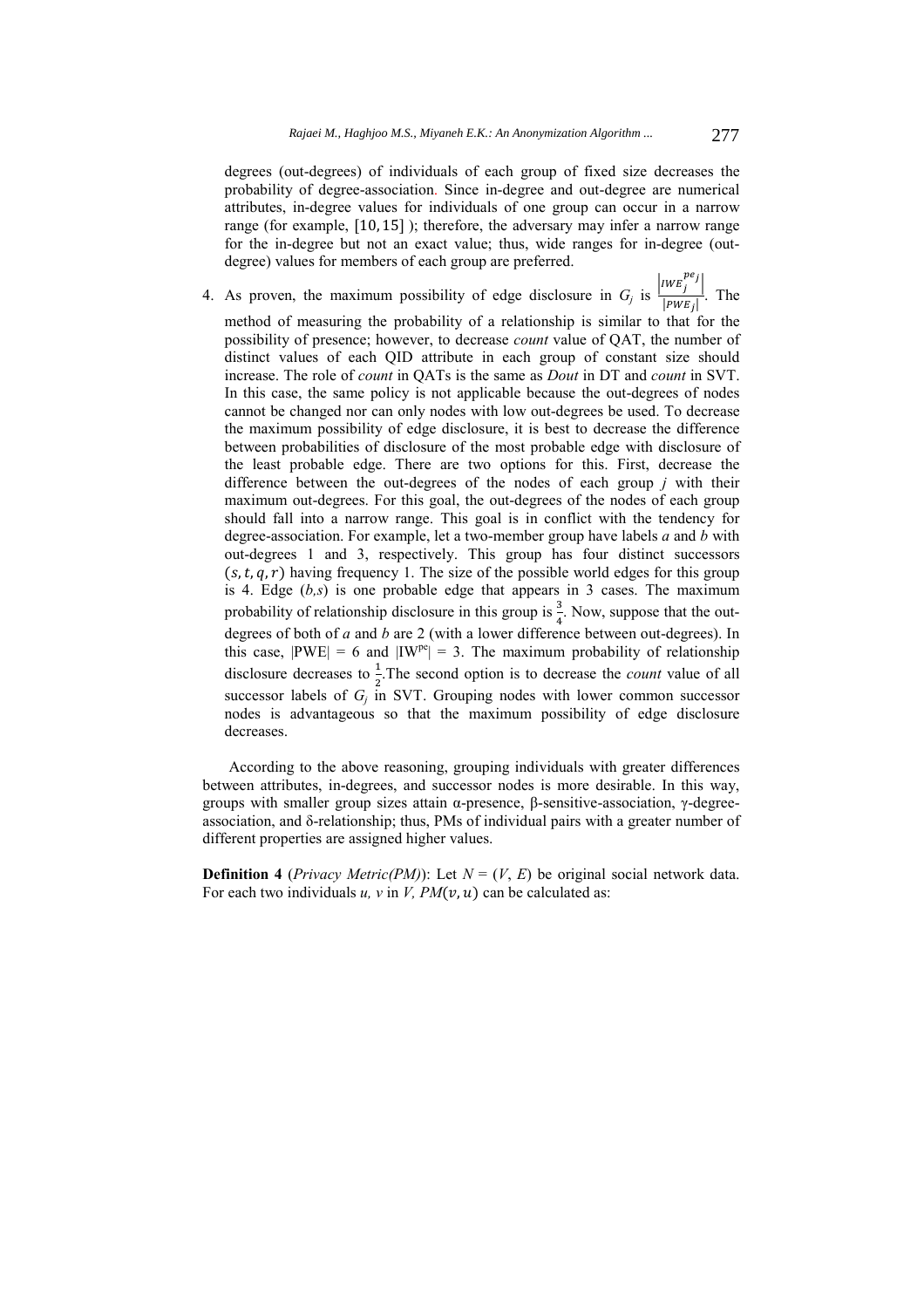degrees (out-degrees) of individuals of each group of fixed size decreases the probability of degree-association. Since in-degree and out-degree are numerical attributes, in-degree values for individuals of one group can occur in a narrow range (for example,  $[10, 15]$ ); therefore, the adversary may infer a narrow range for the in-degree but not an exact value; thus, wide ranges for in-degree (outdegree) values for members of each group are preferred.

4. As proven, the maximum possibility of edge disclosure in  $G_j$  is  $\frac{|IWE_j^{pe_j}|}{|PWE_j|}$ . The method of measuring the probability of a relationship is similar to that for the possibility of presence; however, to decrease *count* value of QAT, the number of distinct values of each QID attribute in each group of constant size should increase. The role of *count* in QATs is the same as *Dout* in DT and *count* in SVT. In this case, the same policy is not applicable because the out-degrees of nodes cannot be changed nor can only nodes with low out-degrees be used. To decrease the maximum possibility of edge disclosure, it is best to decrease the difference between probabilities of disclosure of the most probable edge with disclosure of the least probable edge. There are two options for this. First, decrease the difference between the out-degrees of the nodes of each group *j* with their maximum out-degrees. For this goal, the out-degrees of the nodes of each group should fall into a narrow range. This goal is in conflict with the tendency for degree-association. For example, let a two-member group have labels *a* and *b* with out-degrees 1 and 3, respectively. This group has four distinct successors  $(s, t, q, r)$  having frequency 1. The size of the possible world edges for this group is 4. Edge (*b,s*) is one probable edge that appears in 3 cases. The maximum probability of relationship disclosure in this group is  $\frac{3}{4}$ . Now, suppose that the outdegrees of both of *a* and *b* are 2 (with a lower difference between out-degrees). In this case,  $|PWE| = 6$  and  $|IW^{pe}| = 3$ . The maximum probability of relationship disclosure decreases to  $\frac{1}{2}$ . The second option is to decrease the *count* value of all successor labels of  $G_j$  in SVT. Grouping nodes with lower common successor nodes is advantageous so that the maximum possibility of edge disclosure decreases.

According to the above reasoning, grouping individuals with greater differences between attributes, in-degrees, and successor nodes is more desirable. In this way, groups with smaller group sizes attain α-presence, β-sensitive-association, γ-degreeassociation, and δ-relationship; thus, PMs of individual pairs with a greater number of different properties are assigned higher values.

**Definition 4** (*Privacy Metric*(*PM*)): Let  $N = (V, E)$  be original social network data. For each two individuals  $u$ ,  $v$  in  $V$ ,  $PM(v, u)$  can be calculated as: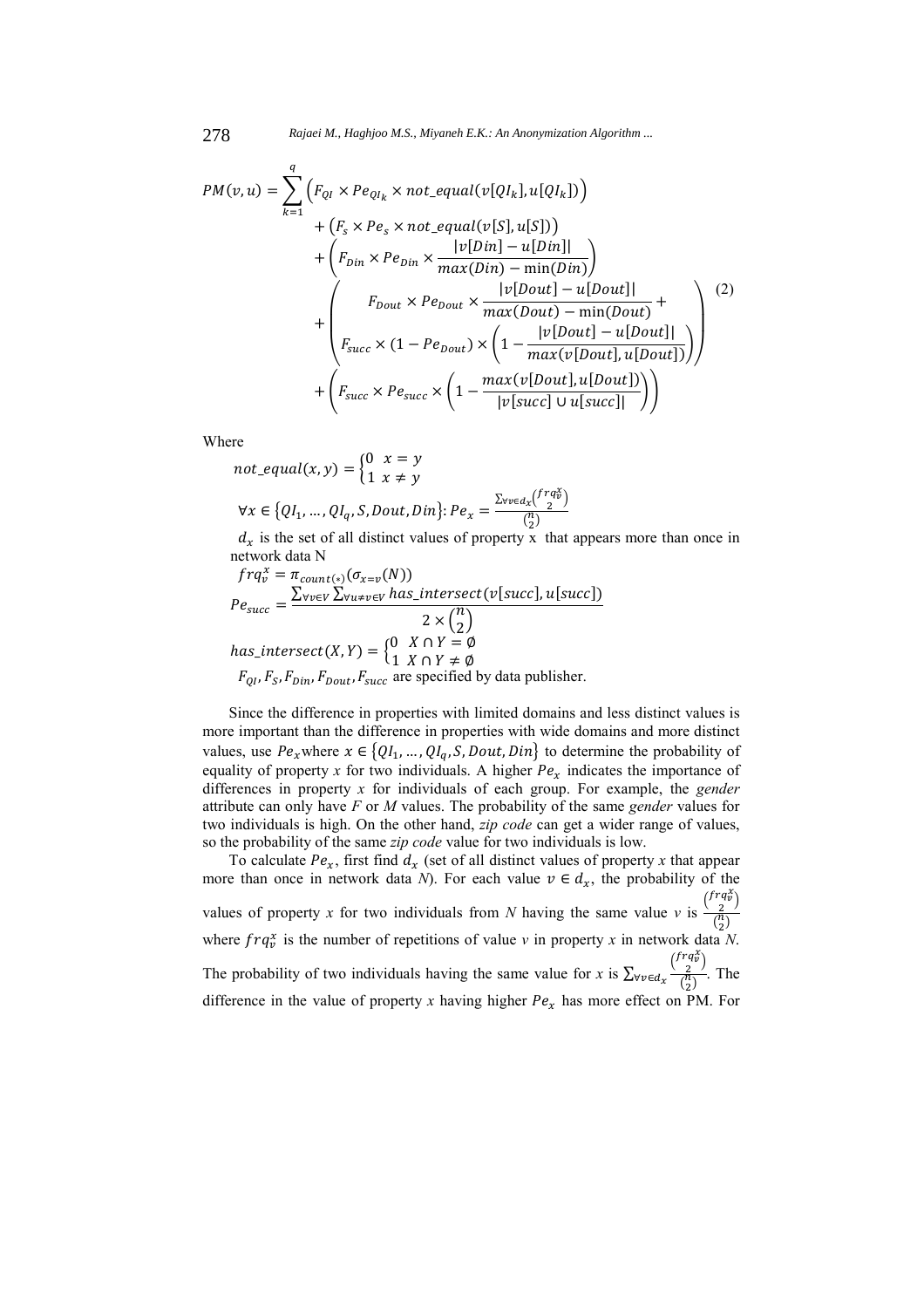$$
PM(v, u) = \sum_{k=1}^{q} \left( F_{QI} \times Pe_{QI_k} \times not\_equal(v[QI_k], u[QI_k]) \right) + \left( F_s \times Pe_s \times not\_equal(v[S], u[S]) \right) + \left( F_{Din} \times Pe_{Din} \times \frac{|v[Din] - u[Din]|}{max(Din) - min(Din)} \right) + \left( F_{Dout} \times Pe_{Dout} \times \frac{|v[Dout] - u[Dout]|}{max(Dout) - min(Dout)} + \left( F_{succ} \times (1 - Pe_{Dout}) \times \left( 1 - \frac{|v[Dout] - u[Dout]|}{max(v[Dout], u[Dout])} \right) \right) \right)
$$
(2)  
+ 
$$
\left( F_{succ} \times Pe_{succ} \times \left( 1 - \frac{max(v[Dout], u[Dout])}{|v[succ] \cup u[succ]|} \right) \right)
$$

Where

$$
not\_equal(x, y) = \begin{cases} 0 & x = y \\ 1 & x \neq y \end{cases}
$$

$$
\forall x \in \{QI_1, \dots, QI_q, S, Dout, Din\}: Pe_x = \frac{\sum_{\forall v \in d_x} {frq_v^x \choose 2}}{\binom{n}{2}}
$$

 $d_x$  is the set of all distinct values of property x that appears more than once in network data N

$$
frq_v^x = \pi_{count(*)}(\sigma_{x=v}(N))
$$
  
\n
$$
Pe_{succ} = \frac{\sum_{\forall v \in V} \sum_{\forall u \neq v \in V} has\_intersect(v[succ], u[succ])}{2 \times {n \choose 2}}
$$
  
\n
$$
has\_intersect(X, Y) = \begin{cases} 0 & X \cap Y = \emptyset \\ 1 & X \cap Y \neq \emptyset \end{cases}
$$
  
\n
$$
F_{QI}, F_S, F_{Din}, F_{Dout}, F_{succ}
$$
 are specified by data publisher.

Since the difference in properties with limited domains and less distinct values is more important than the difference in properties with wide domains and more distinct values, use  $Pe_x$ where  $x \in \{QI_1, ..., QI_q, S, Dout, Din\}$  to determine the probability of equality of property *x* for two individuals. A higher  $Pe<sub>x</sub>$  indicates the importance of differences in property *x* for individuals of each group. For example, the *gender* attribute can only have *F* or *M* values. The probability of the same *gender* values for two individuals is high. On the other hand, *zip code* can get a wider range of values, so the probability of the same *zip code* value for two individuals is low.

To calculate  $Pe_x$ , first find  $d_x$  (set of all distinct values of property *x* that appear more than once in network data *N*). For each value  $v \in d_x$ , the probability of the values of property *x* for two individuals from *N* having the same value *v* is  $\frac{\binom{frq_x^x}{2}}{\binom{n}{x}}$  $\frac{2}{\binom{n}{2}}$ where  $frq_v^x$  is the number of repetitions of value *v* in property *x* in network data *N*. The probability of two individuals having the same value for *x* is  $\sum_{\forall v \in d_{x}} \frac{\binom{frq_v^x}{2}}{\binom{n}{x}}$  $\forall v \in d_x \frac{\left(\frac{2}{n}\right)^2}{\left(\frac{n}{2}\right)}$ . The difference in the value of property *x* having higher  $Pe<sub>x</sub>$  has more effect on PM. For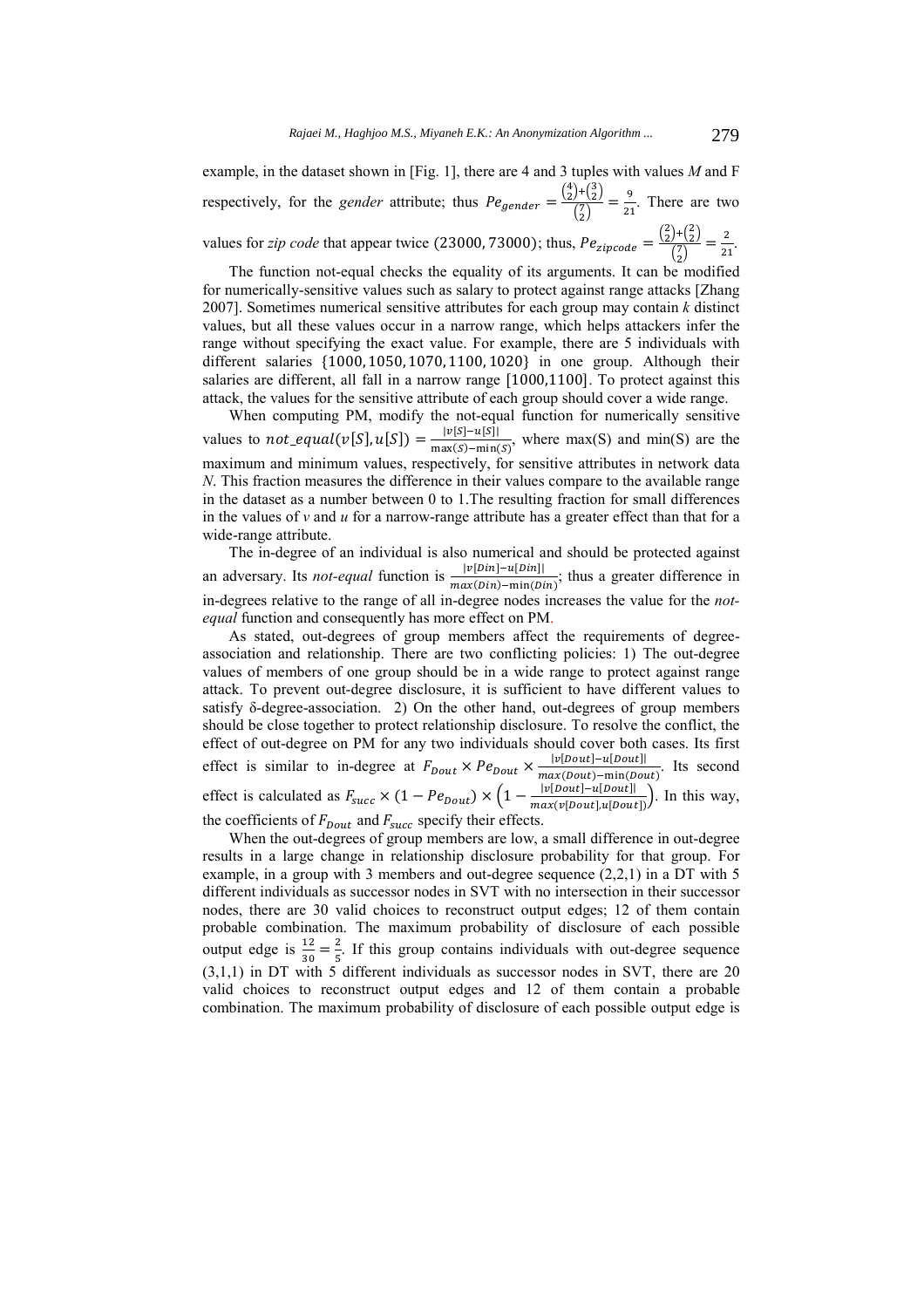example, in the dataset shown in [Fig. 1], there are 4 and 3 tuples with values *M* and F respectively, for the *gender* attribute; thus  $Pe_{gender} = \frac{\binom{4}{2} + \binom{3}{2}}{\binom{7}{2}}$  $\frac{f^{+}(z)}{\binom{7}{2}} = \frac{9}{21}$ . There are two values for *zip code* that appear twice (23000, 73000); thus,  $Pe_{zipcode} = \frac{{2 \choose 2} + {2 \choose 2}}{{7 \choose 2}}$ 

 $\frac{f^{+}(\frac{5}{2})}{\binom{7}{2}} = \frac{2}{21}.$ 

The function not-equal checks the equality of its arguments. It can be modified for numerically-sensitive values such as salary to protect against range attacks [Zhang 2007]. Sometimes numerical sensitive attributes for each group may contain *k* distinct values, but all these values occur in a narrow range, which helps attackers infer the range without specifying the exact value. For example, there are 5 individuals with different salaries {1000, 1050, 1070, 1100, 1020} in one group. Although their salaries are different, all fall in a narrow range [1000,1100]. To protect against this attack, the values for the sensitive attribute of each group should cover a wide range.

When computing PM, modify the not-equal function for numerically sensitive values to not\_equal(v[S],  $u[S]$ ) =  $\frac{|v[S] - u[S]|}{max(S) - min(S)}$ , where max(S) and min(S) are the maximum and minimum values, respectively, for sensitive attributes in network data *N*. This fraction measures the difference in their values compare to the available range in the dataset as a number between 0 to 1.The resulting fraction for small differences in the values of *v* and *u* for a narrow-range attribute has a greater effect than that for a wide-range attribute.

The in-degree of an individual is also numerical and should be protected against an adversary. Its *not-equal* function is  $\frac{|v[Din]-u[Din]|}{max(Din)-min(Din)}$ ; thus a greater difference in in-degrees relative to the range of all in-degree nodes increases the value for the *notequal* function and consequently has more effect on PM.

As stated, out-degrees of group members affect the requirements of degreeassociation and relationship. There are two conflicting policies: 1) The out-degree values of members of one group should be in a wide range to protect against range attack. To prevent out-degree disclosure, it is sufficient to have different values to satisfy δ-degree-association. 2) On the other hand, out-degrees of group members should be close together to protect relationship disclosure. To resolve the conflict, the effect of out-degree on PM for any two individuals should cover both cases. Its first effect is similar to in-degree at  $F_{Dout} \times Pe_{Dout} \times \frac{|v[Dout]-u[Dout]|}{max(Dout)-min(Dout)}$ . Its second effect is calculated as  $F_{succ} \times (1 - Pe_{Dout}) \times \left(1 - \frac{|v[Dout] - u[Dout]|}{max(v[Dout], u[Dout])}\right)$ . In this way, the coefficients of  $F_{Dout}$  and  $F_{succ}$  specify their effects.

When the out-degrees of group members are low, a small difference in out-degree results in a large change in relationship disclosure probability for that group. For example, in a group with 3 members and out-degree sequence (2,2,1) in a DT with 5 different individuals as successor nodes in SVT with no intersection in their successor nodes, there are 30 valid choices to reconstruct output edges; 12 of them contain probable combination. The maximum probability of disclosure of each possible output edge is  $\frac{12}{30} = \frac{2}{5}$ . If this group contains individuals with out-degree sequence (3,1,1) in DT with 5 different individuals as successor nodes in SVT, there are 20 valid choices to reconstruct output edges and 12 of them contain a probable combination. The maximum probability of disclosure of each possible output edge is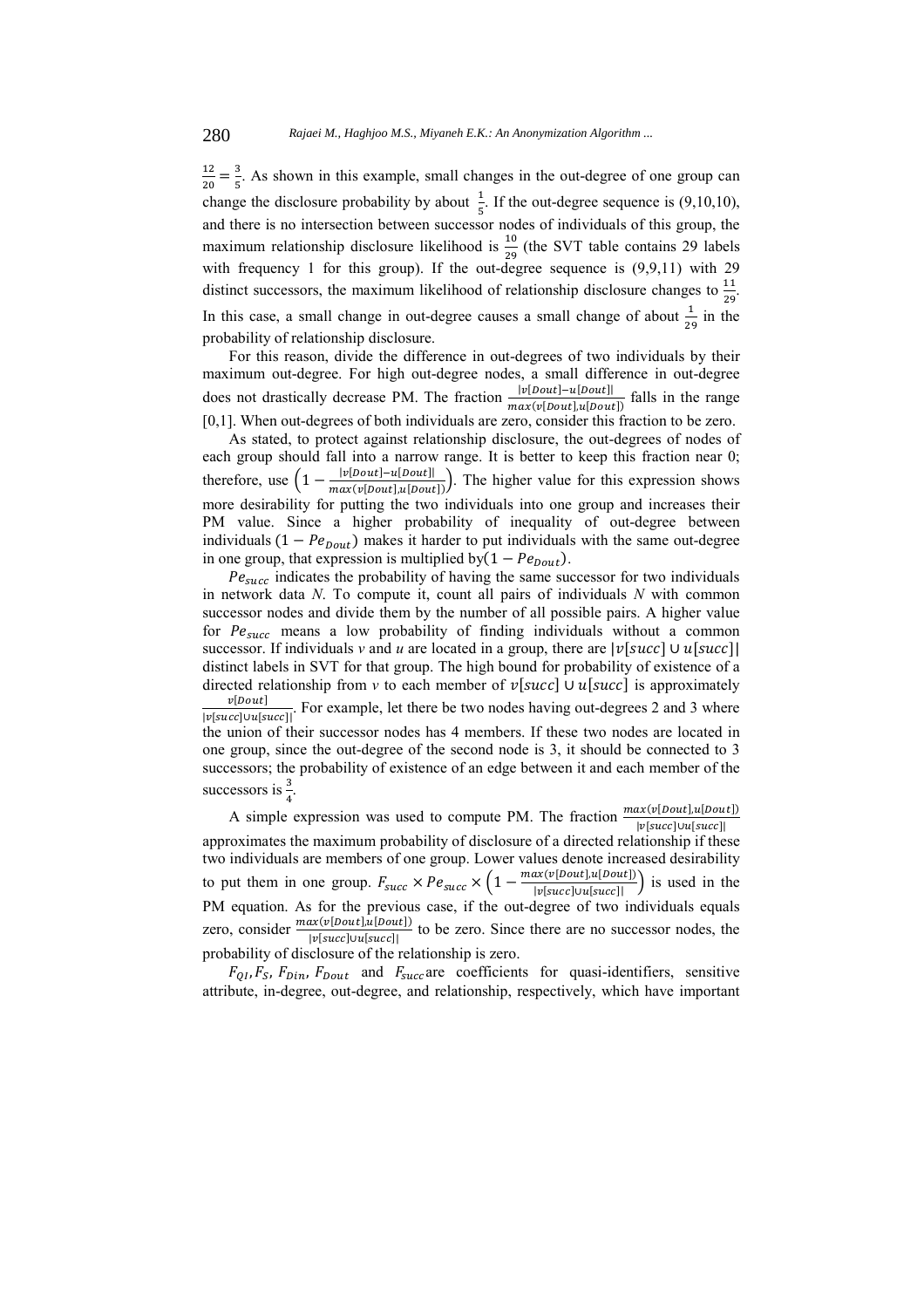$\frac{12}{20} = \frac{3}{5}$ . As shown in this example, small changes in the out-degree of one group can change the disclosure probability by about  $\frac{1}{5}$ . If the out-degree sequence is (9,10,10), and there is no intersection between successor nodes of individuals of this group, the maximum relationship disclosure likelihood is  $\frac{10}{29}$  (the SVT table contains 29 labels with frequency 1 for this group). If the out-degree sequence is (9,9,11) with 29 distinct successors, the maximum likelihood of relationship disclosure changes to  $\frac{11}{29}$ . In this case, a small change in out-degree causes a small change of about  $\frac{1}{29}$  in the probability of relationship disclosure.

For this reason, divide the difference in out-degrees of two individuals by their maximum out-degree. For high out-degree nodes, a small difference in out-degree does not drastically decrease PM. The fraction  $\frac{|v[Dout]-u[Dout]|}{max(v[Dout],u[Dout])}$  falls in the range [0,1]. When out-degrees of both individuals are zero, consider this fraction to be zero.

As stated, to protect against relationship disclosure, the out-degrees of nodes of each group should fall into a narrow range. It is better to keep this fraction near 0; therefore, use  $\left(1 - \frac{|v[Dout]-u[Dout]|}{max(v[Dout],u[Dout])}\right)$ . The higher value for this expression shows more desirability for putting the two individuals into one group and increases their PM value. Since a higher probability of inequality of out-degree between individuals  $(1 - Pe_{Dout})$  makes it harder to put individuals with the same out-degree in one group, that expression is multiplied by $(1 - Pe_{Dout})$ .

 $Pe<sub>succ</sub>$  indicates the probability of having the same successor for two individuals in network data *N*. To compute it, count all pairs of individuals *N* with common successor nodes and divide them by the number of all possible pairs. A higher value for  $Pe_{succ}$  means a low probability of finding individuals without a common successor. If individuals *v* and *u* are located in a group, there are  $|\nu[\text{succ}] \cup \nu[\text{succ}]$ distinct labels in SVT for that group. The high bound for probability of existence of a directed relationship from *v* to each member of  $v[succ]$  ∪  $u[succ]$  is approximately  $v[$ Dout $]$  $\frac{V[\text{Doul}]}{|v[\text{succ}]\cup u[\text{succ}]}$ . For example, let there be two nodes having out-degrees 2 and 3 where the union of their successor nodes has 4 members. If these two nodes are located in one group, since the out-degree of the second node is 3, it should be connected to 3 successors; the probability of existence of an edge between it and each member of the successors is  $\frac{3}{5}$ .

A simple expression was used to compute PM. The fraction  $\frac{max(v[Dout], u[Dout])}{|v[succ] \cup [succ]}$ approximates the maximum probability of disclosure of a directed relationship if these two individuals are members of one group. Lower values denote increased desirability to put them in one group.  $F_{succ} \times Pe_{succ} \times \left(1 - \frac{max(v[Dout], u[Dout])}{|v[succ] \cup u[succ]|} \right)$  is used in the PM equation. As for the previous case, if the out-degree of two individuals equals zero, consider  $\frac{max(v[Dout], u[Dout])}{|v[succ] \cup u[succ]}$  to be zero. Since there are no successor nodes, the probability of disclosure of the relationship is zero.

 $F_{QI}$ ,  $F_S$ ,  $F_{Din}$ ,  $F_{Dout}$  and  $F_{succ}$  are coefficients for quasi-identifiers, sensitive attribute, in-degree, out-degree, and relationship, respectively, which have important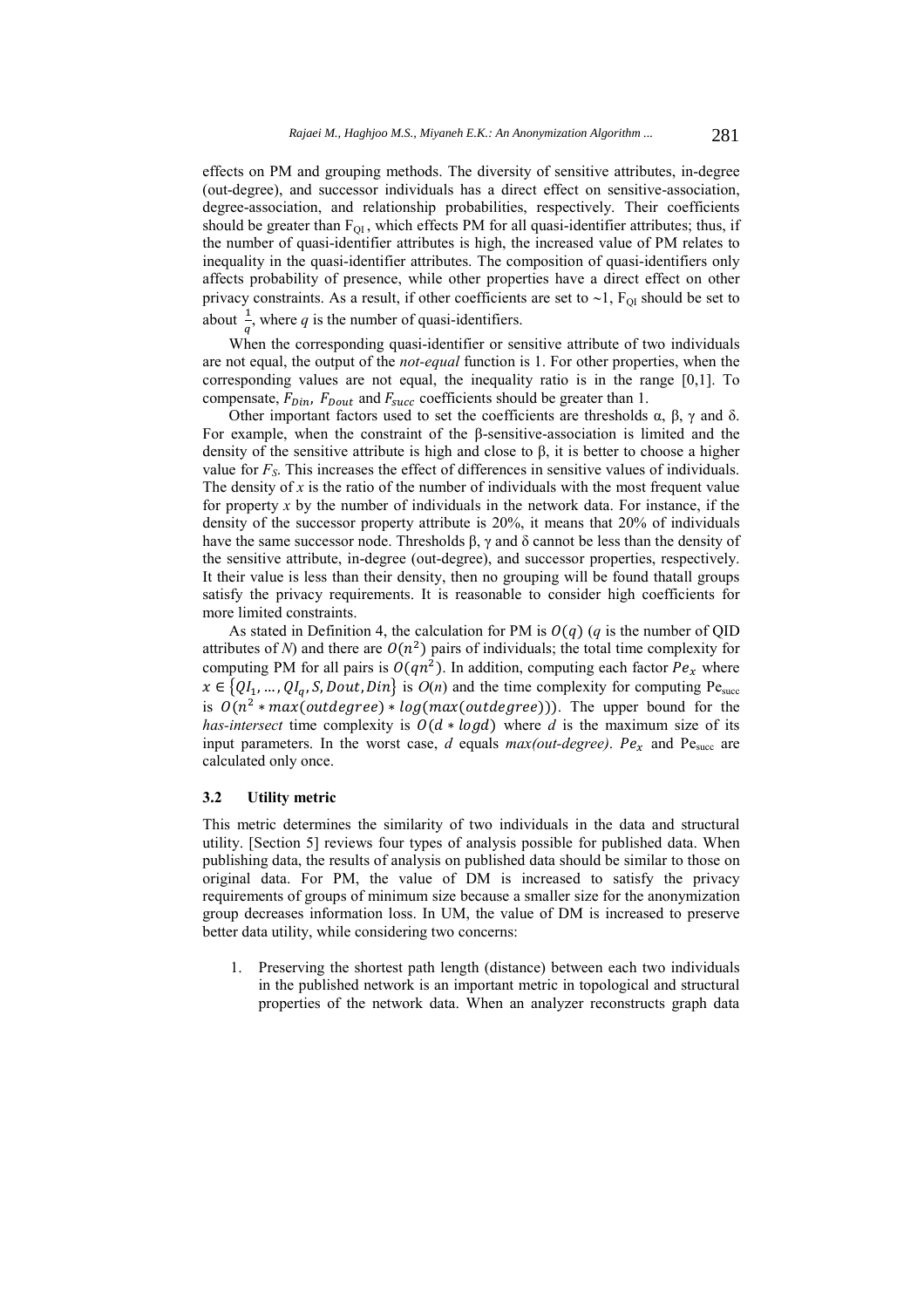effects on PM and grouping methods. The diversity of sensitive attributes, in-degree (out-degree), and successor individuals has a direct effect on sensitive-association, degree-association, and relationship probabilities, respectively. Their coefficients should be greater than  $F_{\text{OL}}$ , which effects PM for all quasi-identifier attributes; thus, if the number of quasi-identifier attributes is high, the increased value of PM relates to inequality in the quasi-identifier attributes. The composition of quasi-identifiers only affects probability of presence, while other properties have a direct effect on other privacy constraints. As a result, if other coefficients are set to  $\sim$  1,  $F_{QI}$  should be set to about  $\frac{1}{q}$ , where *q* is the number of quasi-identifiers.

When the corresponding quasi-identifier or sensitive attribute of two individuals are not equal, the output of the *not-equal* function is 1. For other properties, when the corresponding values are not equal, the inequality ratio is in the range [0,1]. To compensate,  $F_{Din}$ ,  $F_{Dout}$  and  $F_{succ}$  coefficients should be greater than 1.

Other important factors used to set the coefficients are thresholds  $\alpha$ ,  $\beta$ ,  $\gamma$  and δ. For example, when the constraint of the β-sensitive-association is limited and the density of the sensitive attribute is high and close to  $\beta$ , it is better to choose a higher value for *FS*. This increases the effect of differences in sensitive values of individuals. The density of *x* is the ratio of the number of individuals with the most frequent value for property *x* by the number of individuals in the network data. For instance, if the density of the successor property attribute is 20%, it means that 20% of individuals have the same successor node. Thresholds β, γ and δ cannot be less than the density of the sensitive attribute, in-degree (out-degree), and successor properties, respectively. It their value is less than their density, then no grouping will be found thatall groups satisfy the privacy requirements. It is reasonable to consider high coefficients for more limited constraints.

As stated in Definition 4, the calculation for PM is  $O(q)$  (q is the number of QID attributes of *N*) and there are  $O(n^2)$  pairs of individuals; the total time complexity for computing PM for all pairs is  $O(qn^2)$ . In addition, computing each factor  $Pe_x$  where  $x \in \{QI_1, ..., QI_q, S, Dout, Din\}$  is  $O(n)$  and the time complexity for computing Pe<sub>succ</sub> is  $O(n^2 * max(outdegree) * log(max(outdegree))$ ). The upper bound for the *has-intersect* time complexity is  $O(d * log d)$  where *d* is the maximum size of its input parameters. In the worst case,  $d$  equals  $max(out-degree)$ .  $Pe_x$  and  $Pe_{succ}$  are calculated only once.

#### **3.2 Utility metric**

This metric determines the similarity of two individuals in the data and structural utility. [Section 5] reviews four types of analysis possible for published data. When publishing data, the results of analysis on published data should be similar to those on original data. For PM, the value of DM is increased to satisfy the privacy requirements of groups of minimum size because a smaller size for the anonymization group decreases information loss. In UM, the value of DM is increased to preserve better data utility, while considering two concerns:

1. Preserving the shortest path length (distance) between each two individuals in the published network is an important metric in topological and structural properties of the network data. When an analyzer reconstructs graph data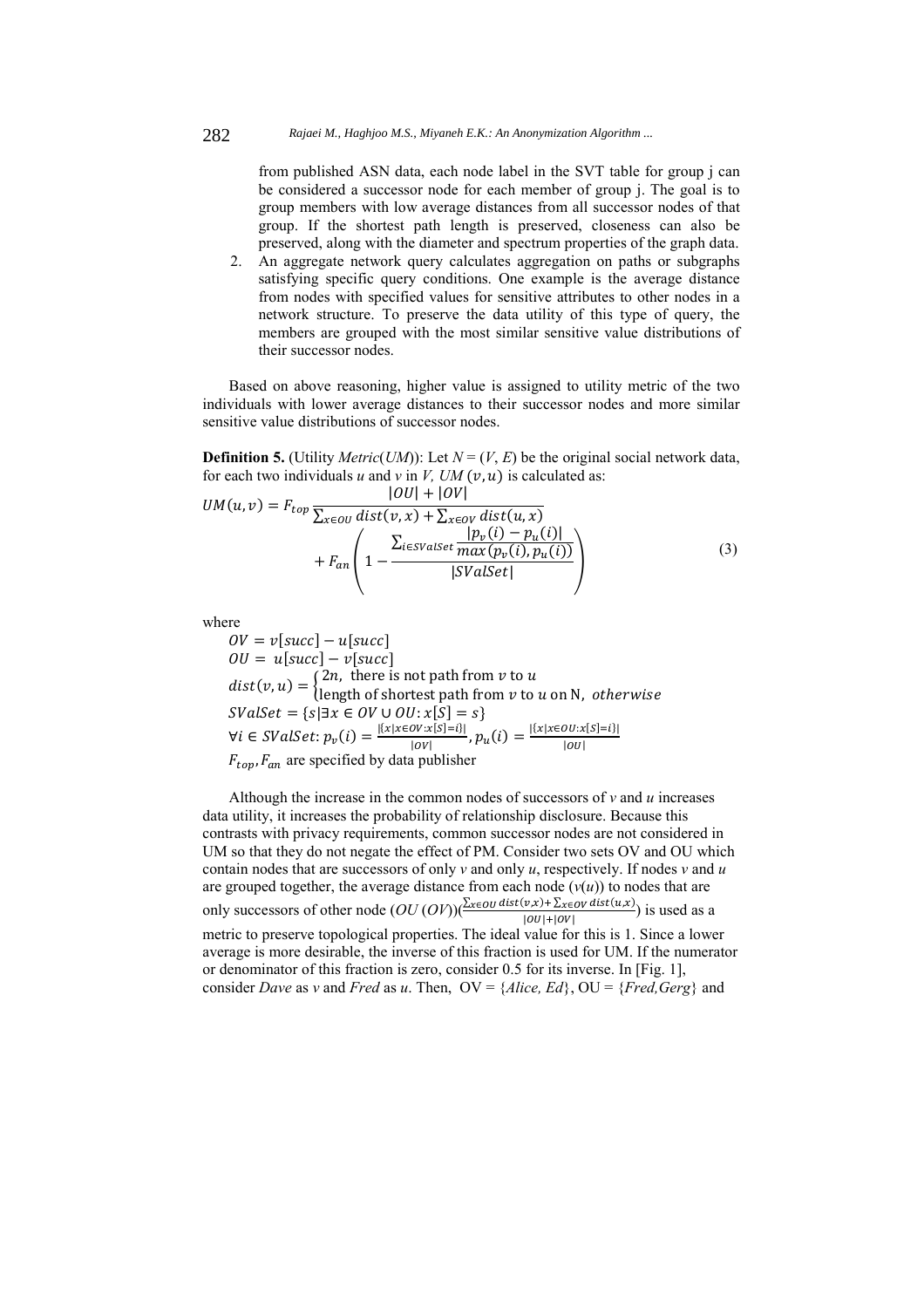from published ASN data, each node label in the SVT table for group j can be considered a successor node for each member of group j. The goal is to group members with low average distances from all successor nodes of that group. If the shortest path length is preserved, closeness can also be preserved, along with the diameter and spectrum properties of the graph data.

2. An aggregate network query calculates aggregation on paths or subgraphs satisfying specific query conditions. One example is the average distance from nodes with specified values for sensitive attributes to other nodes in a network structure. To preserve the data utility of this type of query, the members are grouped with the most similar sensitive value distributions of their successor nodes.

Based on above reasoning, higher value is assigned to utility metric of the two individuals with lower average distances to their successor nodes and more similar sensitive value distributions of successor nodes.

**Definition 5.** (Utility *Metric*(*UM*)): Let  $N = (V, E)$  be the original social network data, for each two individuals  $u$  and  $v$  in  $V$ ,  $UM (v, u)$  is calculated as:  $|OII|$  +  $|OII|$ 

$$
UM(u, v) = F_{top} \frac{|UU| + |UV|}{\sum_{x \in OU} dist(v, x) + \sum_{x \in OV} dist(u, x)} + F_{an} \left( 1 - \frac{\sum_{i \in SValSet} \frac{|p_v(i) - p_u(i)|}{max(p_v(i), p_u(i))}}{|SValSet|} \right)
$$
(3)

where

 $\hat{O}V = v[succ] - u[succ]$  $\partial U = u[succ] - v[succ]$  $dist(v, u) = \begin{cases} 2n, \text{ there is not path from } v \text{ to } u \\ \text{length of shortest path from } v \text{ to } u \text{ on N, } otherwise \end{cases}$  $SValSet = \{s | \exists x \in OV \cup OU : x[S] = s\}$  $\forall i \in SValSet: p_v(i) = \frac{|\{x | x \in OV: x[S] = i\}|}{|OV|}$ ,  $p_u(i) = \frac{|\{x | x \in OU: x[S] = i\}|}{|OU|}$  $F_{\text{top}}$ ,  $F_{\text{an}}$  are specified by data publisher

Although the increase in the common nodes of successors of *v* and *u* increases data utility, it increases the probability of relationship disclosure. Because this contrasts with privacy requirements, common successor nodes are not considered in UM so that they do not negate the effect of PM. Consider two sets OV and OU which contain nodes that are successors of only *v* and only *u*, respectively. If nodes *v* and *u*  are grouped together, the average distance from each node  $(v(u))$  to nodes that are only successors of other node  $(OU(OV))\left(\frac{\sum_{x \in OU} dist(v, x) + \sum_{x \in OV} dist(u, x)}{|OU| + |OV|}\right)$  is used as a metric to preserve topological properties. The ideal value for this is 1. Since a lower average is more desirable, the inverse of this fraction is used for UM. If the numerator or denominator of this fraction is zero, consider 0.5 for its inverse. In [Fig. 1], consider *Dave* as *v* and *Fred* as *u*. Then,  $OV = \{Alice, Ed\}$ ,  $OU = \{Fred, Gerg\}$  and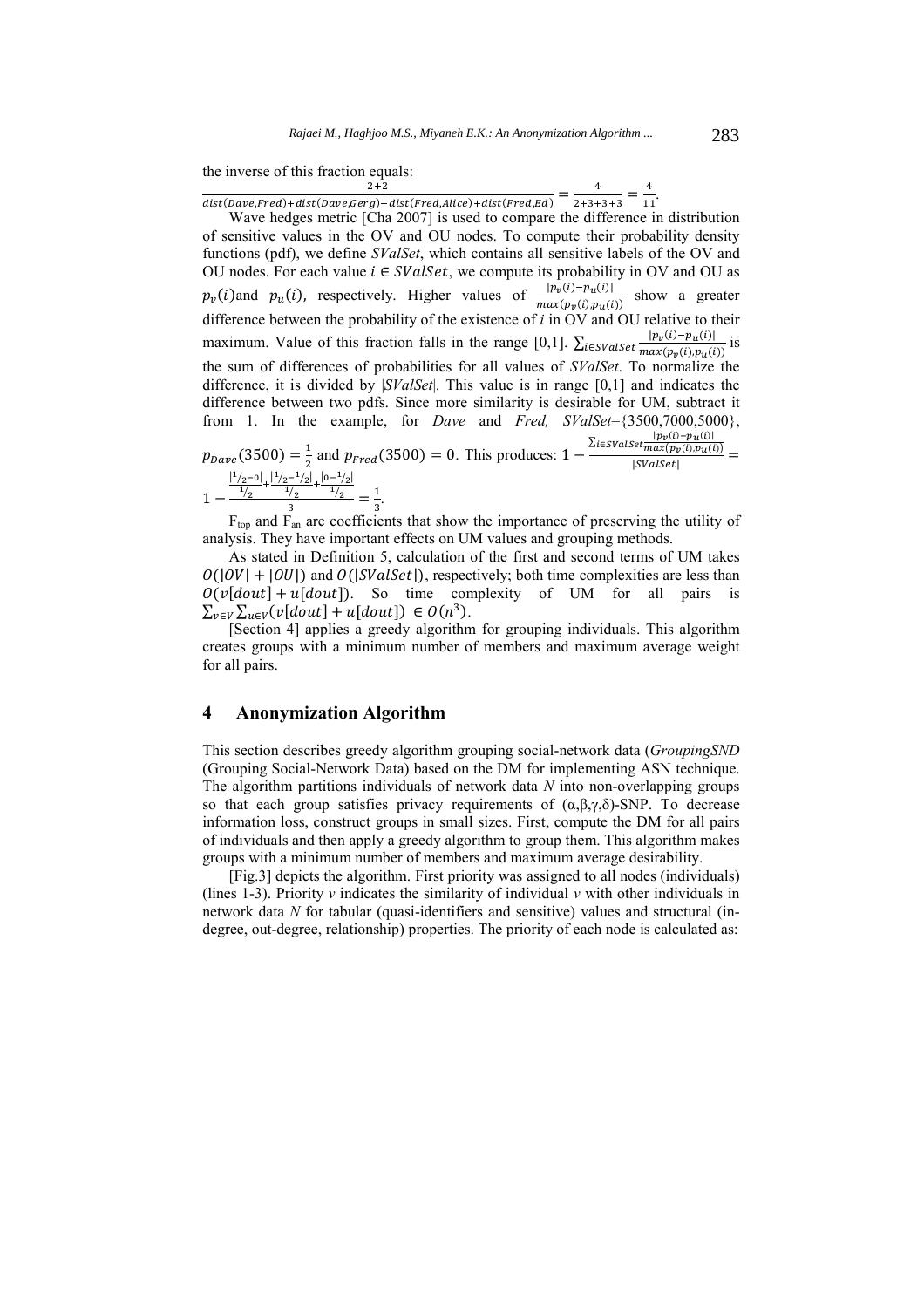the inverse of this fraction equals:

 $\frac{2+2}{dist(Dave, Fred)+dist(Dave, Gerg)+dist(Fred, Alice)+dist(Fred, Ed)} = \frac{4}{2+3+3+3} = \frac{4}{11}.$ 

Wave hedges metric [Cha 2007] is used to compare the difference in distribution of sensitive values in the OV and OU nodes. To compute their probability density functions (pdf), we define *SValSet*, which contains all sensitive labels of the OV and OU nodes. For each value  $i \in \text{SValSet}$ , we compute its probability in OV and OU as  $p_v(i)$ and  $p_u(i)$ , respectively. Higher values of  $\frac{|p_v(i) - p_u(i)|}{max(p_v(i), p_u(i))}$  show a greater difference between the probability of the existence of *i* in OV and OU relative to their maximum. Value of this fraction falls in the range [0,1].  $\sum_{i \in SValSet} \frac{|p_v(i) - p_u(i)|}{max(p_v(i), p_u(i))}$  is the sum of differences of probabilities for all values of *SValSet*. To normalize the difference, it is divided by |*SValSet*|. This value is in range [0,1] and indicates the difference between two pdfs. Since more similarity is desirable for UM, subtract it from 1. In the example, for *Dave* and *Fred, SValSet*={3500,7000,5000},  $p_{\text{Dave}}(3500) = \frac{1}{2}$  and  $p_{\text{Fred}}(3500) = 0$ . This produces: 1 –  $\frac{\sum_{i \in SValSet} \frac{|p_v(i) - p_u(i)|}{\max(p_v(i), p_u(i))}}{|SValSet|} =$ 

$$
1-\frac{\frac{|1/2-0|}{1/2}+\frac{|1/2-1/2|}{1/2}+\frac{|0-1/2|}{1/2}}{3}=\frac{1}{3}.
$$

 $F_{\text{top}}$  and  $F_{\text{an}}$  are coefficients that show the importance of preserving the utility of analysis. They have important effects on UM values and grouping methods.

As stated in Definition 5, calculation of the first and second terms of UM takes  $O(|OV| + |OU|)$  and  $O(|SValSet|)$ , respectively; both time complexities are less than  $O(v[dout] + u[dout])$ . So time complexity of UM for all pairs is  $\sum_{v \in V} \sum_{u \in V} (v[dout] + u[dout]) \in O(n^3)$ .

[Section 4] applies a greedy algorithm for grouping individuals. This algorithm creates groups with a minimum number of members and maximum average weight for all pairs.

# **4 Anonymization Algorithm**

This section describes greedy algorithm grouping social-network data (*GroupingSND* (Grouping Social-Network Data) based on the DM for implementing ASN technique. The algorithm partitions individuals of network data *N* into non-overlapping groups so that each group satisfies privacy requirements of  $(\alpha, \beta, \gamma, \delta)$ -SNP. To decrease information loss, construct groups in small sizes. First, compute the DM for all pairs of individuals and then apply a greedy algorithm to group them. This algorithm makes groups with a minimum number of members and maximum average desirability.

[Fig.3] depicts the algorithm. First priority was assigned to all nodes (individuals) (lines 1-3). Priority  $\nu$  indicates the similarity of individual  $\nu$  with other individuals in network data *N* for tabular (quasi-identifiers and sensitive) values and structural (indegree, out-degree, relationship) properties. The priority of each node is calculated as: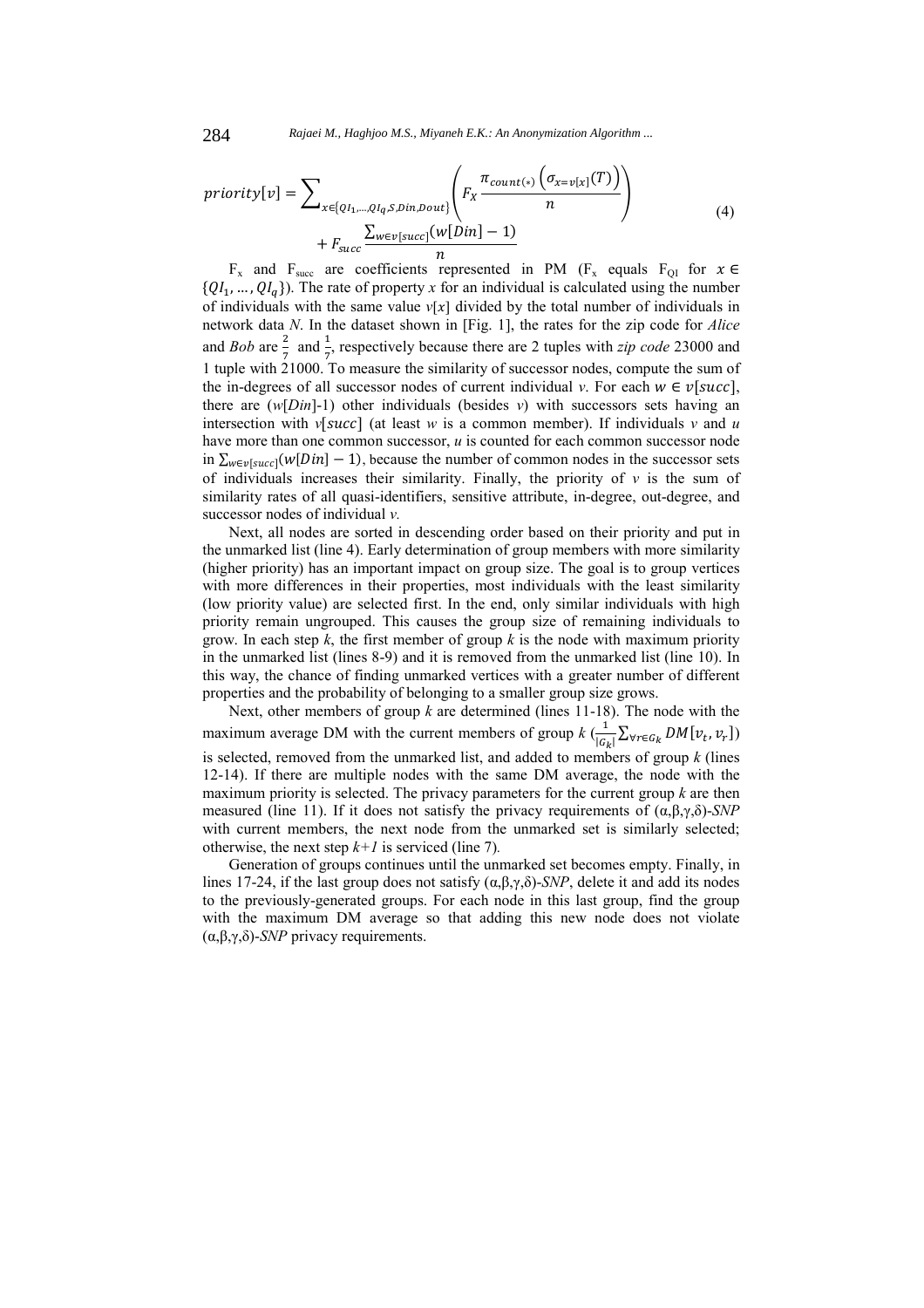284 *Rajaei M., Haghjoo M.S., Miyaneh E.K.: An Anonymization Algorithm ...*

$$
priority[v] = \sum_{x \in \{QI_1, \dots, QI_q, S, Din, Doub}\n} \left( F_X \frac{\pi_{count(*)} \left( \sigma_{x=v[x]}(T) \right)}{n} \right) + F_{succ} \frac{\sum_{w \in v[succ]}(w[Dim] - 1)}{n} \tag{4}
$$

F<sub>x</sub> and F<sub>succ</sub> are coefficients represented in PM (F<sub>x</sub> equals F<sub>QI</sub> for  $x \in$  $\{QI_1, ..., QI_q\}$ ). The rate of property *x* for an individual is calculated using the number of individuals with the same value  $v[x]$  divided by the total number of individuals in network data *N*. In the dataset shown in [Fig. 1], the rates for the zip code for *Alice*  and *Bob* are  $\frac{2}{7}$  and  $\frac{1}{7}$ , respectively because there are 2 tuples with *zip code* 23000 and 1 tuple with 21000. To measure the similarity of successor nodes, compute the sum of the in-degrees of all successor nodes of current individual *v*. For each  $w \in v[succ]$ , there are  $(w[Din]-1)$  other individuals (besides *v*) with successors sets having an intersection with  $v[succ]$  (at least *w* is a common member). If individuals *v* and *u* have more than one common successor, *u* is counted for each common successor node in  $\sum_{w \in v} [w[Din] - 1]$ , because the number of common nodes in the successor sets of individuals increases their similarity. Finally, the priority of  $\nu$  is the sum of similarity rates of all quasi-identifiers, sensitive attribute, in-degree, out-degree, and successor nodes of individual *v.* 

Next, all nodes are sorted in descending order based on their priority and put in the unmarked list (line 4). Early determination of group members with more similarity (higher priority) has an important impact on group size. The goal is to group vertices with more differences in their properties, most individuals with the least similarity (low priority value) are selected first. In the end, only similar individuals with high priority remain ungrouped. This causes the group size of remaining individuals to grow. In each step *k*, the first member of group *k* is the node with maximum priority in the unmarked list (lines 8-9) and it is removed from the unmarked list (line 10). In this way, the chance of finding unmarked vertices with a greater number of different properties and the probability of belonging to a smaller group size grows.

Next, other members of group *k* are determined (lines 11-18). The node with the maximum average DM with the current members of group  $k \left( \frac{1}{|G_k|} \sum_{\forall r \in G_k} DM[v_t, v_r] \right)$ is selected, removed from the unmarked list, and added to members of group *k* (lines 12-14). If there are multiple nodes with the same DM average, the node with the maximum priority is selected. The privacy parameters for the current group *k* are then measured (line 11). If it does not satisfy the privacy requirements of (α,β,γ,δ)-*SNP* with current members, the next node from the unmarked set is similarly selected; otherwise, the next step  $k+1$  is serviced (line 7).

Generation of groups continues until the unmarked set becomes empty. Finally, in lines 17-24, if the last group does not satisfy  $(α, β, γ, δ)$ -*SNP*, delete it and add its nodes to the previously-generated groups. For each node in this last group, find the group with the maximum DM average so that adding this new node does not violate (α,β,γ,δ)-*SNP* privacy requirements.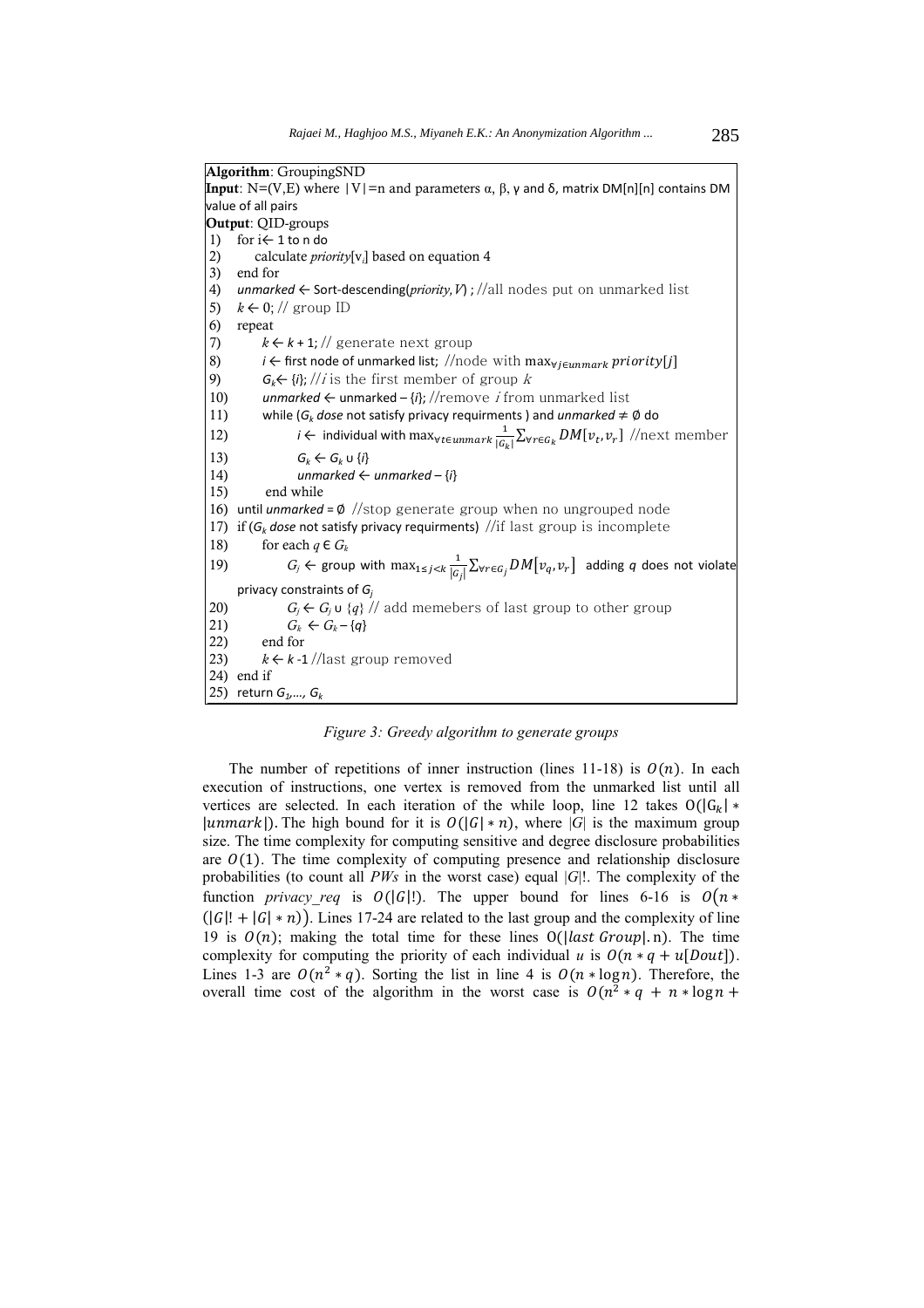**Algorithm**: GroupingSND **Input**: N=(V,E) where |V|=n and parameters α, β, γ and δ, matrix DM[n][n] contains DM value of all pairs **Output**: QID-groups 1) for i← 1 to n do 2) calculate *priority*[v*<sup>i</sup>* ] based on equation 4 3) end for 4) *unmarked* ← Sort-descending(*priority,V*) ; //all nodes put on unmarked list 5)  $k \leftarrow 0$ ; // group ID 6) repeat 7)  $k \leftarrow k + 1$ ; // generate next group 8) *i* ← first node of unmarked list; //node with max<sub>∀i∈unmark</sub> priority[j] 9)  $G_k \leftarrow \{i\}; // i$  is the first member of group k 10) *unmarked* ← unmarked – {*i*}; //remove i from unmarked list 11) while ( $G_k$  dose not satisfy privacy requirments ) and *unmarked*  $\neq \emptyset$  do 12) *i* ← individual with max $v_t \in \frac{1}{C}$  $\frac{1}{|G_k|}\sum_{\forall r \in G_k} DM[v_t, v_r]$  //next member 13)  $G_k \leftarrow G_k \cup \{i\}$ 14)  $\qquad \qquad \text{unmarked} \leftarrow \text{unmarked} - \{i\}$ 15) end while 16) until *unmarked* = ∅ //stop generate group when no ungrouped node 17) if  $(G_k$  dose not satisfy privacy requirments) //if last group is incomplete 18) for each  $q \in G_k$ 19)  $G_j \leftarrow \text{group with } \max_{1 \leq j < k} \frac{1}{|G|}$  $\frac{1}{|G_j|}\sum_{\forall r\in G_j} DM[v_q, v_r]$  adding *q* does not violate privacy constraints of *Gj* 20)  $G_i \leftarrow G_i \cup \{q\}$  // add memebers of last group to other group 21)  $G_k \leftarrow G_k - \{q\}$ <br>22) end for end for 23)  $k \leftarrow k - 1$  //last group removed 24) end if 25) return  $G_1, ..., G_k$ 

*Figure 3: Greedy algorithm to generate groups* 

The number of repetitions of inner instruction (lines 11-18) is  $O(n)$ . In each execution of instructions, one vertex is removed from the unmarked list until all vertices are selected. In each iteration of the while loop, line 12 takes  $O(|G_k| *$ |unmark|). The high bound for it is  $O(|G| * n)$ , where |*G*| is the maximum group size. The time complexity for computing sensitive and degree disclosure probabilities are  $O(1)$ . The time complexity of computing presence and relationship disclosure probabilities (to count all *PWs* in the worst case) equal |*G*|!. The complexity of the function *privacy\_req* is  $O(|G|!)$ . The upper bound for lines 6-16 is  $O(n *$  $(|G|! + |G| * n)$ ). Lines 17-24 are related to the last group and the complexity of line 19 is  $O(n)$ ; making the total time for these lines  $O(\frac{1}{\alpha} t \cdot G \cdot \alpha v \cdot h)$ . The time complexity for computing the priority of each individual *u* is  $O(n * q + u[Dout])$ . Lines 1-3 are  $O(n^2 * q)$ . Sorting the list in line 4 is  $O(n * log n)$ . Therefore, the overall time cost of the algorithm in the worst case is  $O(n^2 * q + n * \log n +$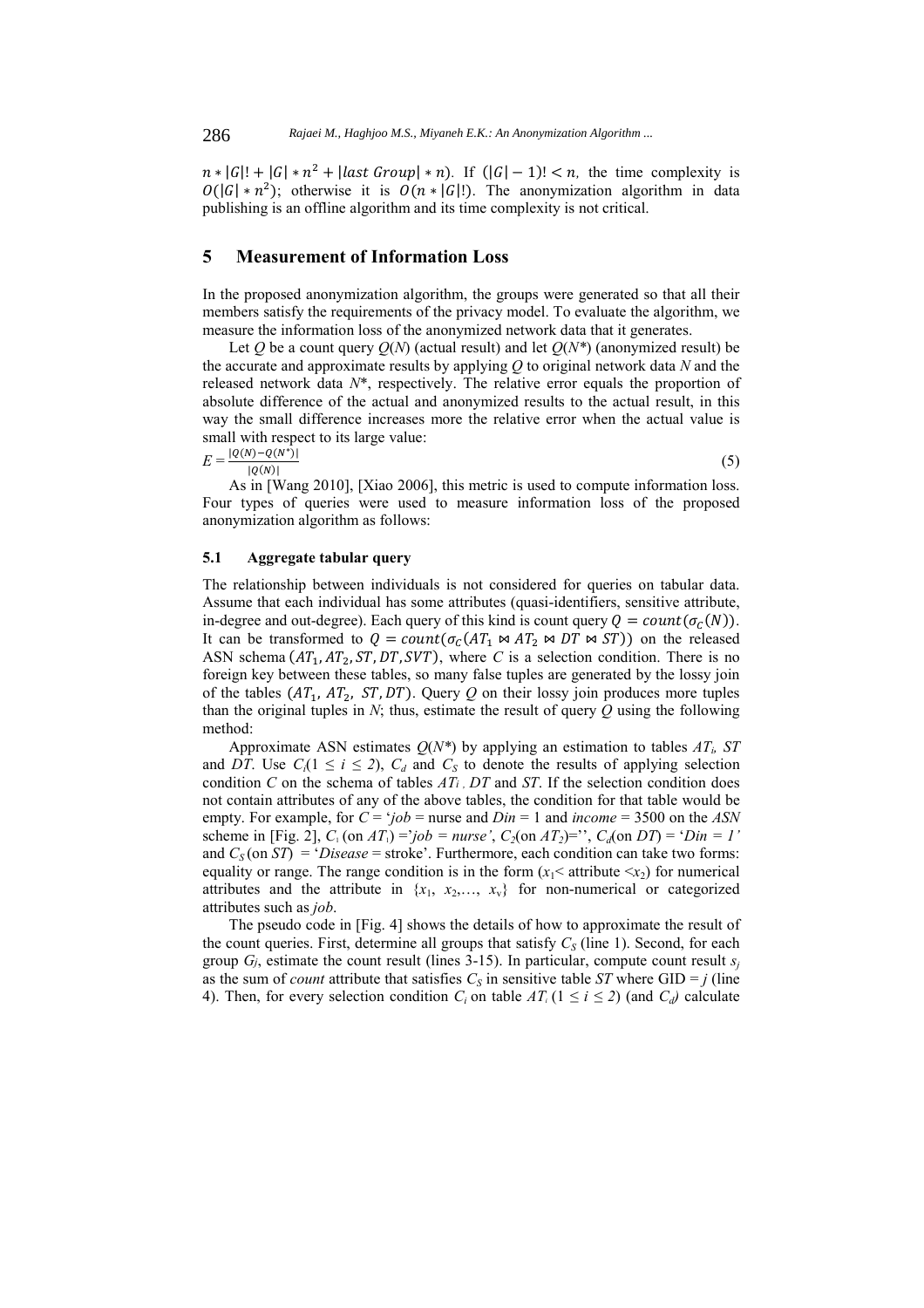$n \times |G|! + |G| \times n^2 + |\text{last Group}| \times n|$ . If  $(|G| - 1)! < n$ , the time complexity is  $O(|G| * n^2)$ ; otherwise it is  $O(n * |G|!)$ . The anonymization algorithm in data publishing is an offline algorithm and its time complexity is not critical.

# **5 Measurement of Information Loss**

In the proposed anonymization algorithm, the groups were generated so that all their members satisfy the requirements of the privacy model. To evaluate the algorithm, we measure the information loss of the anonymized network data that it generates.

Let *Q* be a count query  $O(N)$  (actual result) and let  $O(N^*)$  (anonymized result) be the accurate and approximate results by applying *Q* to original network data *N* and the released network data *N*\*, respectively. The relative error equals the proportion of absolute difference of the actual and anonymized results to the actual result, in this way the small difference increases more the relative error when the actual value is small with respect to its large value:

 $E = \frac{|Q(N) - Q(N^*)|}{|Q(N)|}$  $\frac{1}{|Q(N)|}$  (5)

As in [Wang 2010], [Xiao 2006], this metric is used to compute information loss. Four types of queries were used to measure information loss of the proposed anonymization algorithm as follows:

### **5.1 Aggregate tabular query**

The relationship between individuals is not considered for queries on tabular data. Assume that each individual has some attributes (quasi-identifiers, sensitive attribute, in-degree and out-degree). Each query of this kind is count query  $Q = count(\sigma_c(N))$ . It can be transformed to  $Q = count(\sigma_C(AT_1 \bowtie AT_2 \bowtie DT \bowtie ST))$  on the released ASN schema  $(AT_1, AT_2, ST, DT, SVT)$ , where *C* is a selection condition. There is no foreign key between these tables, so many false tuples are generated by the lossy join of the tables  $(AT_1, AT_2, ST, DT)$ . Query *Q* on their lossy join produces more tuples than the original tuples in *N*; thus, estimate the result of query *Q* using the following method:

Approximate ASN estimates  $Q(N^*)$  by applying an estimation to tables  $AT_i$ , ST and *DT*. Use  $C_i(1 \leq i \leq 2)$ ,  $C_d$  and  $C_s$  to denote the results of applying selection condition *C* on the schema of tables *ATi , DT* and *ST*. If the selection condition does not contain attributes of any of the above tables, the condition for that table would be empty. For example, for  $C = \dot{\jmath}ob =$  nurse and  $Din = 1$  and  $income = 3500$  on the ASN scheme in [Fig. 2],  $C_1$  (on  $AT_1$ ) ='job = nurse',  $C_2$ (on  $AT_2$ )='',  $C_d$ (on  $DT$ ) = 'Din = 1' and  $C_S$  (on  $ST$ ) = '*Disease* = stroke'. Furthermore, each condition can take two forms: equality or range. The range condition is in the form  $(x_1$  attribute  $\langle x_2 \rangle$  for numerical attributes and the attribute in  $\{x_1, x_2, \ldots, x_v\}$  for non-numerical or categorized attributes such as *job*.

The pseudo code in [Fig. 4] shows the details of how to approximate the result of the count queries. First, determine all groups that satisfy  $C_S$  (line 1). Second, for each group  $G_i$ , estimate the count result (lines 3-15). In particular, compute count result  $s_i$ as the sum of *count* attribute that satisfies  $C_s$  in sensitive table *ST* where GID = *j* (line 4). Then, for every selection condition  $C_i$  on table  $AT_i$  ( $1 \le i \le 2$ ) (and  $C_d$ ) calculate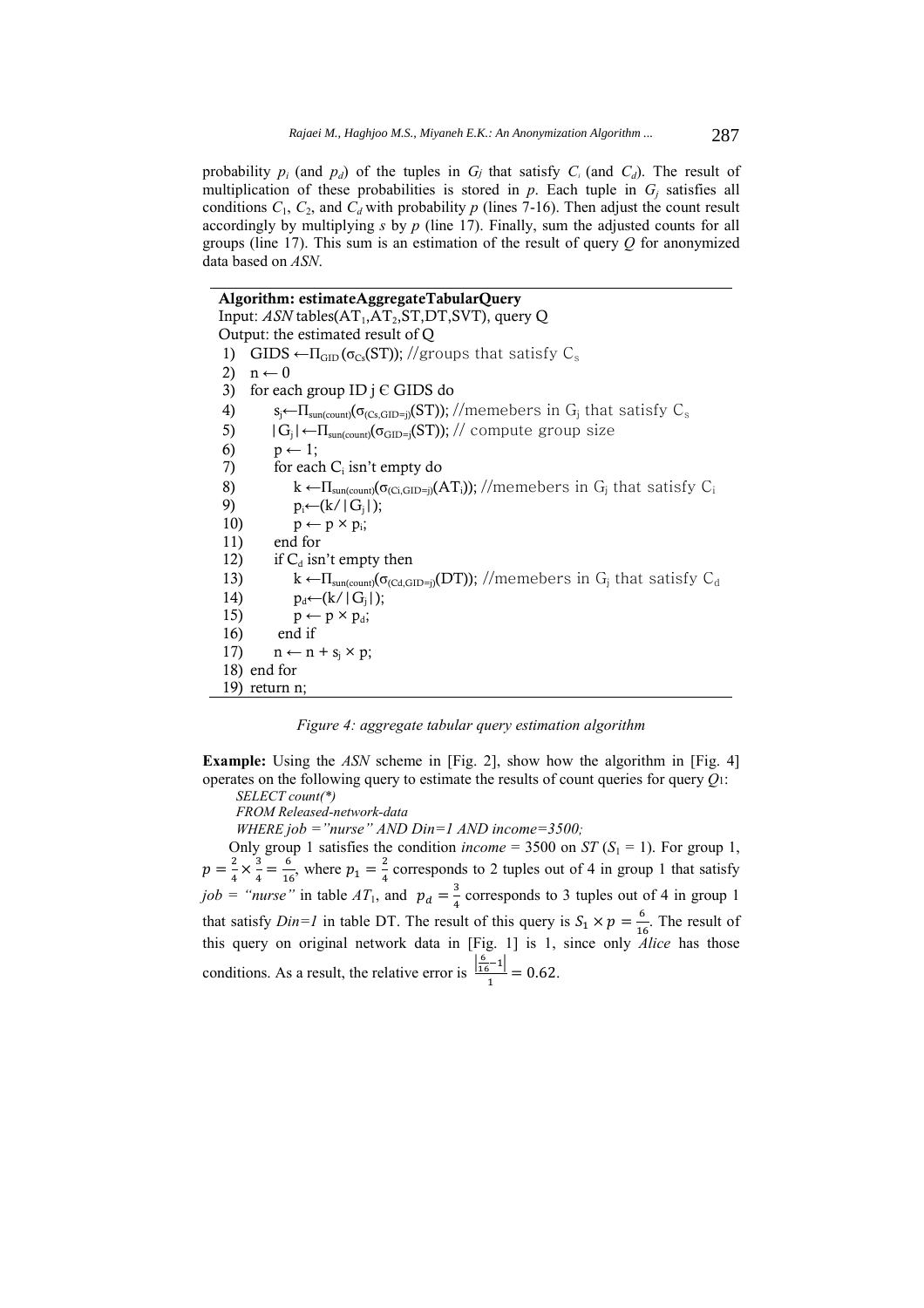probability  $p_i$  (and  $p_d$ ) of the tuples in  $G_i$  that satisfy  $C_i$  (and  $C_d$ ). The result of multiplication of these probabilities is stored in  $p$ . Each tuple in  $G_i$  satisfies all conditions  $C_1$ ,  $C_2$ , and  $C_d$  with probability p (lines 7-16). Then adjust the count result accordingly by multiplying *s* by *p* (line 17). Finally, sum the adjusted counts for all groups (line 17). This sum is an estimation of the result of query *Q* for anonymized data based on *ASN*.

**Algorithm: estimateAggregateTabularQuery**  Input:  $ASN$  tables $(AT_1, AT_2, ST, DT, SVT)$ , query Q Output: the estimated result of Q 1) GIDS  $\leftarrow \Pi_{GD}(\sigma_{Cs}(ST))$ ; //groups that satisfy C<sub>s</sub> 2)  $n \leftarrow 0$ 3) for each group ID  $j \in GIDS$  do 4)  $s_j \leftarrow \prod_{sun (count)} (\sigma_{(Cs, GID=j)}(ST))$ ; //memebers in G<sub>j</sub> that satisfy C<sub>s</sub> 5)  $|G_i| \leftarrow \Pi_{\text{sun}(\text{count})}(\sigma_{\text{GID}=i}(\text{ST}))$ ; // compute group size 6)  $p \leftarrow 1$ ; 7) for each  $C_i$  isn't empty do 8) k ←  $\Pi_{\text{sum}(\text{count})}(\sigma_{(C \text{i} \text{ GID}=i)}(AT_i))$ ; //memebers in  $G_i$  that satisfy  $C_i$ 9)  $p_i \leftarrow (k / |G_i|);$ 10)  $p \leftarrow p \times p_i$ ; 11) end for 12) if  $C_d$  isn't empty then 13) k ← $\Pi_{\text{sun}(\text{count})}(\sigma_{\text{Cd,GID=i}}(DT))$ ; //memebers in G<sub>i</sub> that satisfy C<sub>d</sub> 14)  $p_d \leftarrow (k / |G_j|);$ 15)  $p \leftarrow p \times p_d$ ; 16) end if 17)  $n \leftarrow n + s_i \times p;$ 18) end for 19) return n;

*Figure 4: aggregate tabular query estimation algorithm* 

**Example:** Using the *ASN* scheme in [Fig. 2], show how the algorithm in [Fig. 4] operates on the following query to estimate the results of count queries for query *Q*1: *SELECT count(\*)* 

*FROM Released-network-data* 

*WHERE job ="nurse" AND Din=1 AND income=3500;* 

Only group 1 satisfies the condition *income* = 3500 on *ST* ( $S_1$  = 1). For group 1,  $p = \frac{2}{4} \times \frac{3}{4} = \frac{6}{16}$ , where  $p_1 = \frac{2}{4}$  corresponds to 2 tuples out of 4 in group 1 that satisfy  $job =$  "*nurse*" in table  $AT_1$ , and  $p_d = \frac{3}{4}$  corresponds to 3 tuples out of 4 in group 1 that satisfy *Din=1* in table DT. The result of this query is  $S_1 \times p = \frac{6}{16}$  $\frac{6}{16}$ . The result of this query on original network data in [Fig. 1] is 1, since only *Alice* has those conditions. As a result, the relative error is  $\frac{\left|\frac{6}{16}-1\right|}{1} = 0.62$ .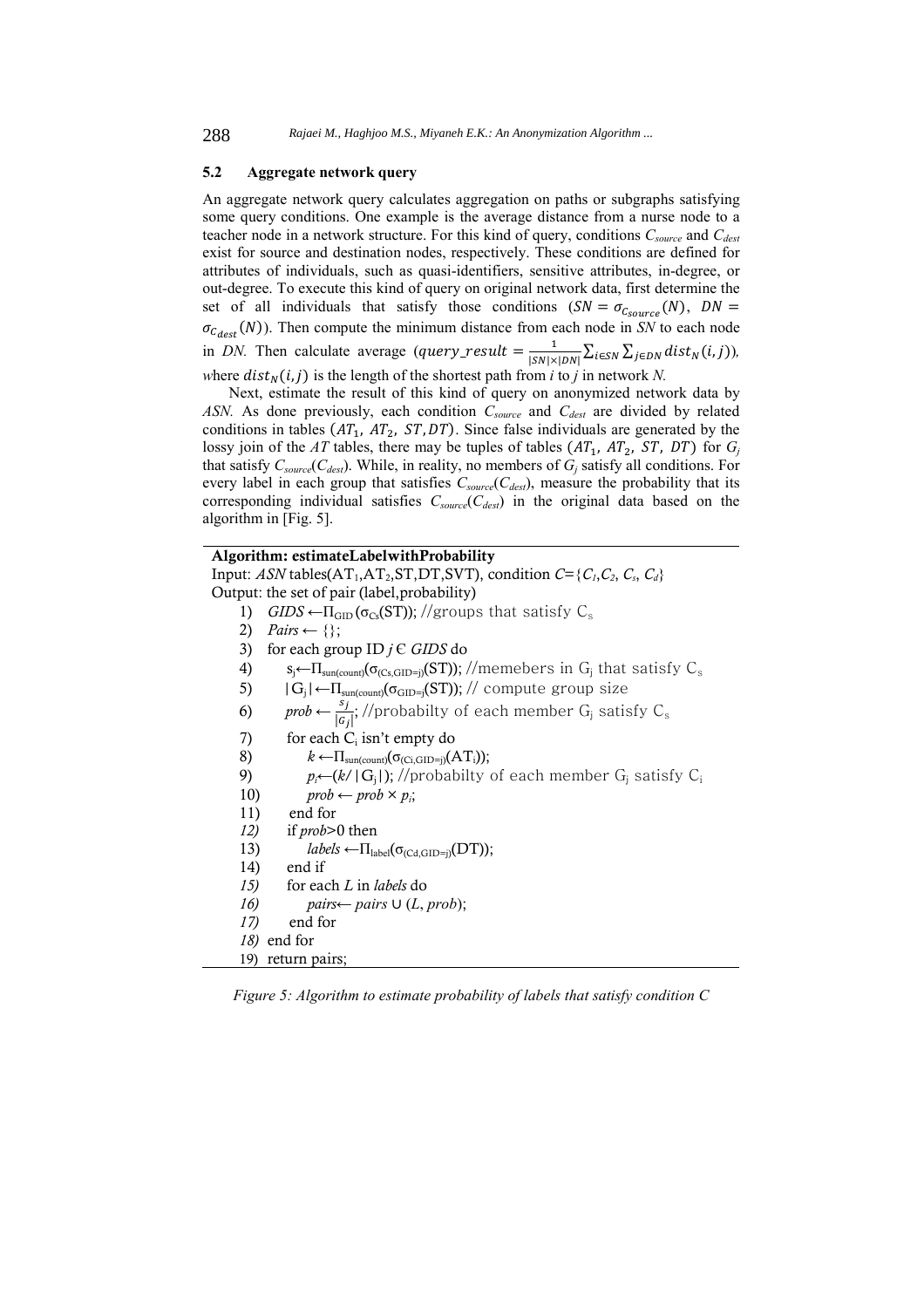#### **5.2 Aggregate network query**

An aggregate network query calculates aggregation on paths or subgraphs satisfying some query conditions. One example is the average distance from a nurse node to a teacher node in a network structure. For this kind of query, conditions *Csource* and *Cdest* exist for source and destination nodes, respectively. These conditions are defined for attributes of individuals, such as quasi-identifiers, sensitive attributes, in-degree, or out-degree. To execute this kind of query on original network data, first determine the set of all individuals that satisfy those conditions  $(SN = \sigma_{c_{source}}(N), DN =$  $\sigma_{\mathcal{C}_{dest}}(N)$ ). Then compute the minimum distance from each node in *SN* to each node in *DN*. Then calculate average  $(\text{query\_result} = \frac{1}{|SN| \times |DN|} \sum_{i \in SN} \sum_{j \in DN} dist_N(i, j))$ , *where*  $dist_N(i, j)$  *is the length of the shortest path from <i>i* to *j* in network *N*.

Next, estimate the result of this kind of query on anonymized network data by ASN. As done previously, each condition  $C_{source}$  and  $C_{dest}$  are divided by related conditions in tables  $(AT_1, AT_2, ST, DT)$ . Since false individuals are generated by the lossy join of the *AT* tables, there may be tuples of tables  $(AT_1, AT_2, ST, DT)$  for  $G_i$ that satisfy *Csource*(*Cdest*). While, in reality, no members of *Gj* satisfy all conditions. For every label in each group that satisfies  $C_{source}(C_{dest})$ , measure the probability that its corresponding individual satisfies  $C_{source}(C_{dest})$  in the original data based on the algorithm in [Fig. 5].

**Algorithm: estimateLabelwithProbability**  Input: *ASN* tables( $AT_1, AT_2, ST, DT, SVT$ ), condition  $C = \{C_1, C_2, C_3, C_d\}$ Output: the set of pair (label,probability) 1) *GIDS*  $\leftarrow$   $\Pi$ <sub>GID</sub>( $\sigma$ <sub>Cs</sub>(ST)); //groups that satisfy  $C_s$ 2)  $Pairs \leftarrow \{\};$ 3) for each group ID *j* Є *GIDS* do 4)  $s_j \leftarrow \prod_{\text{sun}(\text{count})} (\sigma_{(Cs, GID=j)}(ST)); //$ memebers in  $G_j$  that satisfy  $C_s$ 5)  $|G_j| \leftarrow \Pi_{\text{sun}(\text{count})}(\sigma_{\text{GID}=j}(\text{ST}))$ ; // compute group size 6) prob  $\leftarrow \frac{s_j}{|c_j|}$ ; //probabilty of each member G<sub>j</sub> satisfy C<sub>s</sub> 7) for each  $C_i$  isn't empty do 8) *k* ←Пsun(count)(σ(Ci,GID=j)(ATi)); 9)  $p_i \leftarrow (k / |G_j|); //$ probabilty of each member  $G_j$  satisfy  $C_i$ 10)  $prob \leftarrow prob \times p_i$ ; 11)end for *12)* if *prob*>0 then 13)  $labels \leftarrow \Pi_{label}(\sigma_{(Cd,GID=i)}(DT));$ 14) end if *15)* for each *L* in *labels* do *16) pairs*← *pairs* ∪  $(L, prob);$ *17)* end for *18)* end for 19) return pairs;

*Figure 5: Algorithm to estimate probability of labels that satisfy condition C*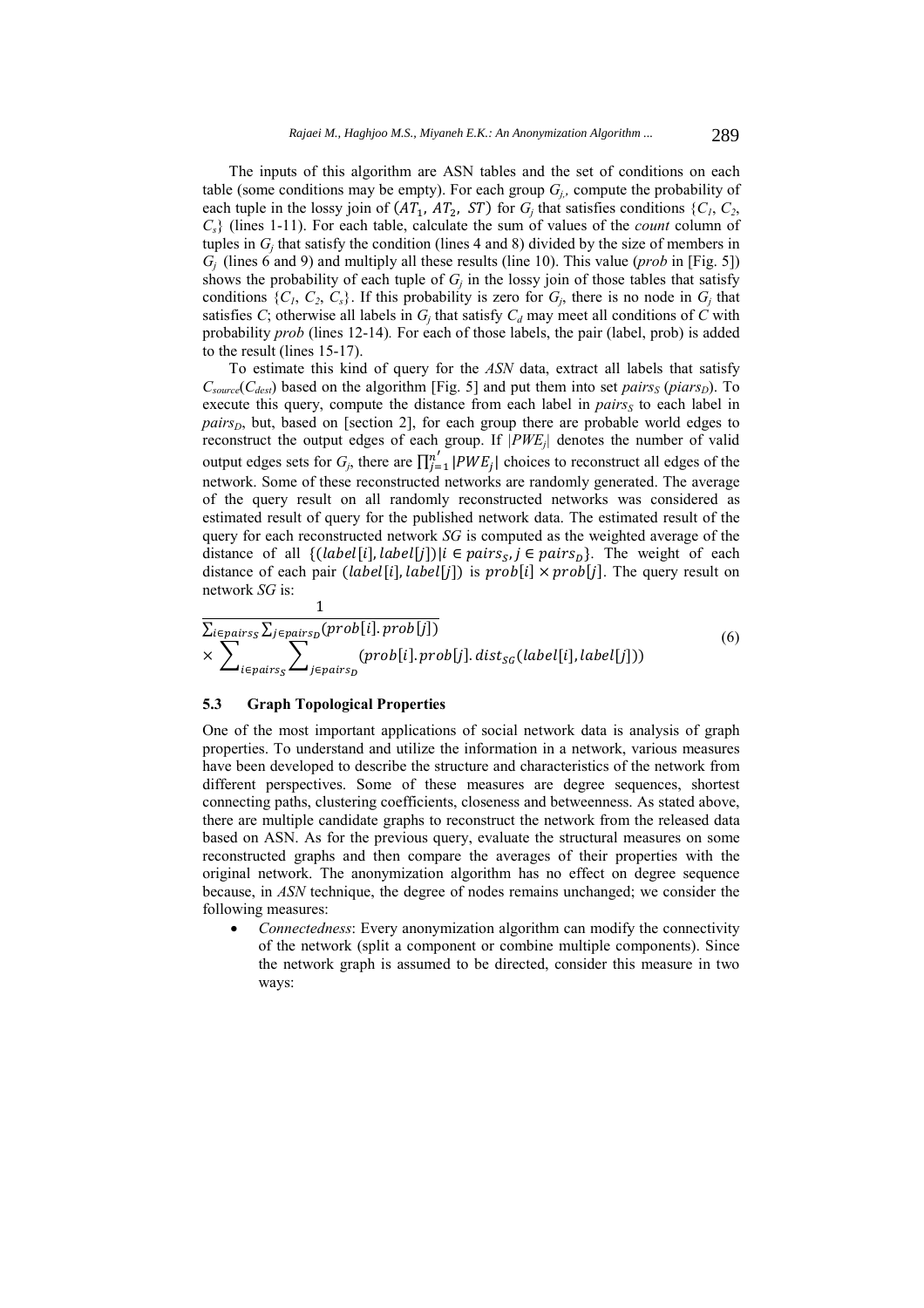The inputs of this algorithm are ASN tables and the set of conditions on each table (some conditions may be empty). For each group  $G_i$ , compute the probability of each tuple in the lossy join of (ܣܶଵ, ܣܶଶ, ܵܶ) for *Gj* that satisfies conditions {*C1*, *C2*, *Cs*} (lines 1-11). For each table, calculate the sum of values of the *count* column of tuples in  $G_i$  that satisfy the condition (lines 4 and 8) divided by the size of members in  $G_i$  (lines 6 and 9) and multiply all these results (line 10). This value (*prob* in [Fig. 5]) shows the probability of each tuple of  $G_i$  in the lossy join of those tables that satisfy conditions  $\{C_1, C_2, C_s\}$ . If this probability is zero for  $G_i$ , there is no node in  $G_i$  that satisfies *C*; otherwise all labels in  $G_i$  that satisfy  $C_d$  may meet all conditions of *C* with probability *prob* (lines 12-14)*.* For each of those labels, the pair (label, prob) is added to the result (lines 15-17).

To estimate this kind of query for the *ASN* data, extract all labels that satisfy  $C_{source}(C_{dest})$  based on the algorithm [Fig. 5] and put them into set *pairs<sub>S</sub>* (*piars<sub>D</sub>*). To execute this query, compute the distance from each label in  $pairs<sub>S</sub>$  to each label in *pairs<sub>D</sub>*, but, based on [section 2], for each group there are probable world edges to reconstruct the output edges of each group. If *|PWEj|* denotes the number of valid output edges sets for  $G_j$ , there are  $\prod_{j=1}^{n'} |PWE_j|$  choices to reconstruct all edges of the network. Some of these reconstructed networks are randomly generated. The average of the query result on all randomly reconstructed networks was considered as estimated result of query for the published network data. The estimated result of the query for each reconstructed network *SG* is computed as the weighted average of the distance of all  $\{(\text{label}[i], \text{label}[j]) | i \in \text{pairs}, j \in \text{pairs}\}$ . The weight of each distance of each pair ( $label[i], label[j]$ ) is  $prob[i] \times prob[j]$ . The query result on network *SG* is:

$$
\frac{1}{\sum_{i \in pairs_{S}} \sum_{j \in pairs_{D}} (prob[i].\,prob[j])}
$$
\n
$$
\times \sum_{i \in pairs_{S}} \sum_{j \in pairs_{D}} (prob[i].\,prob[j].\,dist_{SG}(label[i],label[j]))
$$
\n(6)

# **5.3 Graph Topological Properties**

One of the most important applications of social network data is analysis of graph properties. To understand and utilize the information in a network, various measures have been developed to describe the structure and characteristics of the network from different perspectives. Some of these measures are degree sequences, shortest connecting paths, clustering coefficients, closeness and betweenness. As stated above, there are multiple candidate graphs to reconstruct the network from the released data based on ASN. As for the previous query, evaluate the structural measures on some reconstructed graphs and then compare the averages of their properties with the original network. The anonymization algorithm has no effect on degree sequence because, in *ASN* technique, the degree of nodes remains unchanged; we consider the following measures:

 *Connectedness*: Every anonymization algorithm can modify the connectivity of the network (split a component or combine multiple components). Since the network graph is assumed to be directed, consider this measure in two ways: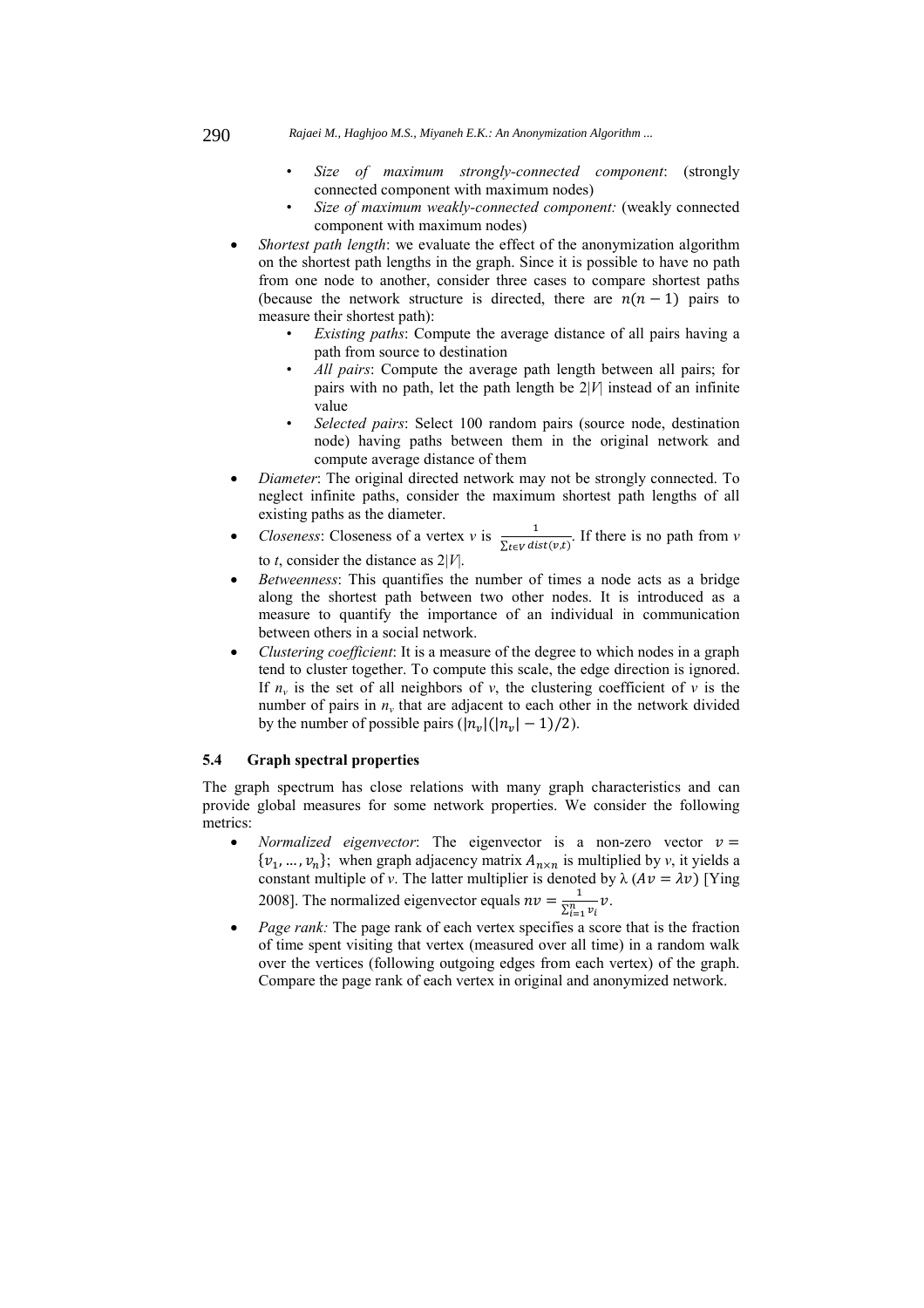- 290 *Rajaei M., Haghjoo M.S., Miyaneh E.K.: An Anonymization Algorithm ...*
	- *Size of maximum strongly-connected component*: (strongly connected component with maximum nodes)
	- *Size of maximum weakly-connected component:* (weakly connected component with maximum nodes)
	- *Shortest path length*: we evaluate the effect of the anonymization algorithm on the shortest path lengths in the graph. Since it is possible to have no path from one node to another, consider three cases to compare shortest paths (because the network structure is directed, there are  $n(n - 1)$  pairs to measure their shortest path):
		- *Existing paths*: Compute the average distance of all pairs having a path from source to destination
		- *All pairs*: Compute the average path length between all pairs; for pairs with no path, let the path length be 2|*V*| instead of an infinite value
		- *Selected pairs*: Select 100 random pairs (source node, destination node) having paths between them in the original network and compute average distance of them
	- *Diameter*: The original directed network may not be strongly connected. To neglect infinite paths, consider the maximum shortest path lengths of all existing paths as the diameter.
	- *Closeness*: Closeness of a vertex *v* is  $\frac{1}{\sum_{t \in V} dist(v,t)}$ . If there is no path from *v* to *t*, consider the distance as 2|*V*|.
	- *Betweenness*: This quantifies the number of times a node acts as a bridge along the shortest path between two other nodes. It is introduced as a measure to quantify the importance of an individual in communication between others in a social network.
	- *Clustering coefficient*: It is a measure of the degree to which nodes in a graph tend to cluster together. To compute this scale, the edge direction is ignored. If  $n_v$  is the set of all neighbors of  $v$ , the clustering coefficient of  $v$  is the number of pairs in  $n<sub>v</sub>$  that are adjacent to each other in the network divided by the number of possible pairs  $(|n_{\nu}|(|n_{\nu}| - 1)/2)$ .

# **5.4 Graph spectral properties**

The graph spectrum has close relations with many graph characteristics and can provide global measures for some network properties. We consider the following metrics:

- *Normalized eigenvector*: The eigenvector is a non-zero vector  $v =$  $\{v_1, \ldots, v_n\}$ ; when graph adjacency matrix  $A_{n \times n}$  is multiplied by *v*, it yields a constant multiple of *v*. The latter multiplier is denoted by  $\lambda (Av = \lambda v)$  [Ying 2008]. The normalized eigenvector equals  $nv = \frac{1}{\sum_{i=1}^{n} v_i} v$ .
- *Page rank:* The page rank of each vertex specifies a score that is the fraction of time spent visiting that vertex (measured over all time) in a random walk over the vertices (following outgoing edges from each vertex) of the graph. Compare the page rank of each vertex in original and anonymized network.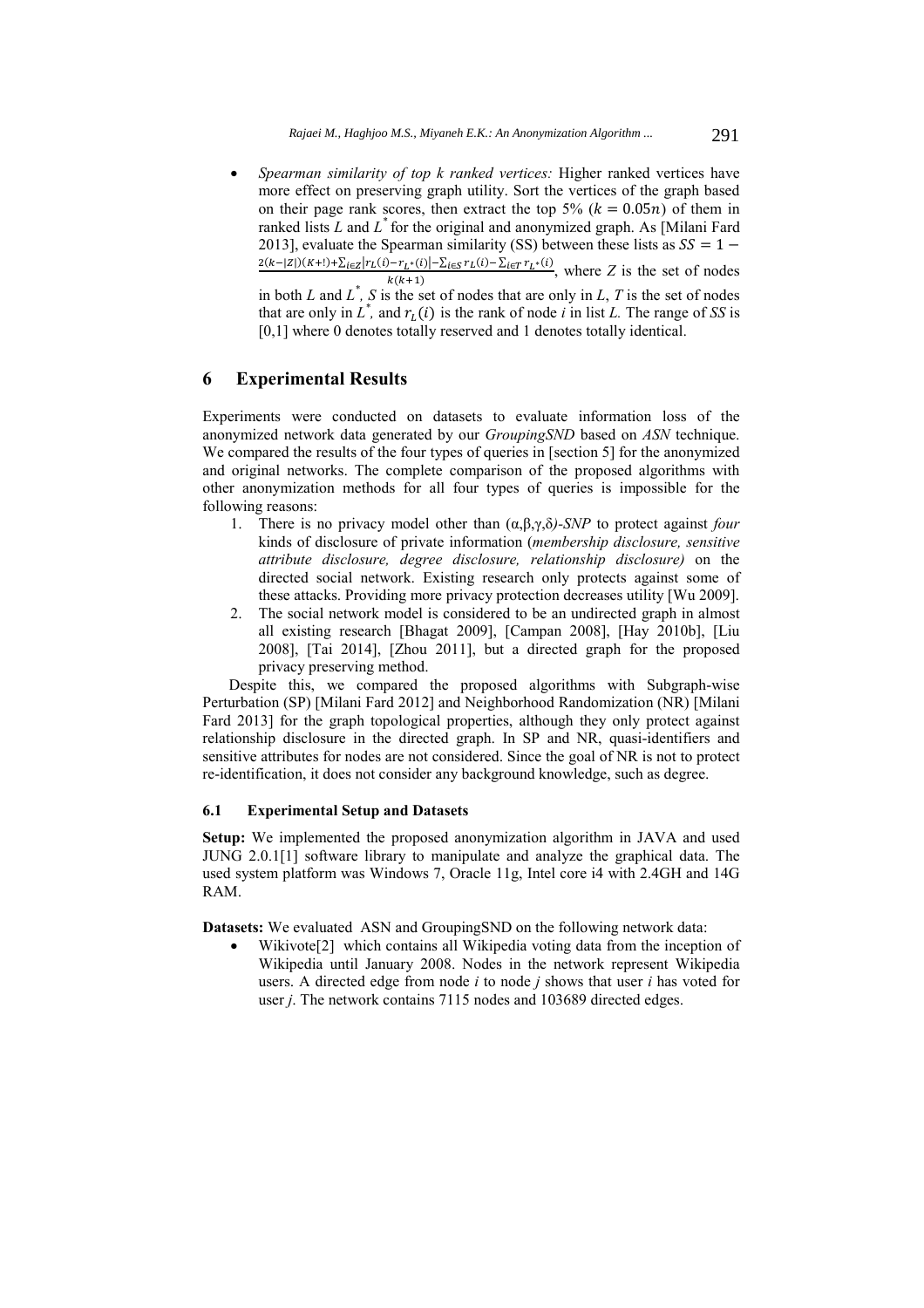*Spearman similarity of top k ranked vertices:* Higher ranked vertices have more effect on preserving graph utility. Sort the vertices of the graph based on their page rank scores, then extract the top 5%  $(k = 0.05n)$  of them in ranked lists *L* and *L\** for the original and anonymized graph. As [Milani Fard 2013], evaluate the Spearman similarity (SS) between these lists as  $SS = 1 \frac{2(k-|Z|)(K+!)+\sum_{i\in Z}|r_L(i)-r_{L^*}(i)|-\sum_{i\in S}r_L(i)-\sum_{i\in T}r_{L^*}(i)}{k(k+1)},$  where *Z* is the set of nodes in both *L* and  $L^*$ , *S* is the set of nodes that are only in *L*, *T* is the set of nodes that are only in  $L^*$ , and  $r_L(i)$  is the rank of node *i* in list *L*. The range of *SS* is [0,1] where 0 denotes totally reserved and 1 denotes totally identical.

# **6 Experimental Results**

Experiments were conducted on datasets to evaluate information loss of the anonymized network data generated by our *GroupingSND* based on *ASN* technique. We compared the results of the four types of queries in [section 5] for the anonymized and original networks. The complete comparison of the proposed algorithms with other anonymization methods for all four types of queries is impossible for the following reasons:

- 1. There is no privacy model other than (α,β,γ,δ*)-SNP* to protect against *four* kinds of disclosure of private information (*membership disclosure, sensitive attribute disclosure, degree disclosure, relationship disclosure)* on the directed social network. Existing research only protects against some of these attacks. Providing more privacy protection decreases utility [Wu 2009].
- 2. The social network model is considered to be an undirected graph in almost all existing research [Bhagat 2009], [Campan 2008], [Hay 2010b], [Liu 2008], [Tai 2014], [Zhou 2011], but a directed graph for the proposed privacy preserving method.

Despite this, we compared the proposed algorithms with Subgraph-wise Perturbation (SP) [Milani Fard 2012] and Neighborhood Randomization (NR) [Milani Fard 2013] for the graph topological properties, although they only protect against relationship disclosure in the directed graph. In SP and NR, quasi-identifiers and sensitive attributes for nodes are not considered. Since the goal of NR is not to protect re-identification, it does not consider any background knowledge, such as degree.

# **6.1 Experimental Setup and Datasets**

**Setup:** We implemented the proposed anonymization algorithm in JAVA and used JUNG 2.0.1[1] software library to manipulate and analyze the graphical data. The used system platform was Windows 7, Oracle 11g, Intel core i4 with 2.4GH and 14G RAM.

**Datasets:** We evaluated ASN and GroupingSND on the following network data:

Wikivote<sup>[2]</sup> which contains all Wikipedia voting data from the inception of Wikipedia until January 2008. Nodes in the network represent Wikipedia users. A directed edge from node *i* to node *j* shows that user *i* has voted for user *j*. The network contains 7115 nodes and 103689 directed edges.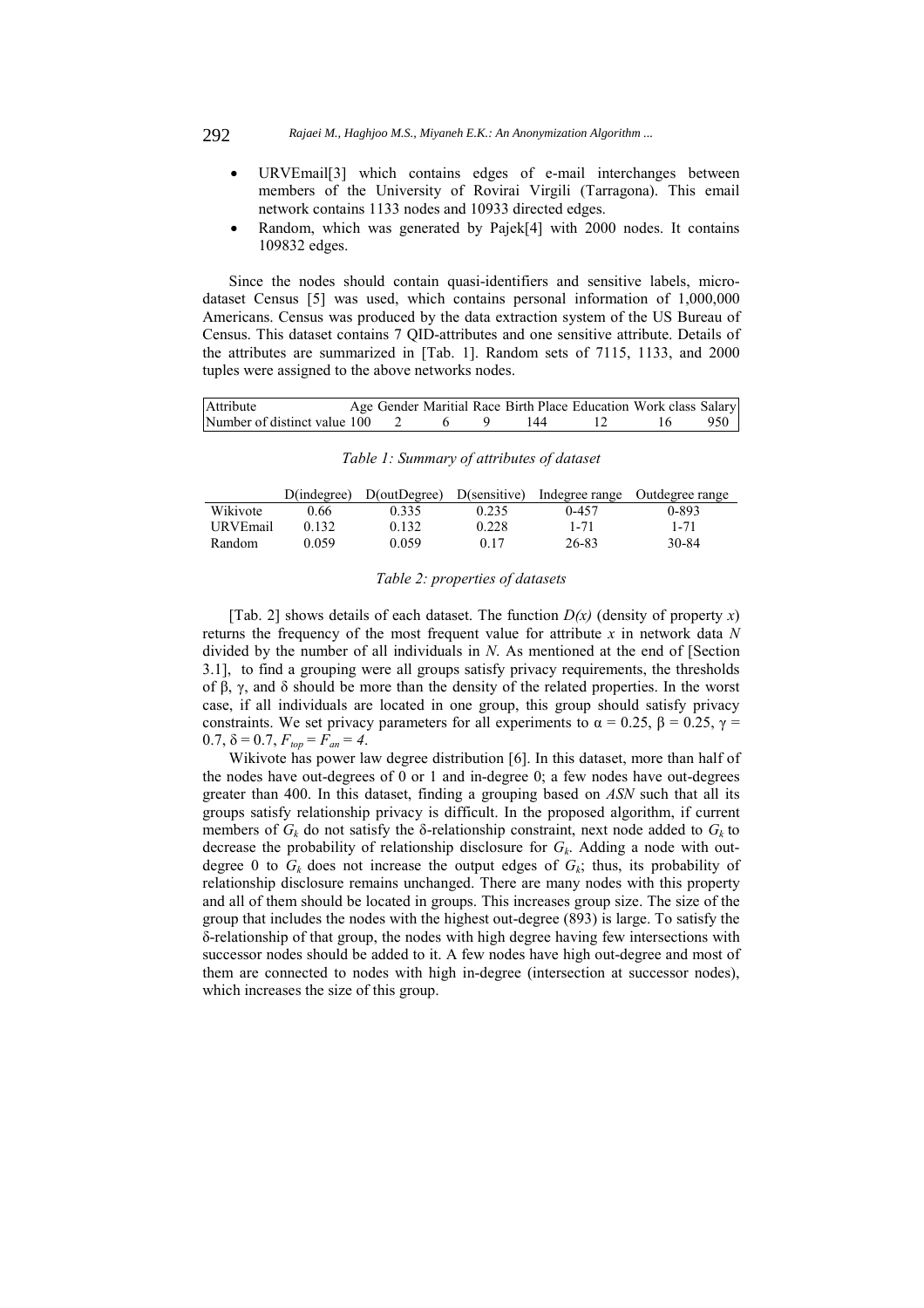- URVEmail[3] which contains edges of e-mail interchanges between members of the University of Rovirai Virgili (Tarragona). This email network contains 1133 nodes and 10933 directed edges.
- Random, which was generated by Pajek[4] with 2000 nodes. It contains 109832 edges.

Since the nodes should contain quasi-identifiers and sensitive labels, microdataset Census [5] was used, which contains personal information of 1,000,000 Americans. Census was produced by the data extraction system of the US Bureau of Census. This dataset contains 7 QID-attributes and one sensitive attribute. Details of the attributes are summarized in [Tab. 1]. Random sets of 7115, 1133, and 2000 tuples were assigned to the above networks nodes.

| Attribute                               |  |  | Age Gender Maritial Race Birth Place Education Work class Salary |  |       |
|-----------------------------------------|--|--|------------------------------------------------------------------|--|-------|
| Number of distinct value $100 \qquad 2$ |  |  | 144                                                              |  | 950 1 |

| Table 1: Summary of attributes of dataset |
|-------------------------------------------|
|-------------------------------------------|

|          | $D$ (indegree) | $D(outDegree)$ $D(sensitive)$ |       | Indegree range | Outdegree range |
|----------|----------------|-------------------------------|-------|----------------|-----------------|
| Wikivote | 0.66           | 0.335                         | 0.235 | 0-457          | 0-893           |
| URVEmail | 0.132          | 0.132                         | 0.228 | $1 - 71$       | $1 - 71$        |
| Random   | 0.059          | 0.059                         | 0.17  | 26-83          | 30-84           |

### *Table 2: properties of datasets*

[Tab. 2] shows details of each dataset. The function  $D(x)$  (density of property *x*) returns the frequency of the most frequent value for attribute *x* in network data *N* divided by the number of all individuals in *N*. As mentioned at the end of [Section 3.1], to find a grouping were all groups satisfy privacy requirements, the thresholds of β, γ, and δ should be more than the density of the related properties. In the worst case, if all individuals are located in one group, this group should satisfy privacy constraints. We set privacy parameters for all experiments to  $\alpha = 0.25$ ,  $\beta = 0.25$ ,  $\gamma =$ 0.7,  $\delta = 0.7$ ,  $F_{top} = F_{an} = 4$ .

Wikivote has power law degree distribution [6]. In this dataset, more than half of the nodes have out-degrees of 0 or 1 and in-degree 0; a few nodes have out-degrees greater than 400. In this dataset, finding a grouping based on *ASN* such that all its groups satisfy relationship privacy is difficult. In the proposed algorithm, if current members of  $G_k$  do not satisfy the  $\delta$ -relationship constraint, next node added to  $G_k$  to decrease the probability of relationship disclosure for  $G_k$ . Adding a node with outdegree 0 to  $G_k$  does not increase the output edges of  $G_k$ ; thus, its probability of relationship disclosure remains unchanged. There are many nodes with this property and all of them should be located in groups. This increases group size. The size of the group that includes the nodes with the highest out-degree (893) is large. To satisfy the δ-relationship of that group, the nodes with high degree having few intersections with successor nodes should be added to it. A few nodes have high out-degree and most of them are connected to nodes with high in-degree (intersection at successor nodes), which increases the size of this group.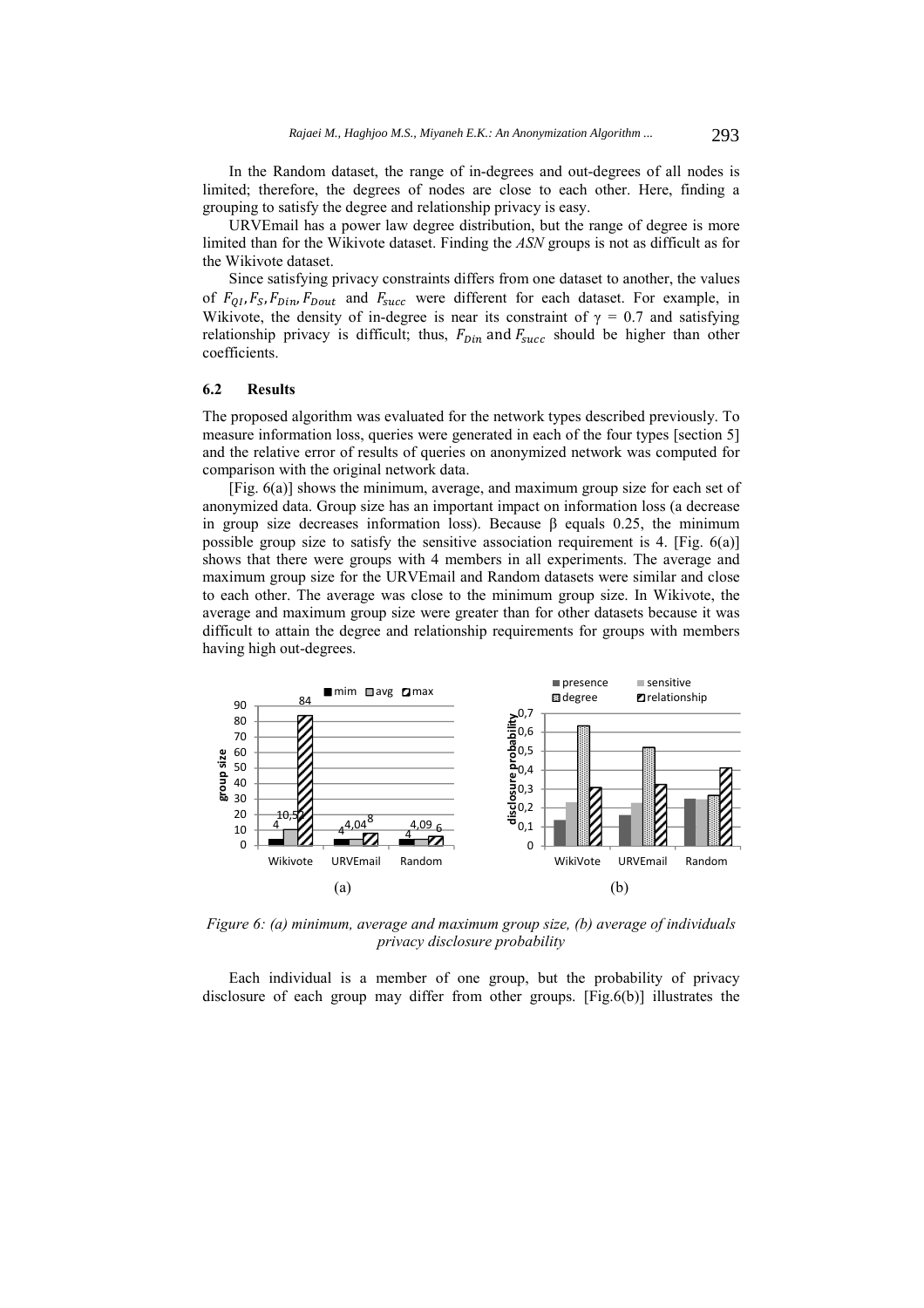In the Random dataset, the range of in-degrees and out-degrees of all nodes is limited; therefore, the degrees of nodes are close to each other. Here, finding a grouping to satisfy the degree and relationship privacy is easy.

URVEmail has a power law degree distribution, but the range of degree is more limited than for the Wikivote dataset. Finding the *ASN* groups is not as difficult as for the Wikivote dataset.

Since satisfying privacy constraints differs from one dataset to another, the values of  $F_{0I}$ ,  $F_{S}$ ,  $F_{Din}$ ,  $F_{Dout}$  and  $F_{succ}$  were different for each dataset. For example, in Wikivote, the density of in-degree is near its constraint of  $\gamma = 0.7$  and satisfying relationship privacy is difficult; thus,  $F_{Din}$  and  $F_{succ}$  should be higher than other coefficients.

#### **6.2 Results**

The proposed algorithm was evaluated for the network types described previously. To measure information loss, queries were generated in each of the four types [section 5] and the relative error of results of queries on anonymized network was computed for comparison with the original network data.

[Fig. 6(a)] shows the minimum, average, and maximum group size for each set of anonymized data. Group size has an important impact on information loss (a decrease in group size decreases information loss). Because β equals 0.25, the minimum possible group size to satisfy the sensitive association requirement is 4. [Fig. 6(a)] shows that there were groups with 4 members in all experiments. The average and maximum group size for the URVEmail and Random datasets were similar and close to each other. The average was close to the minimum group size. In Wikivote, the average and maximum group size were greater than for other datasets because it was difficult to attain the degree and relationship requirements for groups with members having high out-degrees.



*Figure 6: (a) minimum, average and maximum group size, (b) average of individuals privacy disclosure probability* 

Each individual is a member of one group, but the probability of privacy disclosure of each group may differ from other groups. [Fig.6(b)] illustrates the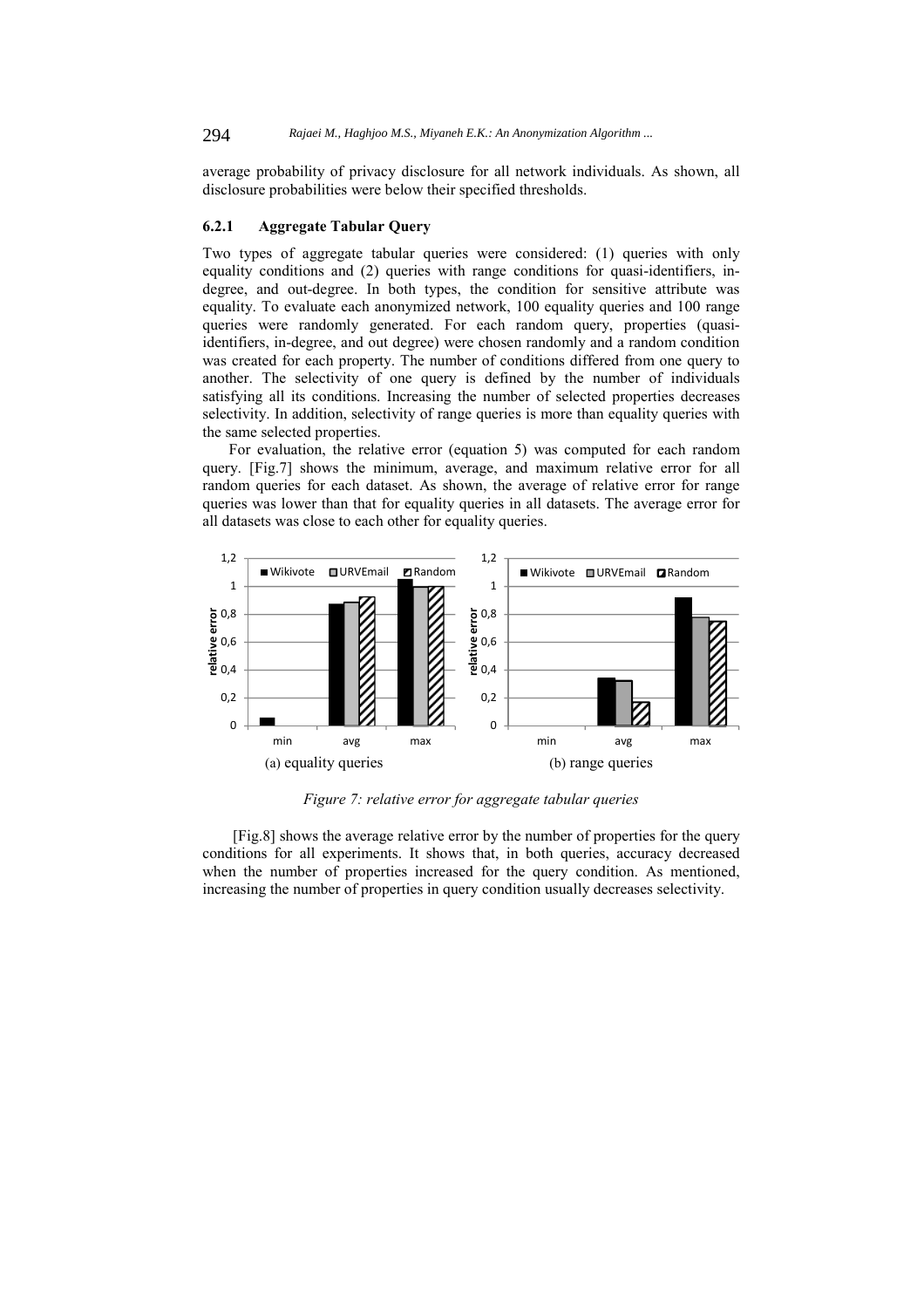average probability of privacy disclosure for all network individuals. As shown, all disclosure probabilities were below their specified thresholds.

#### **6.2.1 Aggregate Tabular Query**

Two types of aggregate tabular queries were considered: (1) queries with only equality conditions and (2) queries with range conditions for quasi-identifiers, indegree, and out-degree. In both types, the condition for sensitive attribute was equality. To evaluate each anonymized network, 100 equality queries and 100 range queries were randomly generated. For each random query, properties (quasiidentifiers, in-degree, and out degree) were chosen randomly and a random condition was created for each property. The number of conditions differed from one query to another. The selectivity of one query is defined by the number of individuals satisfying all its conditions. Increasing the number of selected properties decreases selectivity. In addition, selectivity of range queries is more than equality queries with the same selected properties.

For evaluation, the relative error (equation 5) was computed for each random query. [Fig.7] shows the minimum, average, and maximum relative error for all random queries for each dataset. As shown, the average of relative error for range queries was lower than that for equality queries in all datasets. The average error for all datasets was close to each other for equality queries.



*Figure 7: relative error for aggregate tabular queries* 

 [Fig.8] shows the average relative error by the number of properties for the query conditions for all experiments. It shows that, in both queries, accuracy decreased when the number of properties increased for the query condition. As mentioned, increasing the number of properties in query condition usually decreases selectivity.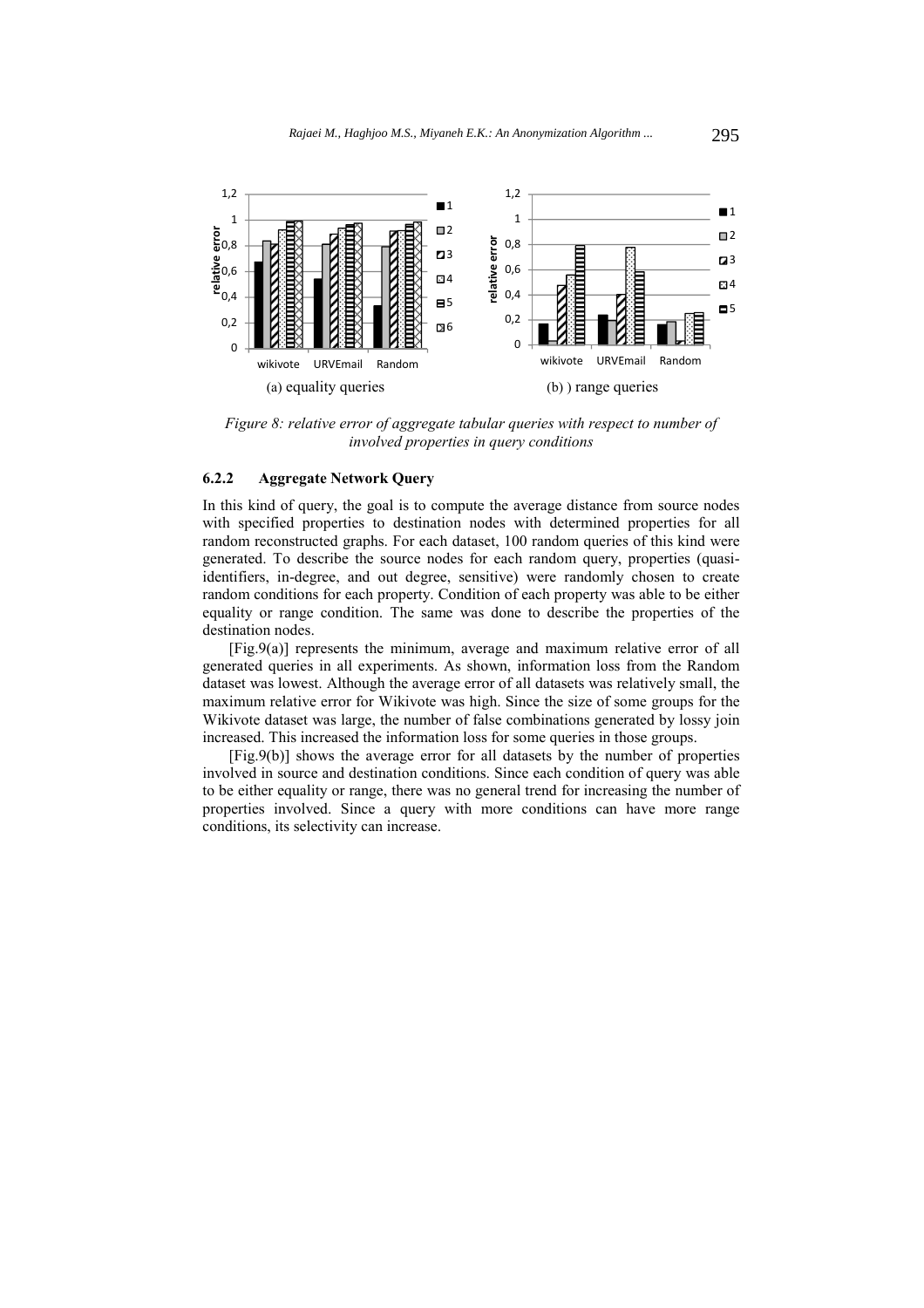

*Figure 8: relative error of aggregate tabular queries with respect to number of involved properties in query conditions* 

# **6.2.2 Aggregate Network Query**

In this kind of query, the goal is to compute the average distance from source nodes with specified properties to destination nodes with determined properties for all random reconstructed graphs. For each dataset, 100 random queries of this kind were generated. To describe the source nodes for each random query, properties (quasiidentifiers, in-degree, and out degree, sensitive) were randomly chosen to create random conditions for each property. Condition of each property was able to be either equality or range condition. The same was done to describe the properties of the destination nodes.

[Fig.9(a)] represents the minimum, average and maximum relative error of all generated queries in all experiments. As shown, information loss from the Random dataset was lowest. Although the average error of all datasets was relatively small, the maximum relative error for Wikivote was high. Since the size of some groups for the Wikivote dataset was large, the number of false combinations generated by lossy join increased. This increased the information loss for some queries in those groups.

[Fig.9(b)] shows the average error for all datasets by the number of properties involved in source and destination conditions. Since each condition of query was able to be either equality or range, there was no general trend for increasing the number of properties involved. Since a query with more conditions can have more range conditions, its selectivity can increase.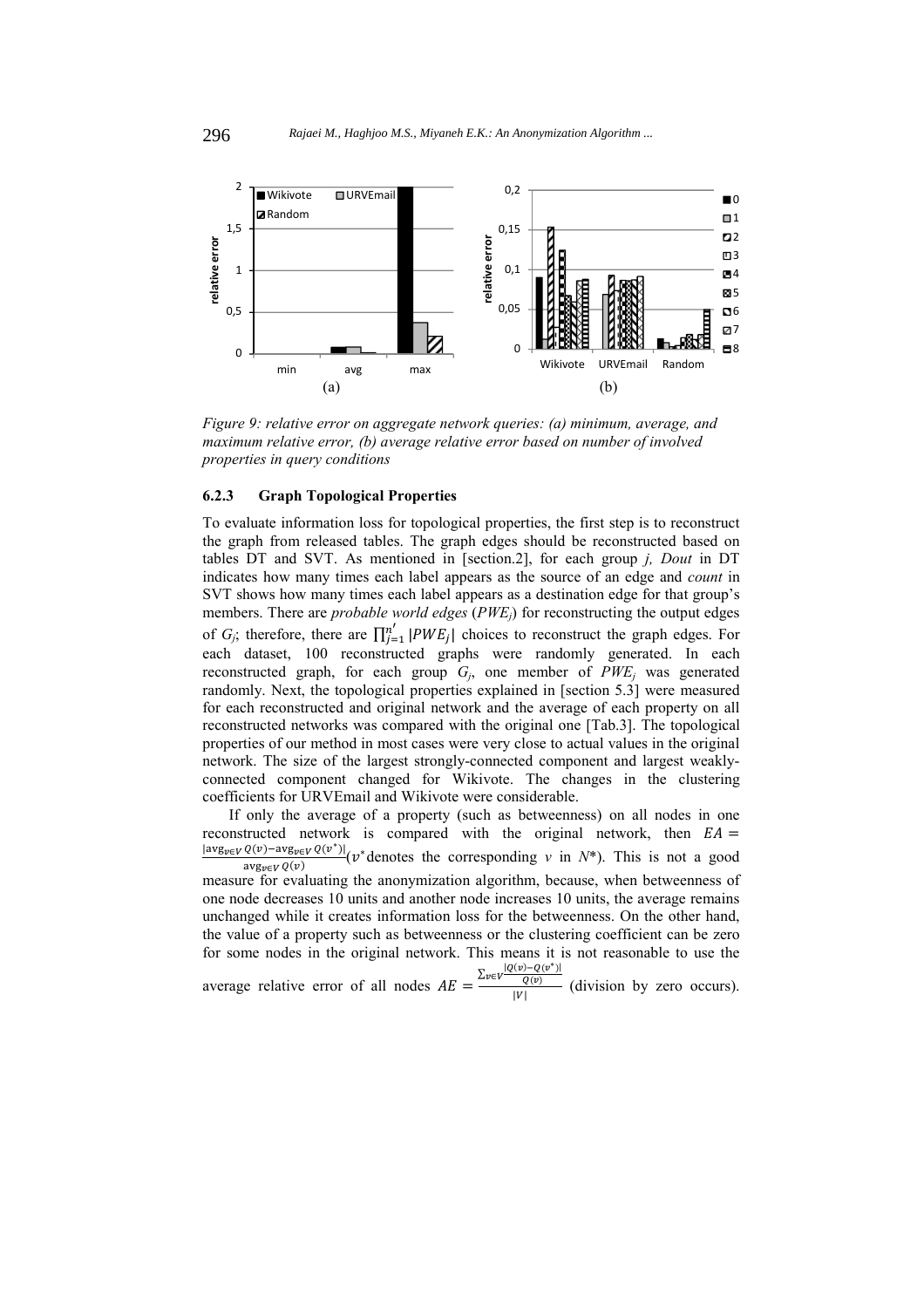

*Figure 9: relative error on aggregate network queries: (a) minimum, average, and maximum relative error, (b) average relative error based on number of involved properties in query conditions* 

### **6.2.3 Graph Topological Properties**

To evaluate information loss for topological properties, the first step is to reconstruct the graph from released tables. The graph edges should be reconstructed based on tables DT and SVT. As mentioned in [section.2], for each group *j, Dout* in DT indicates how many times each label appears as the source of an edge and *count* in SVT shows how many times each label appears as a destination edge for that group's members. There are *probable world edges* (*PWEj*) for reconstructing the output edges of *G<sub>j</sub>*; therefore, there are  $\prod_{j=1}^{n'} |PWE_j|$  choices to reconstruct the graph edges. For each dataset, 100 reconstructed graphs were randomly generated. In each reconstructed graph, for each group  $G_j$ , one member of  $PWE_j$  was generated randomly. Next, the topological properties explained in [section 5.3] were measured for each reconstructed and original network and the average of each property on all reconstructed networks was compared with the original one [Tab.3]. The topological properties of our method in most cases were very close to actual values in the original network. The size of the largest strongly-connected component and largest weaklyconnected component changed for Wikivote. The changes in the clustering coefficients for URVEmail and Wikivote were considerable.

If only the average of a property (such as betweenness) on all nodes in one reconstructed network is compared with the original network, then  $EA =$  $\frac{|\text{avg}_{v \in V} Q(v) - \text{avg}_{v \in V} Q(v^*)|}{\text{avg}_{v \in V} Q(v)}$  (*v*\* denotes the corresponding *v* in *N*\*). This is not a good measure for evaluating the anonymization algorithm, because, when betweenness of one node decreases 10 units and another node increases 10 units, the average remains unchanged while it creates information loss for the betweenness. On the other hand, the value of a property such as betweenness or the clustering coefficient can be zero for some nodes in the original network. This means it is not reasonable to use the average relative error of all nodes  $AE =$  $\frac{\sum_{v \in V} |Q(v) - Q(v^*)|}{Q(v)}$  (division by zero occurs).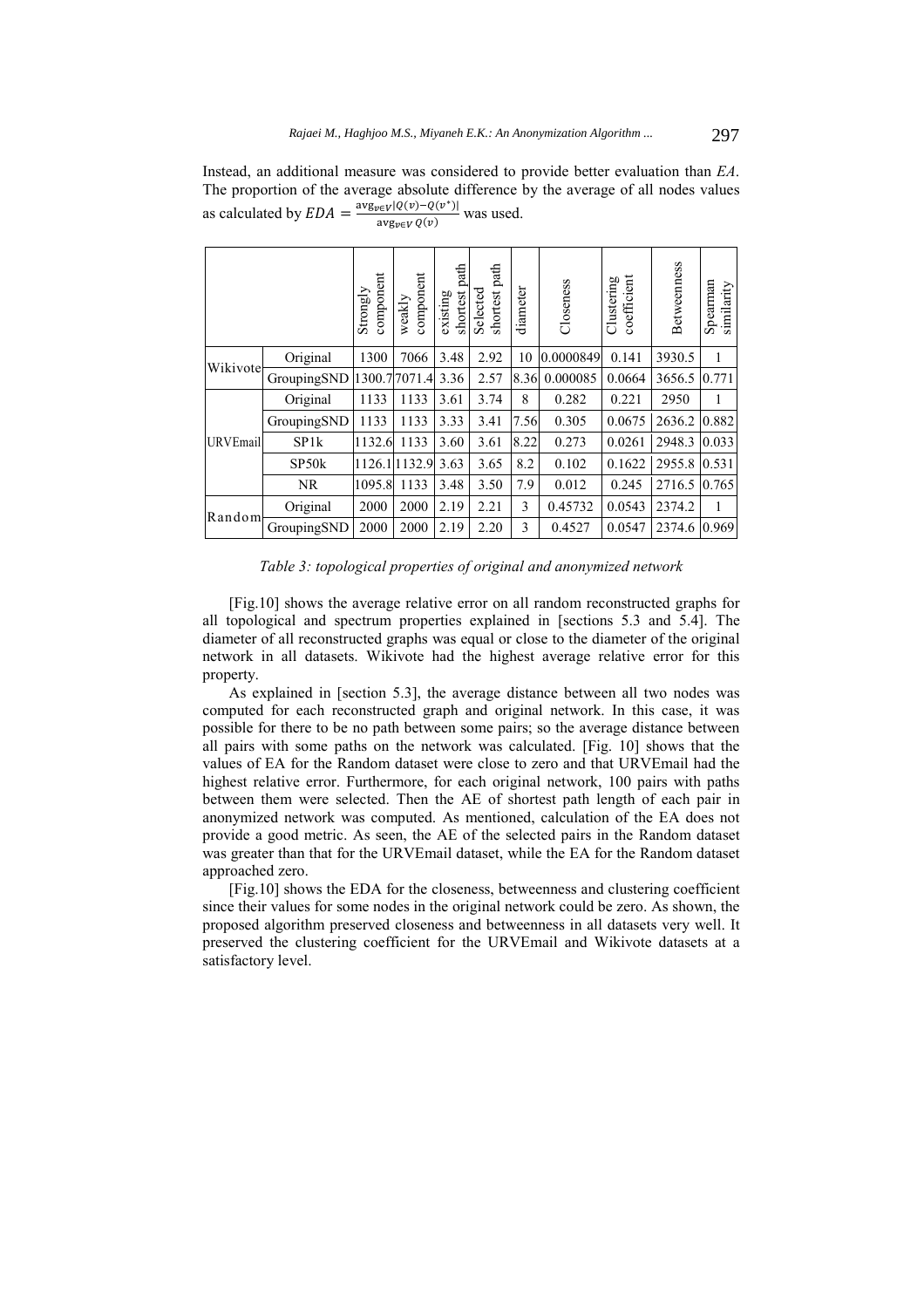Instead, an additional measure was considered to provide better evaluation than *EA*. The proportion of the average absolute difference by the average of all nodes values as calculated by  $EDA = \frac{\text{avg}_{\text{peV}}[Q(\text{v}) - Q(\text{v}^*)]}{\text{avg}_{\text{peV}}(Q(\text{v}))}$  was used.

|                 |             | component<br>Strongly | component<br>weakly | path<br>shortest<br>existing | path<br>Selected<br>shortest | diameter | Closeness | coefficient<br>Clustering | Betweenness | Spearman<br>similarity |
|-----------------|-------------|-----------------------|---------------------|------------------------------|------------------------------|----------|-----------|---------------------------|-------------|------------------------|
| Wikivote        | Original    | 1300                  | 7066                | 3.48                         | 2.92                         | 10       | 0.0000849 | 0.141                     | 3930.5      | 1                      |
|                 | GroupingSND | 1300.77071.4          |                     | 3.36                         | 2.57                         | 8.36     | 0.000085  | 0.0664                    | 3656.5      | 0.771                  |
|                 | Original    | 1133                  | 1133                | 3.61                         | 3.74                         | 8        | 0.282     | 0.221                     | 2950        | 1                      |
|                 | GroupingSND | 1133                  | 1133                | 3.33                         | 3.41                         | 7.56     | 0.305     | 0.0675                    | 2636.2      | 0.882                  |
| <b>URVEmail</b> | SP1k        | 1132.6                | 1133                | 3.60                         | 3.61                         | 8.22     | 0.273     | 0.0261                    | 2948.3      | 0.033                  |
|                 | SP50k       | 1126.11132.9          |                     | 3.63                         | 3.65                         | 8.2      | 0.102     | 0.1622                    | 2955.8      | 0.531                  |
|                 | <b>NR</b>   | 1095.8                | 1133                | 3.48                         | 3.50                         | 7.9      | 0.012     | 0.245                     | 2716.5      | 0.765                  |
| Random          | Original    | 2000                  | 2000                | 2.19                         | 2.21                         | 3        | 0.45732   | 0.0543                    | 2374.2      | 1                      |
|                 | GroupingSND | 2000                  | 2000                | 2.19                         | 2.20                         | 3        | 0.4527    | 0.0547                    | 2374.6      | 0.969                  |

*Table 3: topological properties of original and anonymized network* 

[Fig.10] shows the average relative error on all random reconstructed graphs for all topological and spectrum properties explained in [sections 5.3 and 5.4]. The diameter of all reconstructed graphs was equal or close to the diameter of the original network in all datasets. Wikivote had the highest average relative error for this property.

As explained in [section 5.3], the average distance between all two nodes was computed for each reconstructed graph and original network. In this case, it was possible for there to be no path between some pairs; so the average distance between all pairs with some paths on the network was calculated. [Fig. 10] shows that the values of EA for the Random dataset were close to zero and that URVEmail had the highest relative error. Furthermore, for each original network, 100 pairs with paths between them were selected. Then the AE of shortest path length of each pair in anonymized network was computed. As mentioned, calculation of the EA does not provide a good metric. As seen, the AE of the selected pairs in the Random dataset was greater than that for the URVEmail dataset, while the EA for the Random dataset approached zero.

[Fig.10] shows the EDA for the closeness, betweenness and clustering coefficient since their values for some nodes in the original network could be zero. As shown, the proposed algorithm preserved closeness and betweenness in all datasets very well. It preserved the clustering coefficient for the URVEmail and Wikivote datasets at a satisfactory level.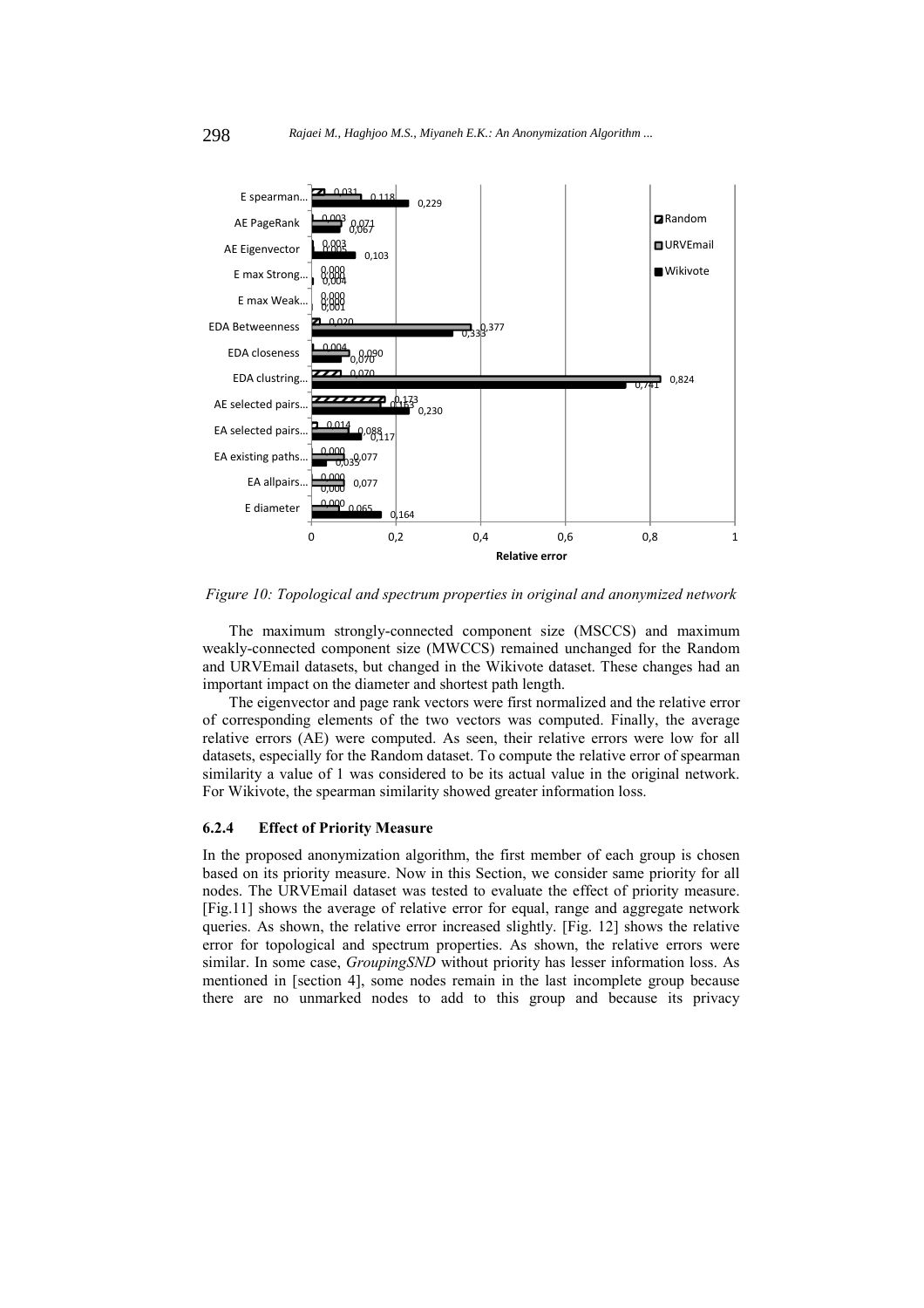

*Figure 10: Topological and spectrum properties in original and anonymized network* 

The maximum strongly-connected component size (MSCCS) and maximum weakly-connected component size (MWCCS) remained unchanged for the Random and URVEmail datasets, but changed in the Wikivote dataset. These changes had an important impact on the diameter and shortest path length.

The eigenvector and page rank vectors were first normalized and the relative error of corresponding elements of the two vectors was computed. Finally, the average relative errors (AE) were computed. As seen, their relative errors were low for all datasets, especially for the Random dataset. To compute the relative error of spearman similarity a value of 1 was considered to be its actual value in the original network. For Wikivote, the spearman similarity showed greater information loss.

# **6.2.4 Effect of Priority Measure**

In the proposed anonymization algorithm, the first member of each group is chosen based on its priority measure. Now in this Section, we consider same priority for all nodes. The URVEmail dataset was tested to evaluate the effect of priority measure. [Fig.11] shows the average of relative error for equal, range and aggregate network queries. As shown, the relative error increased slightly. [Fig. 12] shows the relative error for topological and spectrum properties. As shown, the relative errors were similar. In some case, *GroupingSND* without priority has lesser information loss. As mentioned in [section 4], some nodes remain in the last incomplete group because there are no unmarked nodes to add to this group and because its privacy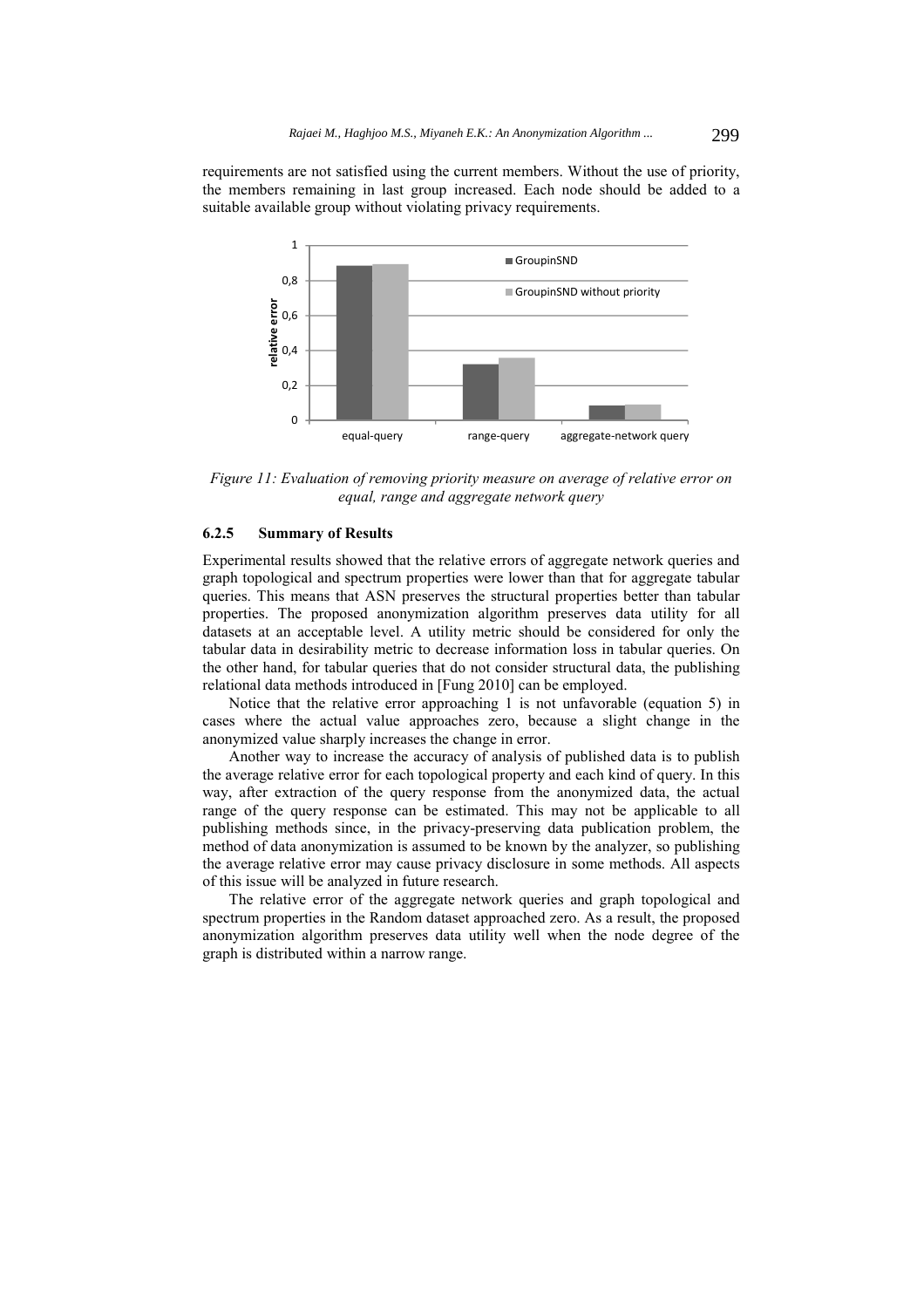requirements are not satisfied using the current members. Without the use of priority, the members remaining in last group increased. Each node should be added to a suitable available group without violating privacy requirements.



*Figure 11: Evaluation of removing priority measure on average of relative error on equal, range and aggregate network query* 

#### **6.2.5 Summary of Results**

Experimental results showed that the relative errors of aggregate network queries and graph topological and spectrum properties were lower than that for aggregate tabular queries. This means that ASN preserves the structural properties better than tabular properties. The proposed anonymization algorithm preserves data utility for all datasets at an acceptable level. A utility metric should be considered for only the tabular data in desirability metric to decrease information loss in tabular queries. On the other hand, for tabular queries that do not consider structural data, the publishing relational data methods introduced in [Fung 2010] can be employed.

Notice that the relative error approaching 1 is not unfavorable (equation 5) in cases where the actual value approaches zero, because a slight change in the anonymized value sharply increases the change in error.

Another way to increase the accuracy of analysis of published data is to publish the average relative error for each topological property and each kind of query. In this way, after extraction of the query response from the anonymized data, the actual range of the query response can be estimated. This may not be applicable to all publishing methods since, in the privacy-preserving data publication problem, the method of data anonymization is assumed to be known by the analyzer, so publishing the average relative error may cause privacy disclosure in some methods. All aspects of this issue will be analyzed in future research.

The relative error of the aggregate network queries and graph topological and spectrum properties in the Random dataset approached zero. As a result, the proposed anonymization algorithm preserves data utility well when the node degree of the graph is distributed within a narrow range.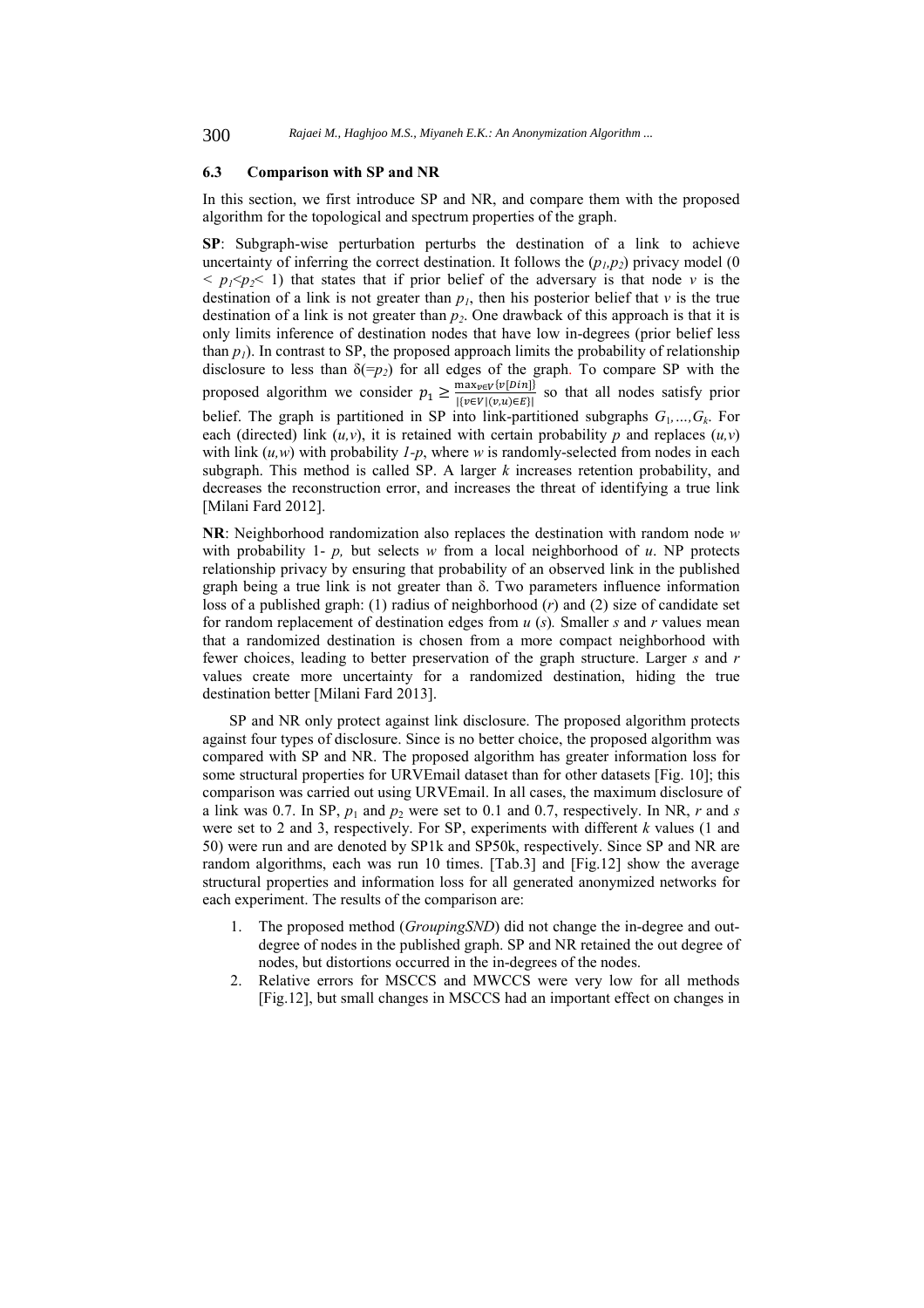#### **6.3 Comparison with SP and NR**

In this section, we first introduce SP and NR, and compare them with the proposed algorithm for the topological and spectrum properties of the graph.

**SP**: Subgraph-wise perturbation perturbs the destination of a link to achieve uncertainty of inferring the correct destination. It follows the  $(p_1, p_2)$  privacy model (0)  $\langle p_1 \times p_2 \rangle$  1) that states that if prior belief of the adversary is that node *v* is the destination of a link is not greater than  $p_l$ , then his posterior belief that *v* is the true destination of a link is not greater than  $p_2$ . One drawback of this approach is that it is only limits inference of destination nodes that have low in-degrees (prior belief less than  $p_1$ ). In contrast to SP, the proposed approach limits the probability of relationship disclosure to less than  $\delta(-p_2)$  for all edges of the graph. To compare SP with the proposed algorithm we consider  $p_1 \ge \frac{\max_{v \in V} \{v[Din]\}}{\{v \in V | (v,u) \in E\}}$  so that all nodes satisfy prior belief. The graph is partitioned in SP into link-partitioned subgraphs  $G_1, ..., G_k$ . For each (directed) link  $(u, v)$ , it is retained with certain probability *p* and replaces  $(u, v)$ with link  $(u, w)$  with probability  $1-p$ , where *w* is randomly-selected from nodes in each subgraph. This method is called SP. A larger *k* increases retention probability, and decreases the reconstruction error, and increases the threat of identifying a true link [Milani Fard 2012].

**NR**: Neighborhood randomization also replaces the destination with random node *w*  with probability 1-  $p$ , but selects  $w$  from a local neighborhood of  $u$ . NP protects relationship privacy by ensuring that probability of an observed link in the published graph being a true link is not greater than δ. Two parameters influence information loss of a published graph: (1) radius of neighborhood (*r*) and (2) size of candidate set for random replacement of destination edges from *u* (*s*)*.* Smaller *s* and *r* values mean that a randomized destination is chosen from a more compact neighborhood with fewer choices, leading to better preservation of the graph structure. Larger *s* and *r* values create more uncertainty for a randomized destination, hiding the true destination better [Milani Fard 2013].

SP and NR only protect against link disclosure. The proposed algorithm protects against four types of disclosure. Since is no better choice, the proposed algorithm was compared with SP and NR. The proposed algorithm has greater information loss for some structural properties for URVEmail dataset than for other datasets [Fig. 10]; this comparison was carried out using URVEmail. In all cases, the maximum disclosure of a link was 0.7. In SP,  $p_1$  and  $p_2$  were set to 0.1 and 0.7, respectively. In NR, *r* and *s* were set to 2 and 3, respectively. For SP, experiments with different *k* values (1 and 50) were run and are denoted by SP1k and SP50k, respectively. Since SP and NR are random algorithms, each was run 10 times. [Tab.3] and [Fig.12] show the average structural properties and information loss for all generated anonymized networks for each experiment. The results of the comparison are:

- 1. The proposed method (*GroupingSND*) did not change the in-degree and outdegree of nodes in the published graph. SP and NR retained the out degree of nodes, but distortions occurred in the in-degrees of the nodes.
- 2. Relative errors for MSCCS and MWCCS were very low for all methods [Fig.12], but small changes in MSCCS had an important effect on changes in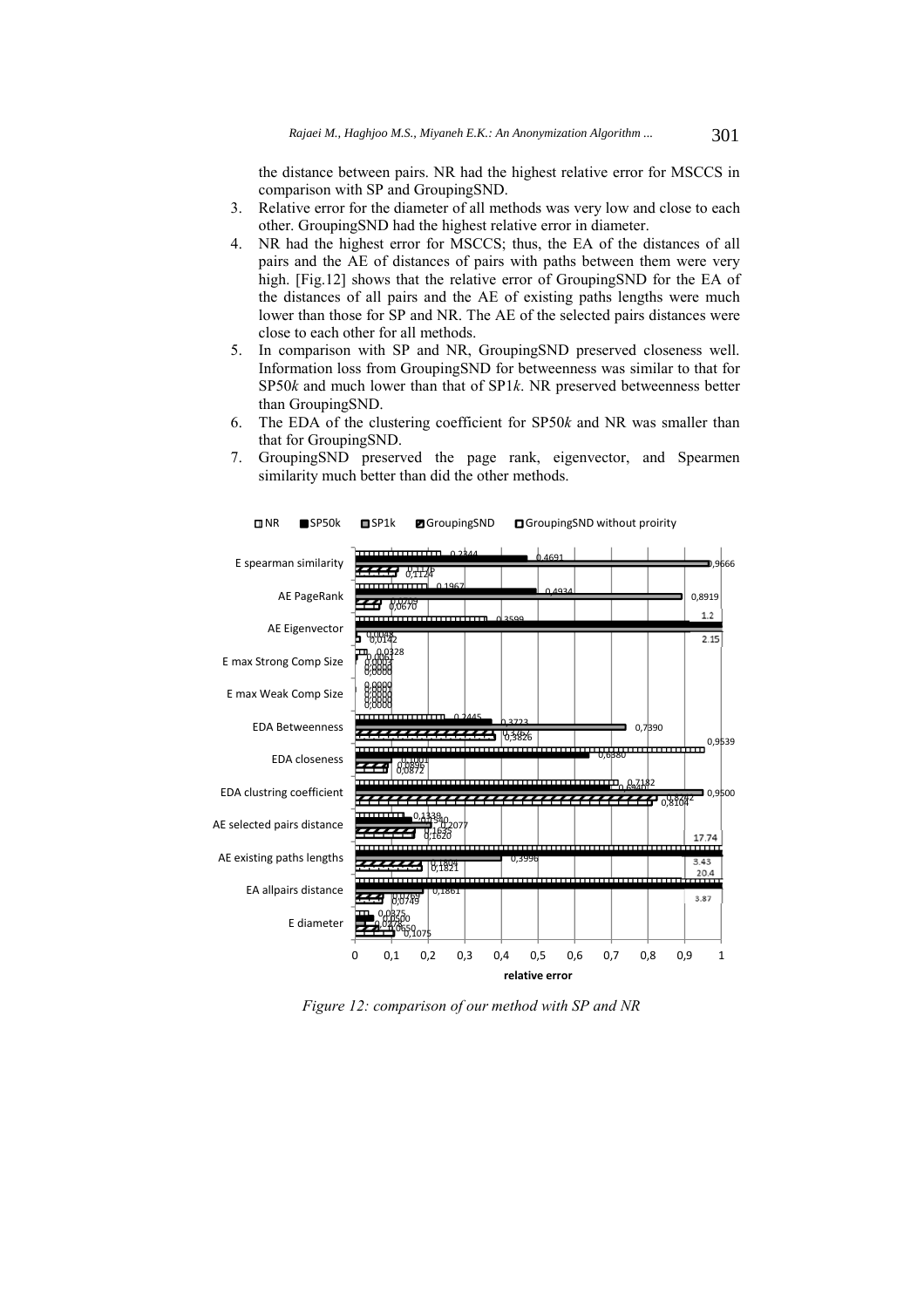the distance between pairs. NR had the highest relative error for MSCCS in comparison with SP and GroupingSND.

- 3. Relative error for the diameter of all methods was very low and close to each other. GroupingSND had the highest relative error in diameter.
- 4. NR had the highest error for MSCCS; thus, the EA of the distances of all pairs and the AE of distances of pairs with paths between them were very high. [Fig.12] shows that the relative error of GroupingSND for the EA of the distances of all pairs and the AE of existing paths lengths were much lower than those for SP and NR. The AE of the selected pairs distances were close to each other for all methods.
- 5. In comparison with SP and NR, GroupingSND preserved closeness well. Information loss from GroupingSND for betweenness was similar to that for SP50*k* and much lower than that of SP1*k*. NR preserved betweenness better than GroupingSND.
- 6. The EDA of the clustering coefficient for SP50*k* and NR was smaller than that for GroupingSND.
- 7. GroupingSND preserved the page rank, eigenvector, and Spearmen similarity much better than did the other methods.



NR SP50k SP1k GroupingSND GroupingSND without proirity

*Figure 12: comparison of our method with SP and NR*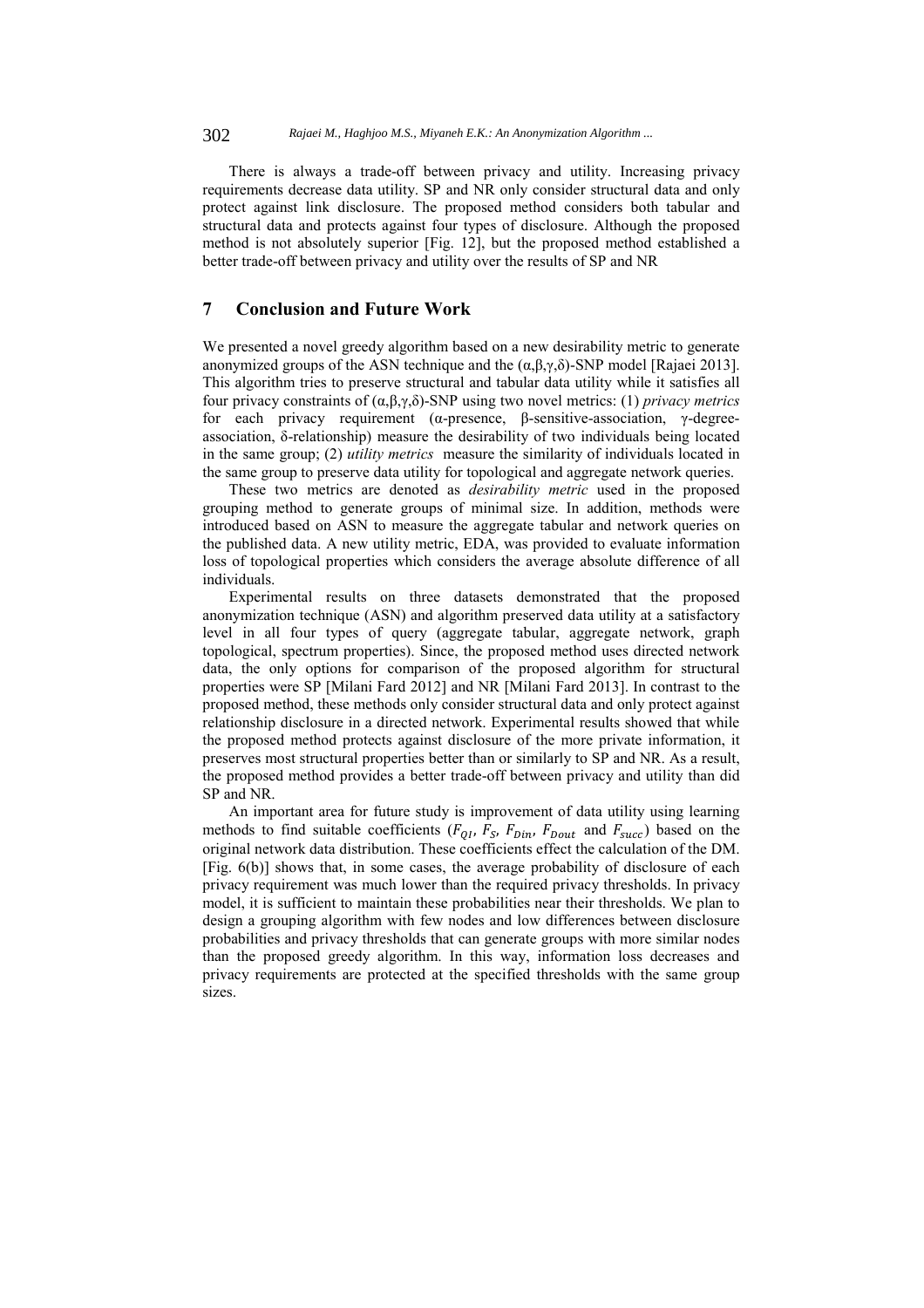There is always a trade-off between privacy and utility. Increasing privacy requirements decrease data utility. SP and NR only consider structural data and only protect against link disclosure. The proposed method considers both tabular and structural data and protects against four types of disclosure. Although the proposed method is not absolutely superior [Fig. 12], but the proposed method established a better trade-off between privacy and utility over the results of SP and NR

# **7 Conclusion and Future Work**

We presented a novel greedy algorithm based on a new desirability metric to generate anonymized groups of the ASN technique and the  $(α, β, γ, δ)$ -SNP model [Rajaei 2013]. This algorithm tries to preserve structural and tabular data utility while it satisfies all four privacy constraints of (α,β,γ,δ)-SNP using two novel metrics: (1) *privacy metrics* for each privacy requirement (α-presence, β-sensitive-association, γ-degreeassociation, δ-relationship) measure the desirability of two individuals being located in the same group; (2) *utility metrics* measure the similarity of individuals located in the same group to preserve data utility for topological and aggregate network queries.

These two metrics are denoted as *desirability metric* used in the proposed grouping method to generate groups of minimal size. In addition, methods were introduced based on ASN to measure the aggregate tabular and network queries on the published data. A new utility metric, EDA, was provided to evaluate information loss of topological properties which considers the average absolute difference of all individuals.

Experimental results on three datasets demonstrated that the proposed anonymization technique (ASN) and algorithm preserved data utility at a satisfactory level in all four types of query (aggregate tabular, aggregate network, graph topological, spectrum properties). Since, the proposed method uses directed network data, the only options for comparison of the proposed algorithm for structural properties were SP [Milani Fard 2012] and NR [Milani Fard 2013]. In contrast to the proposed method, these methods only consider structural data and only protect against relationship disclosure in a directed network. Experimental results showed that while the proposed method protects against disclosure of the more private information, it preserves most structural properties better than or similarly to SP and NR. As a result, the proposed method provides a better trade-off between privacy and utility than did SP and NR.

An important area for future study is improvement of data utility using learning methods to find suitable coefficients ( $F_{0I}$ ,  $F_{S}$ ,  $F_{Din}$ ,  $F_{Dout}$  and  $F_{succ}$ ) based on the original network data distribution. These coefficients effect the calculation of the DM. [Fig. 6(b)] shows that, in some cases, the average probability of disclosure of each privacy requirement was much lower than the required privacy thresholds. In privacy model, it is sufficient to maintain these probabilities near their thresholds. We plan to design a grouping algorithm with few nodes and low differences between disclosure probabilities and privacy thresholds that can generate groups with more similar nodes than the proposed greedy algorithm. In this way, information loss decreases and privacy requirements are protected at the specified thresholds with the same group sizes.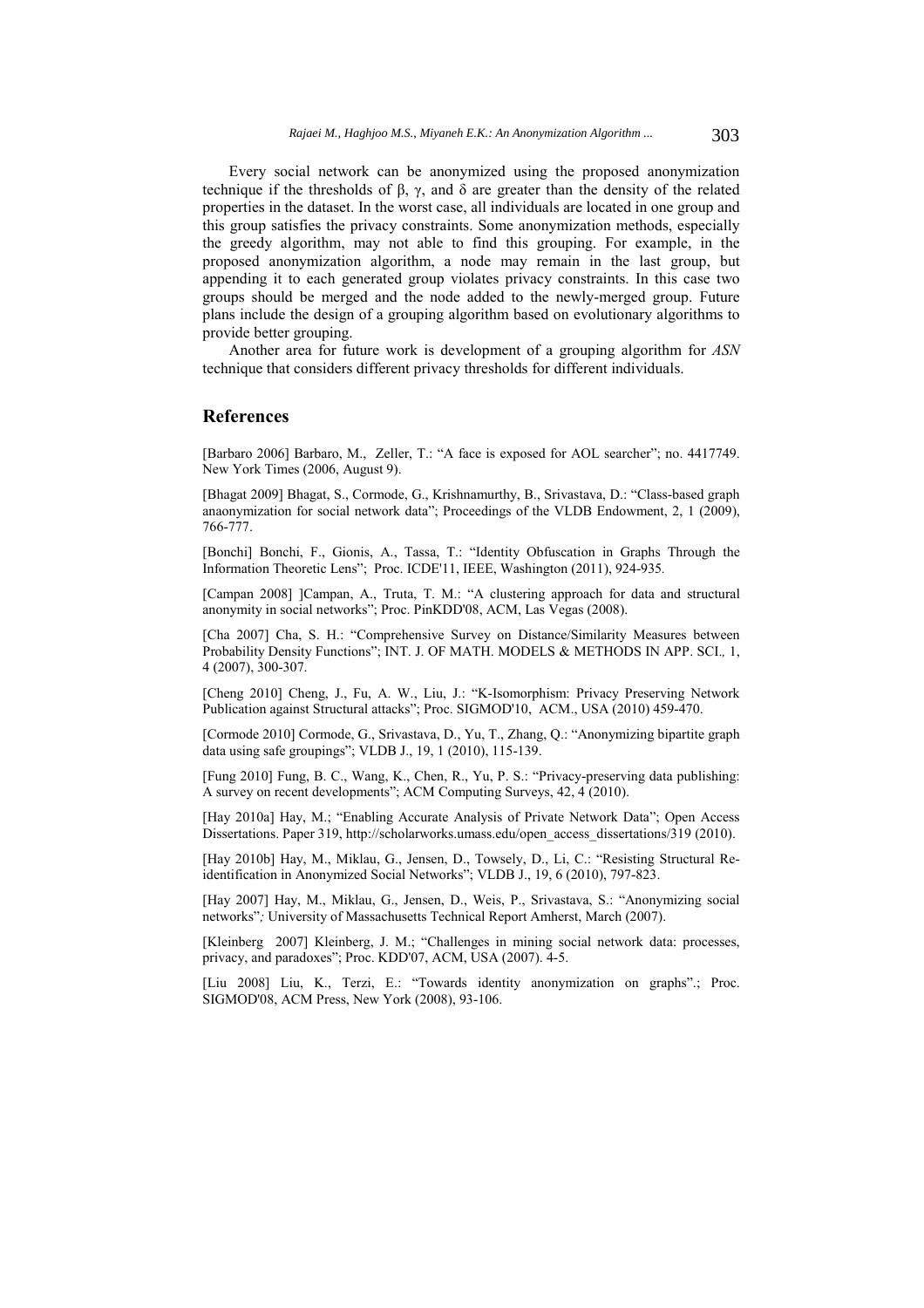Every social network can be anonymized using the proposed anonymization technique if the thresholds of β, γ, and δ are greater than the density of the related properties in the dataset. In the worst case, all individuals are located in one group and this group satisfies the privacy constraints. Some anonymization methods, especially the greedy algorithm, may not able to find this grouping. For example, in the proposed anonymization algorithm, a node may remain in the last group, but appending it to each generated group violates privacy constraints. In this case two groups should be merged and the node added to the newly-merged group. Future plans include the design of a grouping algorithm based on evolutionary algorithms to provide better grouping.

Another area for future work is development of a grouping algorithm for *ASN* technique that considers different privacy thresholds for different individuals.

# **References**

[Barbaro 2006] Barbaro, M., Zeller, T.: "A face is exposed for AOL searcher"; no. 4417749. New York Times (2006, August 9).

[Bhagat 2009] Bhagat, S., Cormode, G., Krishnamurthy, B., Srivastava, D.: "Class-based graph anaonymization for social network data"; Proceedings of the VLDB Endowment, 2, 1 (2009), 766-777.

[Bonchi] Bonchi, F., Gionis, A., Tassa, T.: "Identity Obfuscation in Graphs Through the Information Theoretic Lens"; Proc. ICDE'11, IEEE, Washington (2011), 924-935*.*

[Campan 2008] ]Campan, A., Truta, T. M.: "A clustering approach for data and structural anonymity in social networks"; Proc. PinKDD'08, ACM, Las Vegas (2008).

[Cha 2007] Cha, S. H.: "Comprehensive Survey on Distance/Similarity Measures between Probability Density Functions"; INT. J. OF MATH. MODELS & METHODS IN APP. SCI.*,* 1, 4 (2007), 300-307.

[Cheng 2010] Cheng, J., Fu, A. W., Liu, J.: "K-Isomorphism: Privacy Preserving Network Publication against Structural attacks"; Proc. SIGMOD'10, ACM., USA (2010) 459-470.

[Cormode 2010] Cormode, G., Srivastava, D., Yu, T., Zhang, Q.: "Anonymizing bipartite graph data using safe groupings"; VLDB J., 19, 1 (2010), 115-139.

[Fung 2010] Fung, B. C., Wang, K., Chen, R., Yu, P. S.: "Privacy-preserving data publishing: A survey on recent developments"; ACM Computing Surveys, 42, 4 (2010).

[Hay 2010a] Hay, M.; "Enabling Accurate Analysis of Private Network Data"; Open Access Dissertations. Paper 319, http://scholarworks.umass.edu/open\_access\_dissertations/319 (2010).

[Hay 2010b] Hay, M., Miklau, G., Jensen, D., Towsely, D., Li, C.: "Resisting Structural Reidentification in Anonymized Social Networks"; VLDB J., 19, 6 (2010), 797-823.

[Hay 2007] Hay, M., Miklau, G., Jensen, D., Weis, P., Srivastava, S.: "Anonymizing social networks"*;* University of Massachusetts Technical Report Amherst, March (2007).

[Kleinberg 2007] Kleinberg, J. M.; "Challenges in mining social network data: processes, privacy, and paradoxes"; Proc. KDD'07, ACM, USA (2007). 4-5.

[Liu 2008] Liu, K., Terzi, E.: "Towards identity anonymization on graphs".; Proc. SIGMOD'08, ACM Press, New York (2008), 93-106.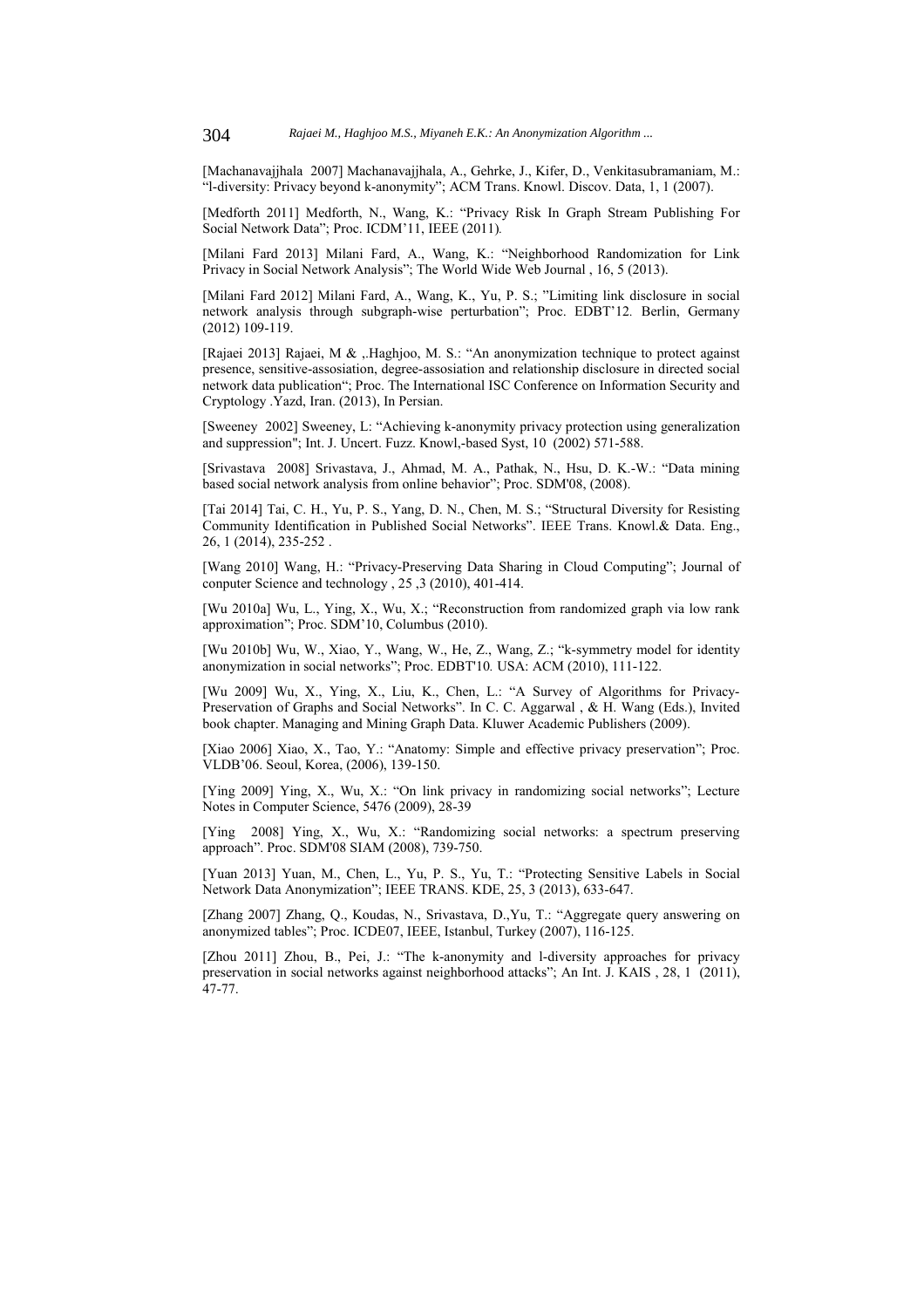[Machanavajjhala 2007] Machanavajjhala, A., Gehrke, J., Kifer, D., Venkitasubramaniam, M.: "l-diversity: Privacy beyond k-anonymity"; ACM Trans. Knowl. Discov. Data, 1, 1 (2007).

[Medforth 2011] Medforth, N., Wang, K.: "Privacy Risk In Graph Stream Publishing For Social Network Data"; Proc. ICDM'11, IEEE (2011).

[Milani Fard 2013] Milani Fard, A., Wang, K.: "Neighborhood Randomization for Link Privacy in Social Network Analysis"; The World Wide Web Journal , 16, 5 (2013).

[Milani Fard 2012] Milani Fard, A., Wang, K., Yu, P. S.; "Limiting link disclosure in social network analysis through subgraph-wise perturbation"; Proc. EDBT'12*.* Berlin, Germany (2012) 109-119.

[Rajaei 2013] Rajaei, M & ,.Haghjoo, M. S.: "An anonymization technique to protect against presence, sensitive-assosiation, degree-assosiation and relationship disclosure in directed social network data publication"; Proc. The International ISC Conference on Information Security and Cryptology .Yazd, Iran. (2013), In Persian.

[Sweeney 2002] Sweeney, L: "Achieving k-anonymity privacy protection using generalization and suppression"; Int. J. Uncert. Fuzz. Knowl,-based Syst, 10 (2002) 571-588.

[Srivastava 2008] Srivastava, J., Ahmad, M. A., Pathak, N., Hsu, D. K.-W.: "Data mining based social network analysis from online behavior"; Proc. SDM'08, (2008).

[Tai 2014] Tai, C. H., Yu, P. S., Yang, D. N., Chen, M. S.; "Structural Diversity for Resisting Community Identification in Published Social Networks". IEEE Trans. Knowl.& Data. Eng., 26, 1 (2014), 235-252 .

[Wang 2010] Wang, H.: "Privacy-Preserving Data Sharing in Cloud Computing"; Journal of conputer Science and technology , 25 ,3 (2010), 401-414.

[Wu 2010a] Wu, L., Ying, X., Wu, X.; "Reconstruction from randomized graph via low rank approximation"; Proc. SDM'10, Columbus (2010).

[Wu 2010b] Wu, W., Xiao, Y., Wang, W., He, Z., Wang, Z.; "k-symmetry model for identity anonymization in social networks"; Proc. EDBT'10*.* USA: ACM (2010), 111-122.

[Wu 2009] Wu, X., Ying, X., Liu, K., Chen, L.: "A Survey of Algorithms for Privacy-Preservation of Graphs and Social Networks". In C. C. Aggarwal , & H. Wang (Eds.), Invited book chapter. Managing and Mining Graph Data. Kluwer Academic Publishers (2009).

[Xiao 2006] Xiao, X., Tao, Y.: "Anatomy: Simple and effective privacy preservation"; Proc. VLDB'06. Seoul, Korea, (2006), 139-150.

[Ying 2009] Ying, X., Wu, X.: "On link privacy in randomizing social networks"; Lecture Notes in Computer Science, 5476 (2009), 28-39

[Ying 2008] Ying, X., Wu, X.: "Randomizing social networks: a spectrum preserving approach". Proc. SDM'08 SIAM (2008), 739-750.

[Yuan 2013] Yuan, M., Chen, L., Yu, P. S., Yu, T.: "Protecting Sensitive Labels in Social Network Data Anonymization"; IEEE TRANS. KDE, 25, 3 (2013), 633-647.

[Zhang 2007] Zhang, Q., Koudas, N., Srivastava, D.,Yu, T.: "Aggregate query answering on anonymized tables"; Proc. ICDE07, IEEE, Istanbul, Turkey (2007), 116-125.

[Zhou 2011] Zhou, B., Pei, J.: "The k-anonymity and l-diversity approaches for privacy preservation in social networks against neighborhood attacks"; An Int. J. KAIS , 28, 1 (2011), 47-77.